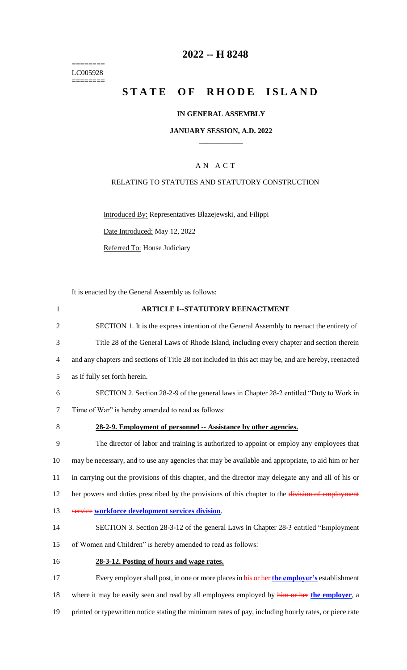======== LC005928  $=$ 

# **2022 -- H 8248**

# STATE OF RHODE ISLAND

## **IN GENERAL ASSEMBLY**

### **JANUARY SESSION, A.D. 2022 \_\_\_\_\_\_\_\_\_\_\_\_**

# A N A C T

## RELATING TO STATUTES AND STATUTORY CONSTRUCTION

Introduced By: Representatives Blazejewski, and Filippi

Date Introduced: May 12, 2022

Referred To: House Judiciary

It is enacted by the General Assembly as follows:

| $\mathbf{1}$ | <b>ARTICLE I--STATUTORY REENACTMENT</b>                                                               |
|--------------|-------------------------------------------------------------------------------------------------------|
| 2            | SECTION 1. It is the express intention of the General Assembly to reenact the entirety of             |
| 3            | Title 28 of the General Laws of Rhode Island, including every chapter and section therein             |
| 4            | and any chapters and sections of Title 28 not included in this act may be, and are hereby, reenacted  |
| 5            | as if fully set forth herein.                                                                         |
| 6            | SECTION 2. Section 28-2-9 of the general laws in Chapter 28-2 entitled "Duty to Work in               |
| 7            | Time of War" is hereby amended to read as follows:                                                    |
| 8            | 28-2-9. Employment of personnel -- Assistance by other agencies.                                      |
| 9            | The director of labor and training is authorized to appoint or employ any employees that              |
| 10           | may be necessary, and to use any agencies that may be available and appropriate, to aid him or her    |
| 11           | in carrying out the provisions of this chapter, and the director may delegate any and all of his or   |
| 12           | her powers and duties prescribed by the provisions of this chapter to the division of employment      |
| 13           | service workforce development services division.                                                      |
| 14           | SECTION 3. Section 28-3-12 of the general Laws in Chapter 28-3 entitled "Employment"                  |
| 15           | of Women and Children" is hereby amended to read as follows:                                          |
| 16           | 28-3-12. Posting of hours and wage rates.                                                             |
| 17           | Every employer shall post, in one or more places in his or her the employer's establishment           |
| 18           | where it may be easily seen and read by all employees employed by him or her the employer, a          |
| 19           | printed or typewritten notice stating the minimum rates of pay, including hourly rates, or piece rate |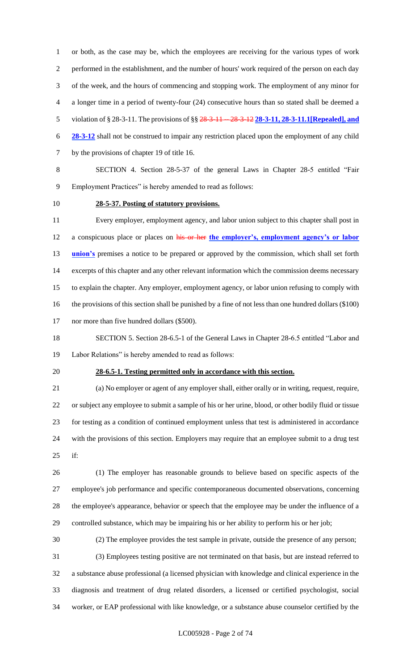or both, as the case may be, which the employees are receiving for the various types of work performed in the establishment, and the number of hours' work required of the person on each day of the week, and the hours of commencing and stopping work. The employment of any minor for a longer time in a period of twenty-four (24) consecutive hours than so stated shall be deemed a violation of § 28-3-11. The provisions of §§ 28-3-11 -- 28-3-12 **28-3-11, 28-3-11.1[Repealed], and 28-3-12** shall not be construed to impair any restriction placed upon the employment of any child by the provisions of chapter 19 of title 16.

 SECTION 4. Section 28-5-37 of the general Laws in Chapter 28-5 entitled "Fair Employment Practices" is hereby amended to read as follows:

# **28-5-37. Posting of statutory provisions.**

 Every employer, employment agency, and labor union subject to this chapter shall post in a conspicuous place or places on his or her **the employer's, employment agency's or labor union's** premises a notice to be prepared or approved by the commission, which shall set forth excerpts of this chapter and any other relevant information which the commission deems necessary to explain the chapter. Any employer, employment agency, or labor union refusing to comply with the provisions of this section shall be punished by a fine of not less than one hundred dollars (\$100) 17 nor more than five hundred dollars (\$500).

 SECTION 5. Section 28-6.5-1 of the General Laws in Chapter 28-6.5 entitled "Labor and Labor Relations" is hereby amended to read as follows:

#### **28-6.5-1. Testing permitted only in accordance with this section.**

 (a) No employer or agent of any employer shall, either orally or in writing, request, require, or subject any employee to submit a sample of his or her urine, blood, or other bodily fluid or tissue for testing as a condition of continued employment unless that test is administered in accordance with the provisions of this section. Employers may require that an employee submit to a drug test if:

 (1) The employer has reasonable grounds to believe based on specific aspects of the employee's job performance and specific contemporaneous documented observations, concerning the employee's appearance, behavior or speech that the employee may be under the influence of a controlled substance, which may be impairing his or her ability to perform his or her job;

(2) The employee provides the test sample in private, outside the presence of any person;

 (3) Employees testing positive are not terminated on that basis, but are instead referred to a substance abuse professional (a licensed physician with knowledge and clinical experience in the diagnosis and treatment of drug related disorders, a licensed or certified psychologist, social worker, or EAP professional with like knowledge, or a substance abuse counselor certified by the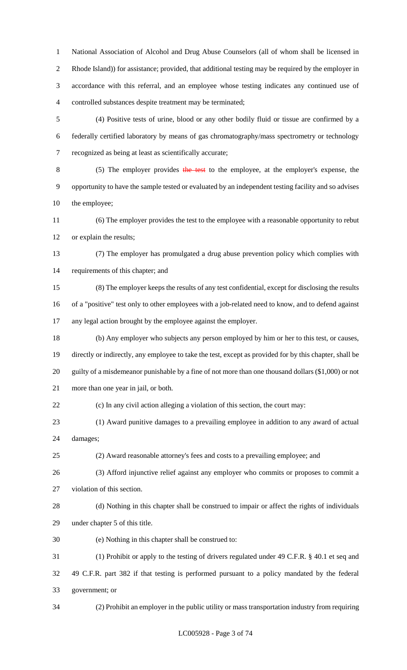National Association of Alcohol and Drug Abuse Counselors (all of whom shall be licensed in Rhode Island)) for assistance; provided, that additional testing may be required by the employer in accordance with this referral, and an employee whose testing indicates any continued use of controlled substances despite treatment may be terminated;

 (4) Positive tests of urine, blood or any other bodily fluid or tissue are confirmed by a federally certified laboratory by means of gas chromatography/mass spectrometry or technology recognized as being at least as scientifically accurate;

 (5) The employer provides the test to the employee, at the employer's expense, the opportunity to have the sample tested or evaluated by an independent testing facility and so advises the employee;

 (6) The employer provides the test to the employee with a reasonable opportunity to rebut or explain the results;

 (7) The employer has promulgated a drug abuse prevention policy which complies with requirements of this chapter; and

 (8) The employer keeps the results of any test confidential, except for disclosing the results of a "positive" test only to other employees with a job-related need to know, and to defend against any legal action brought by the employee against the employer.

 (b) Any employer who subjects any person employed by him or her to this test, or causes, directly or indirectly, any employee to take the test, except as provided for by this chapter, shall be guilty of a misdemeanor punishable by a fine of not more than one thousand dollars (\$1,000) or not more than one year in jail, or both.

(c) In any civil action alleging a violation of this section, the court may:

(1) Award punitive damages to a prevailing employee in addition to any award of actual

damages;

(2) Award reasonable attorney's fees and costs to a prevailing employee; and

(3) Afford injunctive relief against any employer who commits or proposes to commit a

violation of this section.

 (d) Nothing in this chapter shall be construed to impair or affect the rights of individuals under chapter 5 of this title.

(e) Nothing in this chapter shall be construed to:

(1) Prohibit or apply to the testing of drivers regulated under 49 C.F.R. § 40.1 et seq and

 49 C.F.R. part 382 if that testing is performed pursuant to a policy mandated by the federal government; or

(2) Prohibit an employer in the public utility or mass transportation industry from requiring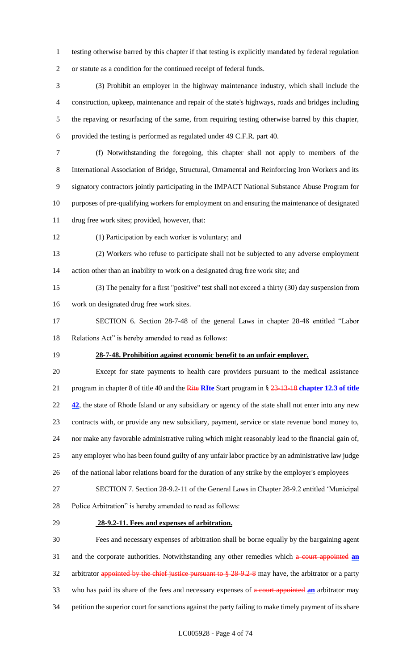- testing otherwise barred by this chapter if that testing is explicitly mandated by federal regulation or statute as a condition for the continued receipt of federal funds.
- (3) Prohibit an employer in the highway maintenance industry, which shall include the construction, upkeep, maintenance and repair of the state's highways, roads and bridges including the repaving or resurfacing of the same, from requiring testing otherwise barred by this chapter, provided the testing is performed as regulated under 49 C.F.R. part 40.
- 
- (f) Notwithstanding the foregoing, this chapter shall not apply to members of the International Association of Bridge, Structural, Ornamental and Reinforcing Iron Workers and its signatory contractors jointly participating in the IMPACT National Substance Abuse Program for purposes of pre-qualifying workers for employment on and ensuring the maintenance of designated
- drug free work sites; provided, however, that:
- 
- (1) Participation by each worker is voluntary; and
- (2) Workers who refuse to participate shall not be subjected to any adverse employment action other than an inability to work on a designated drug free work site; and
- (3) The penalty for a first "positive" test shall not exceed a thirty (30) day suspension from work on designated drug free work sites.
- SECTION 6. Section 28-7-48 of the general Laws in chapter 28-48 entitled "Labor Relations Act" is hereby amended to read as follows:
- 

# **28-7-48. Prohibition against economic benefit to an unfair employer.**

- Except for state payments to health care providers pursuant to the medical assistance program in chapter 8 of title 40 and the Rite **RIte** Start program in § 23-13-18 **chapter 12.3 of title 42**, the state of Rhode Island or any subsidiary or agency of the state shall not enter into any new contracts with, or provide any new subsidiary, payment, service or state revenue bond money to, nor make any favorable administrative ruling which might reasonably lead to the financial gain of, any employer who has been found guilty of any unfair labor practice by an administrative law judge of the national labor relations board for the duration of any strike by the employer's employees
- SECTION 7. Section 28-9.2-11 of the General Laws in Chapter 28-9.2 entitled 'Municipal Police Arbitration" is hereby amended to read as follows:
- 

## **28-9.2-11. Fees and expenses of arbitration.**

 Fees and necessary expenses of arbitration shall be borne equally by the bargaining agent and the corporate authorities. Notwithstanding any other remedies which a court appointed **an** 32 arbitrator appointed by the chief justice pursuant to § 28-9.2-8 may have, the arbitrator or a party who has paid its share of the fees and necessary expenses of a court appointed **an** arbitrator may petition the superior court for sanctions against the party failing to make timely payment of its share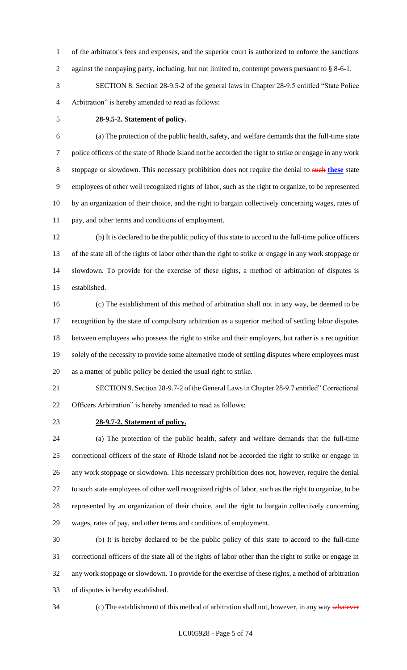of the arbitrator's fees and expenses, and the superior court is authorized to enforce the sanctions 2 against the nonpaying party, including, but not limited to, contempt powers pursuant to § 8-6-1.

 SECTION 8. Section 28-9.5-2 of the general laws in Chapter 28-9.5 entitled "State Police Arbitration" is hereby amended to read as follows:

## **28-9.5-2. Statement of policy.**

 (a) The protection of the public health, safety, and welfare demands that the full-time state police officers of the state of Rhode Island not be accorded the right to strike or engage in any work stoppage or slowdown. This necessary prohibition does not require the denial to such **these** state employees of other well recognized rights of labor, such as the right to organize, to be represented by an organization of their choice, and the right to bargain collectively concerning wages, rates of pay, and other terms and conditions of employment.

 (b) It is declared to be the public policy of this state to accord to the full-time police officers of the state all of the rights of labor other than the right to strike or engage in any work stoppage or slowdown. To provide for the exercise of these rights, a method of arbitration of disputes is established.

 (c) The establishment of this method of arbitration shall not in any way, be deemed to be recognition by the state of compulsory arbitration as a superior method of settling labor disputes between employees who possess the right to strike and their employers, but rather is a recognition solely of the necessity to provide some alternative mode of settling disputes where employees must as a matter of public policy be denied the usual right to strike.

 SECTION 9. Section 28-9.7-2 of the General Laws in Chapter 28-9.7 entitled" Correctional Officers Arbitration" is hereby amended to read as follows:

### **28-9.7-2. Statement of policy.**

 (a) The protection of the public health, safety and welfare demands that the full-time correctional officers of the state of Rhode Island not be accorded the right to strike or engage in any work stoppage or slowdown. This necessary prohibition does not, however, require the denial to such state employees of other well recognized rights of labor, such as the right to organize, to be represented by an organization of their choice, and the right to bargain collectively concerning wages, rates of pay, and other terms and conditions of employment.

 (b) It is hereby declared to be the public policy of this state to accord to the full-time correctional officers of the state all of the rights of labor other than the right to strike or engage in any work stoppage or slowdown. To provide for the exercise of these rights, a method of arbitration of disputes is hereby established.

34 (c) The establishment of this method of arbitration shall not, however, in any way whatever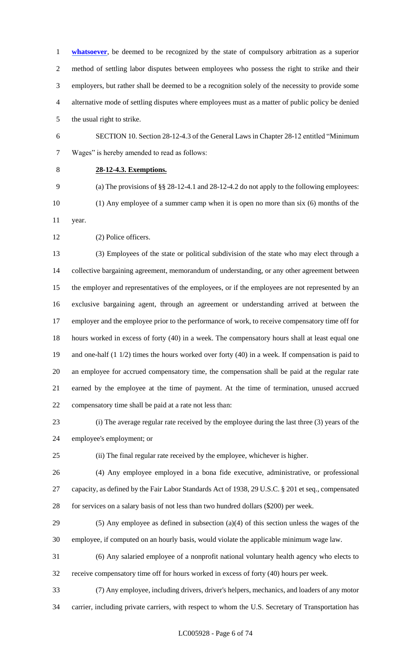**whatsoever**, be deemed to be recognized by the state of compulsory arbitration as a superior method of settling labor disputes between employees who possess the right to strike and their employers, but rather shall be deemed to be a recognition solely of the necessity to provide some alternative mode of settling disputes where employees must as a matter of public policy be denied

the usual right to strike.

 SECTION 10. Section 28-12-4.3 of the General Laws in Chapter 28-12 entitled "Minimum Wages" is hereby amended to read as follows:

# **28-12-4.3. Exemptions.**

 (a) The provisions of §§ 28-12-4.1 and 28-12-4.2 do not apply to the following employees: (1) Any employee of a summer camp when it is open no more than six (6) months of the year.

(2) Police officers.

 (3) Employees of the state or political subdivision of the state who may elect through a collective bargaining agreement, memorandum of understanding, or any other agreement between the employer and representatives of the employees, or if the employees are not represented by an exclusive bargaining agent, through an agreement or understanding arrived at between the employer and the employee prior to the performance of work, to receive compensatory time off for hours worked in excess of forty (40) in a week. The compensatory hours shall at least equal one and one-half (1 1/2) times the hours worked over forty (40) in a week. If compensation is paid to an employee for accrued compensatory time, the compensation shall be paid at the regular rate earned by the employee at the time of payment. At the time of termination, unused accrued compensatory time shall be paid at a rate not less than:

 (i) The average regular rate received by the employee during the last three (3) years of the employee's employment; or

(ii) The final regular rate received by the employee, whichever is higher.

 (4) Any employee employed in a bona fide executive, administrative, or professional capacity, as defined by the Fair Labor Standards Act of 1938, 29 U.S.C. § 201 et seq., compensated 28 for services on a salary basis of not less than two hundred dollars (\$200) per week.

 (5) Any employee as defined in subsection (a)(4) of this section unless the wages of the employee, if computed on an hourly basis, would violate the applicable minimum wage law.

 (6) Any salaried employee of a nonprofit national voluntary health agency who elects to receive compensatory time off for hours worked in excess of forty (40) hours per week.

(7) Any employee, including drivers, driver's helpers, mechanics, and loaders of any motor

carrier, including private carriers, with respect to whom the U.S. Secretary of Transportation has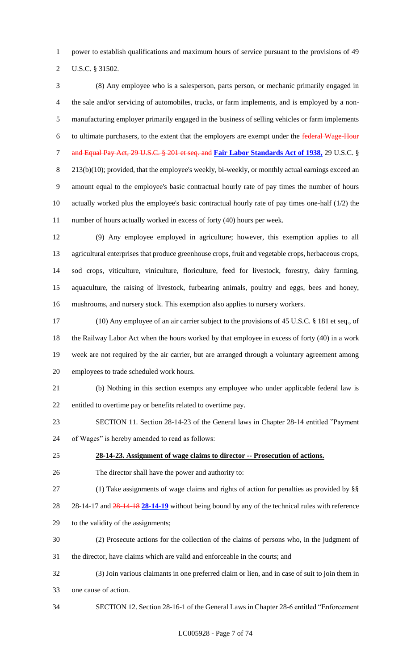power to establish qualifications and maximum hours of service pursuant to the provisions of 49

U.S.C. § 31502.

 (8) Any employee who is a salesperson, parts person, or mechanic primarily engaged in the sale and/or servicing of automobiles, trucks, or farm implements, and is employed by a non- manufacturing employer primarily engaged in the business of selling vehicles or farm implements 6 to ultimate purchasers, to the extent that the employers are exempt under the federal Wage-Hour and Equal Pay Act, 29 U.S.C. § 201 et seq. and **Fair Labor Standards Act of 1938,** 29 U.S.C. § 8 213(b)(10); provided, that the employee's weekly, bi-weekly, or monthly actual earnings exceed an amount equal to the employee's basic contractual hourly rate of pay times the number of hours actually worked plus the employee's basic contractual hourly rate of pay times one-half (1/2) the number of hours actually worked in excess of forty (40) hours per week.

 (9) Any employee employed in agriculture; however, this exemption applies to all agricultural enterprises that produce greenhouse crops, fruit and vegetable crops, herbaceous crops, sod crops, viticulture, viniculture, floriculture, feed for livestock, forestry, dairy farming, aquaculture, the raising of livestock, furbearing animals, poultry and eggs, bees and honey, mushrooms, and nursery stock. This exemption also applies to nursery workers.

 (10) Any employee of an air carrier subject to the provisions of 45 U.S.C. § 181 et seq., of the Railway Labor Act when the hours worked by that employee in excess of forty (40) in a work week are not required by the air carrier, but are arranged through a voluntary agreement among employees to trade scheduled work hours.

 (b) Nothing in this section exempts any employee who under applicable federal law is entitled to overtime pay or benefits related to overtime pay.

 SECTION 11. Section 28-14-23 of the General laws in Chapter 28-14 entitled "Payment of Wages" is hereby amended to read as follows:

### **28-14-23. Assignment of wage claims to director -- Prosecution of actions.**

The director shall have the power and authority to:

# (1) Take assignments of wage claims and rights of action for penalties as provided by §§

28-14-17 and 28-14-18 **28-14-19** without being bound by any of the technical rules with reference

to the validity of the assignments;

- (2) Prosecute actions for the collection of the claims of persons who, in the judgment of
- the director, have claims which are valid and enforceable in the courts; and
- (3) Join various claimants in one preferred claim or lien, and in case of suit to join them in one cause of action.
- SECTION 12. Section 28-16-1 of the General Laws in Chapter 28-6 entitled "Enforcement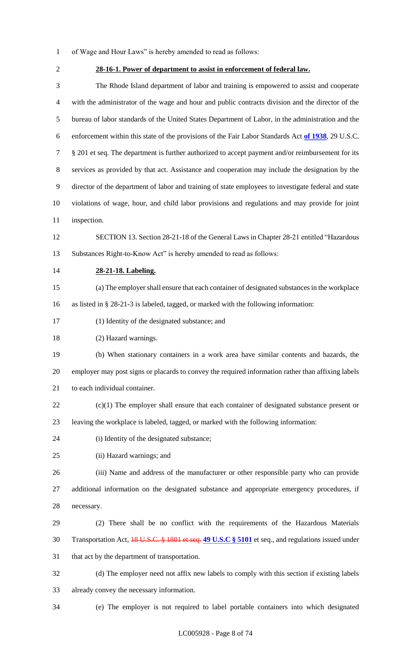- of Wage and Hour Laws" is hereby amended to read as follows:
- 

# **28-16-1. Power of department to assist in enforcement of federal law.**

 The Rhode Island department of labor and training is empowered to assist and cooperate with the administrator of the wage and hour and public contracts division and the director of the bureau of labor standards of the United States Department of Labor, in the administration and the enforcement within this state of the provisions of the Fair Labor Standards Act **of 1938**, 29 U.S.C. § 201 et seq. The department is further authorized to accept payment and/or reimbursement for its services as provided by that act. Assistance and cooperation may include the designation by the director of the department of labor and training of state employees to investigate federal and state violations of wage, hour, and child labor provisions and regulations and may provide for joint inspection.

 SECTION 13. Section 28-21-18 of the General Laws in Chapter 28-21 entitled "Hazardous Substances Right-to-Know Act" is hereby amended to read as follows:

### **28-21-18. Labeling.**

 (a) The employer shall ensure that each container of designated substances in the workplace as listed in § 28-21-3 is labeled, tagged, or marked with the following information:

(1) Identity of the designated substance; and

(2) Hazard warnings.

 (b) When stationary containers in a work area have similar contents and hazards, the employer may post signs or placards to convey the required information rather than affixing labels to each individual container.

- (c)(1) The employer shall ensure that each container of designated substance present or leaving the workplace is labeled, tagged, or marked with the following information:
- 
- (i) Identity of the designated substance;
- (ii) Hazard warnings; and

 (iii) Name and address of the manufacturer or other responsible party who can provide additional information on the designated substance and appropriate emergency procedures, if necessary.

 (2) There shall be no conflict with the requirements of the Hazardous Materials Transportation Act, 18 U.S.C. § 1801 et seq. **49 U.S.C § 5101** et seq., and regulations issued under that act by the department of transportation.

 (d) The employer need not affix new labels to comply with this section if existing labels already convey the necessary information.

(e) The employer is not required to label portable containers into which designated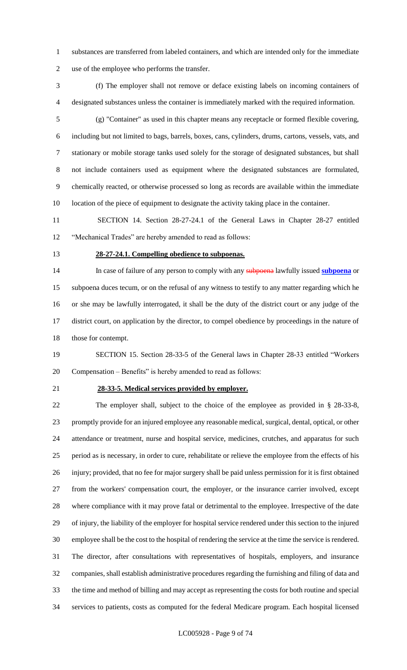- substances are transferred from labeled containers, and which are intended only for the immediate use of the employee who performs the transfer.
- (f) The employer shall not remove or deface existing labels on incoming containers of designated substances unless the container is immediately marked with the required information.
- (g) "Container" as used in this chapter means any receptacle or formed flexible covering, including but not limited to bags, barrels, boxes, cans, cylinders, drums, cartons, vessels, vats, and stationary or mobile storage tanks used solely for the storage of designated substances, but shall not include containers used as equipment where the designated substances are formulated, chemically reacted, or otherwise processed so long as records are available within the immediate location of the piece of equipment to designate the activity taking place in the container.
- SECTION 14. Section 28-27-24.1 of the General Laws in Chapter 28-27 entitled "Mechanical Trades" are hereby amended to read as follows:
- 

#### **28-27-24.1. Compelling obedience to subpoenas.**

 In case of failure of any person to comply with any subpoena lawfully issued **subpoena** or subpoena duces tecum, or on the refusal of any witness to testify to any matter regarding which he or she may be lawfully interrogated, it shall be the duty of the district court or any judge of the district court, on application by the director, to compel obedience by proceedings in the nature of those for contempt.

 SECTION 15. Section 28-33-5 of the General laws in Chapter 28-33 entitled "Workers Compensation – Benefits" is hereby amended to read as follows:

#### **28-33-5. Medical services provided by employer.**

 The employer shall, subject to the choice of the employee as provided in § 28-33-8, promptly provide for an injured employee any reasonable medical, surgical, dental, optical, or other attendance or treatment, nurse and hospital service, medicines, crutches, and apparatus for such period as is necessary, in order to cure, rehabilitate or relieve the employee from the effects of his injury; provided, that no fee for major surgery shall be paid unless permission for it is first obtained from the workers' compensation court, the employer, or the insurance carrier involved, except where compliance with it may prove fatal or detrimental to the employee. Irrespective of the date of injury, the liability of the employer for hospital service rendered under this section to the injured employee shall be the cost to the hospital of rendering the service at the time the service is rendered. The director, after consultations with representatives of hospitals, employers, and insurance companies, shall establish administrative procedures regarding the furnishing and filing of data and the time and method of billing and may accept as representing the costs for both routine and special services to patients, costs as computed for the federal Medicare program. Each hospital licensed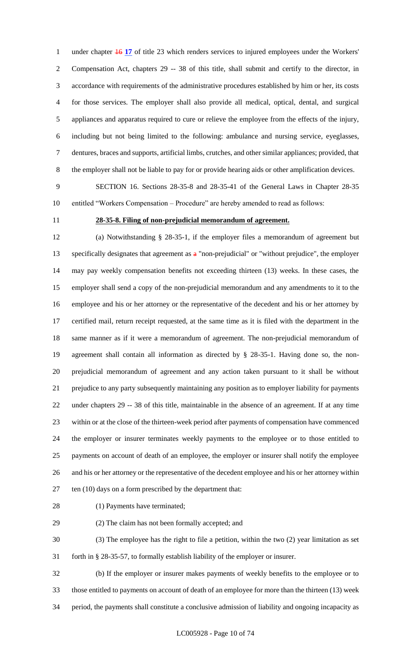under chapter 16 **17** of title 23 which renders services to injured employees under the Workers' Compensation Act, chapters 29 -- 38 of this title, shall submit and certify to the director, in accordance with requirements of the administrative procedures established by him or her, its costs for those services. The employer shall also provide all medical, optical, dental, and surgical appliances and apparatus required to cure or relieve the employee from the effects of the injury, including but not being limited to the following: ambulance and nursing service, eyeglasses, dentures, braces and supports, artificial limbs, crutches, and other similar appliances; provided, that the employer shall not be liable to pay for or provide hearing aids or other amplification devices.

 SECTION 16. Sections 28-35-8 and 28-35-41 of the General Laws in Chapter 28-35 entitled "Workers Compensation – Procedure" are hereby amended to read as follows:

### **28-35-8. Filing of non-prejudicial memorandum of agreement.**

 (a) Notwithstanding § 28-35-1, if the employer files a memorandum of agreement but 13 specifically designates that agreement as  $a$  "non-prejudicial" or "without prejudice", the employer may pay weekly compensation benefits not exceeding thirteen (13) weeks. In these cases, the employer shall send a copy of the non-prejudicial memorandum and any amendments to it to the employee and his or her attorney or the representative of the decedent and his or her attorney by certified mail, return receipt requested, at the same time as it is filed with the department in the same manner as if it were a memorandum of agreement. The non-prejudicial memorandum of agreement shall contain all information as directed by § 28-35-1. Having done so, the non- prejudicial memorandum of agreement and any action taken pursuant to it shall be without prejudice to any party subsequently maintaining any position as to employer liability for payments under chapters 29 -- 38 of this title, maintainable in the absence of an agreement. If at any time within or at the close of the thirteen-week period after payments of compensation have commenced the employer or insurer terminates weekly payments to the employee or to those entitled to payments on account of death of an employee, the employer or insurer shall notify the employee and his or her attorney or the representative of the decedent employee and his or her attorney within ten (10) days on a form prescribed by the department that:

(1) Payments have terminated;

(2) The claim has not been formally accepted; and

 (3) The employee has the right to file a petition, within the two (2) year limitation as set forth in § 28-35-57, to formally establish liability of the employer or insurer.

 (b) If the employer or insurer makes payments of weekly benefits to the employee or to those entitled to payments on account of death of an employee for more than the thirteen (13) week period, the payments shall constitute a conclusive admission of liability and ongoing incapacity as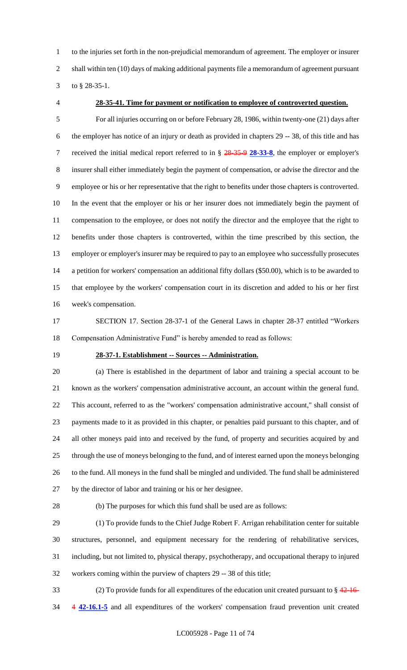to the injuries set forth in the non-prejudicial memorandum of agreement. The employer or insurer 2 shall within ten (10) days of making additional payments file a memorandum of agreement pursuant to § 28-35-1.

### **28-35-41. Time for payment or notification to employee of controverted question.**

 For all injuries occurring on or before February 28, 1986, within twenty-one (21) days after the employer has notice of an injury or death as provided in chapters 29 -- 38, of this title and has received the initial medical report referred to in § 28-35-9 **28-33-8**, the employer or employer's insurer shall either immediately begin the payment of compensation, or advise the director and the employee or his or her representative that the right to benefits under those chapters is controverted. In the event that the employer or his or her insurer does not immediately begin the payment of compensation to the employee, or does not notify the director and the employee that the right to benefits under those chapters is controverted, within the time prescribed by this section, the employer or employer's insurer may be required to pay to an employee who successfully prosecutes a petition for workers' compensation an additional fifty dollars (\$50.00), which is to be awarded to that employee by the workers' compensation court in its discretion and added to his or her first week's compensation.

 SECTION 17. Section 28-37-1 of the General Laws in chapter 28-37 entitled "Workers Compensation Administrative Fund" is hereby amended to read as follows:

### **28-37-1. Establishment -- Sources -- Administration.**

 (a) There is established in the department of labor and training a special account to be known as the workers' compensation administrative account, an account within the general fund. This account, referred to as the "workers' compensation administrative account," shall consist of payments made to it as provided in this chapter, or penalties paid pursuant to this chapter, and of all other moneys paid into and received by the fund, of property and securities acquired by and through the use of moneys belonging to the fund, and of interest earned upon the moneys belonging to the fund. All moneys in the fund shall be mingled and undivided. The fund shall be administered by the director of labor and training or his or her designee.

(b) The purposes for which this fund shall be used are as follows:

 (1) To provide funds to the Chief Judge Robert F. Arrigan rehabilitation center for suitable structures, personnel, and equipment necessary for the rendering of rehabilitative services, including, but not limited to, physical therapy, psychotherapy, and occupational therapy to injured workers coming within the purview of chapters 29 -- 38 of this title;

33 (2) To provide funds for all expenditures of the education unit created pursuant to  $\frac{24.16}{10.5}$ 4 **42-16.1-5** and all expenditures of the workers' compensation fraud prevention unit created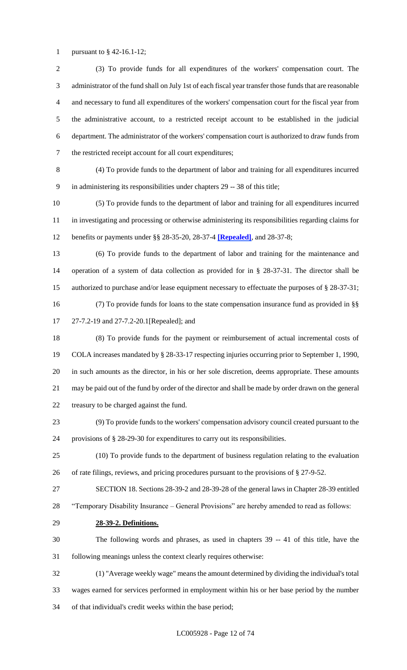pursuant to § 42-16.1-12;

 (3) To provide funds for all expenditures of the workers' compensation court. The administrator of the fund shall on July 1st of each fiscal year transfer those funds that are reasonable and necessary to fund all expenditures of the workers' compensation court for the fiscal year from the administrative account, to a restricted receipt account to be established in the judicial department. The administrator of the workers' compensation court is authorized to draw funds from the restricted receipt account for all court expenditures;

 (4) To provide funds to the department of labor and training for all expenditures incurred in administering its responsibilities under chapters 29 -- 38 of this title;

 (5) To provide funds to the department of labor and training for all expenditures incurred in investigating and processing or otherwise administering its responsibilities regarding claims for benefits or payments under §§ 28-35-20, 28-37-4 **[Repealed]**, and 28-37-8;

 (6) To provide funds to the department of labor and training for the maintenance and operation of a system of data collection as provided for in § 28-37-31. The director shall be authorized to purchase and/or lease equipment necessary to effectuate the purposes of § 28-37-31; (7) To provide funds for loans to the state compensation insurance fund as provided in §§

27-7.2-19 and 27-7.2-20.1[Repealed]; and

 (8) To provide funds for the payment or reimbursement of actual incremental costs of COLA increases mandated by § 28-33-17 respecting injuries occurring prior to September 1, 1990, in such amounts as the director, in his or her sole discretion, deems appropriate. These amounts may be paid out of the fund by order of the director and shall be made by order drawn on the general treasury to be charged against the fund.

 (9) To provide funds to the workers' compensation advisory council created pursuant to the provisions of § 28-29-30 for expenditures to carry out its responsibilities.

 (10) To provide funds to the department of business regulation relating to the evaluation of rate filings, reviews, and pricing procedures pursuant to the provisions of § 27-9-52.

 SECTION 18. Sections 28-39-2 and 28-39-28 of the general laws in Chapter 28-39 entitled "Temporary Disability Insurance – General Provisions" are hereby amended to read as follows:

**28-39-2. Definitions.**

 The following words and phrases, as used in chapters 39 -- 41 of this title, have the following meanings unless the context clearly requires otherwise:

 (1) "Average weekly wage" means the amount determined by dividing the individual's total wages earned for services performed in employment within his or her base period by the number of that individual's credit weeks within the base period;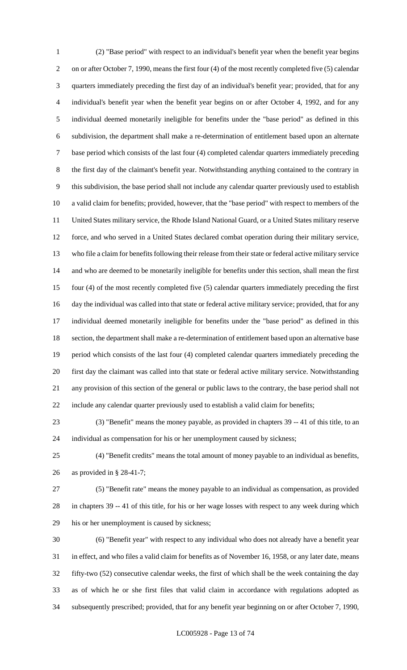(2) "Base period" with respect to an individual's benefit year when the benefit year begins on or after October 7, 1990, means the first four (4) of the most recently completed five (5) calendar quarters immediately preceding the first day of an individual's benefit year; provided, that for any individual's benefit year when the benefit year begins on or after October 4, 1992, and for any individual deemed monetarily ineligible for benefits under the "base period" as defined in this subdivision, the department shall make a re-determination of entitlement based upon an alternate base period which consists of the last four (4) completed calendar quarters immediately preceding the first day of the claimant's benefit year. Notwithstanding anything contained to the contrary in this subdivision, the base period shall not include any calendar quarter previously used to establish a valid claim for benefits; provided, however, that the "base period" with respect to members of the United States military service, the Rhode Island National Guard, or a United States military reserve force, and who served in a United States declared combat operation during their military service, who file a claim for benefits following their release from their state or federal active military service and who are deemed to be monetarily ineligible for benefits under this section, shall mean the first four (4) of the most recently completed five (5) calendar quarters immediately preceding the first day the individual was called into that state or federal active military service; provided, that for any individual deemed monetarily ineligible for benefits under the "base period" as defined in this section, the department shall make a re-determination of entitlement based upon an alternative base period which consists of the last four (4) completed calendar quarters immediately preceding the first day the claimant was called into that state or federal active military service. Notwithstanding any provision of this section of the general or public laws to the contrary, the base period shall not include any calendar quarter previously used to establish a valid claim for benefits;

 (3) "Benefit" means the money payable, as provided in chapters 39 -- 41 of this title, to an individual as compensation for his or her unemployment caused by sickness;

 (4) "Benefit credits" means the total amount of money payable to an individual as benefits, as provided in § 28-41-7;

 (5) "Benefit rate" means the money payable to an individual as compensation, as provided in chapters 39 -- 41 of this title, for his or her wage losses with respect to any week during which his or her unemployment is caused by sickness;

 (6) "Benefit year" with respect to any individual who does not already have a benefit year in effect, and who files a valid claim for benefits as of November 16, 1958, or any later date, means fifty-two (52) consecutive calendar weeks, the first of which shall be the week containing the day as of which he or she first files that valid claim in accordance with regulations adopted as subsequently prescribed; provided, that for any benefit year beginning on or after October 7, 1990,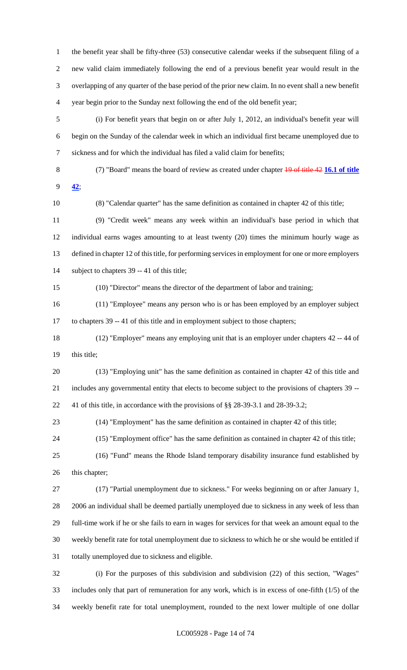the benefit year shall be fifty-three (53) consecutive calendar weeks if the subsequent filing of a new valid claim immediately following the end of a previous benefit year would result in the overlapping of any quarter of the base period of the prior new claim. In no event shall a new benefit year begin prior to the Sunday next following the end of the old benefit year;

 (i) For benefit years that begin on or after July 1, 2012, an individual's benefit year will begin on the Sunday of the calendar week in which an individual first became unemployed due to sickness and for which the individual has filed a valid claim for benefits;

 (7) "Board" means the board of review as created under chapter 19 of title 42 **16.1 of title 42**;

(8) "Calendar quarter" has the same definition as contained in chapter 42 of this title;

 (9) "Credit week" means any week within an individual's base period in which that individual earns wages amounting to at least twenty (20) times the minimum hourly wage as defined in chapter 12 of this title, for performing services in employment for one or more employers subject to chapters 39 -- 41 of this title;

(10) "Director" means the director of the department of labor and training;

 (11) "Employee" means any person who is or has been employed by an employer subject to chapters 39 -- 41 of this title and in employment subject to those chapters;

 (12) "Employer" means any employing unit that is an employer under chapters 42 -- 44 of this title;

 (13) "Employing unit" has the same definition as contained in chapter 42 of this title and includes any governmental entity that elects to become subject to the provisions of chapters 39 -- 41 of this title, in accordance with the provisions of §§ 28-39-3.1 and 28-39-3.2;

(14) "Employment" has the same definition as contained in chapter 42 of this title;

(15) "Employment office" has the same definition as contained in chapter 42 of this title;

 (16) "Fund" means the Rhode Island temporary disability insurance fund established by this chapter;

 (17) "Partial unemployment due to sickness." For weeks beginning on or after January 1, 2006 an individual shall be deemed partially unemployed due to sickness in any week of less than full-time work if he or she fails to earn in wages for services for that week an amount equal to the weekly benefit rate for total unemployment due to sickness to which he or she would be entitled if totally unemployed due to sickness and eligible.

 (i) For the purposes of this subdivision and subdivision (22) of this section, "Wages" includes only that part of remuneration for any work, which is in excess of one-fifth (1/5) of the weekly benefit rate for total unemployment, rounded to the next lower multiple of one dollar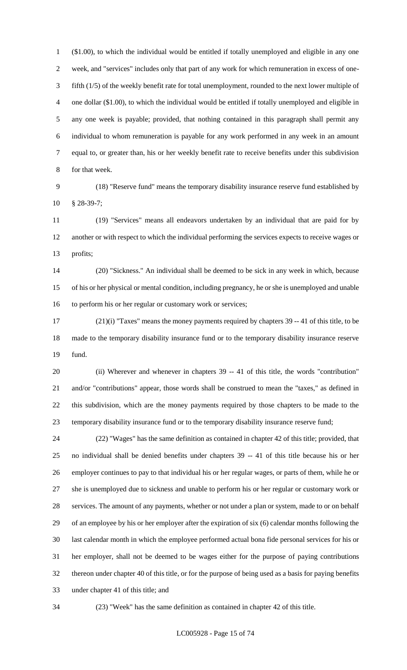(\$1.00), to which the individual would be entitled if totally unemployed and eligible in any one week, and "services" includes only that part of any work for which remuneration in excess of one- fifth (1/5) of the weekly benefit rate for total unemployment, rounded to the next lower multiple of one dollar (\$1.00), to which the individual would be entitled if totally unemployed and eligible in any one week is payable; provided, that nothing contained in this paragraph shall permit any individual to whom remuneration is payable for any work performed in any week in an amount equal to, or greater than, his or her weekly benefit rate to receive benefits under this subdivision for that week.

 (18) "Reserve fund" means the temporary disability insurance reserve fund established by § 28-39-7;

 (19) "Services" means all endeavors undertaken by an individual that are paid for by another or with respect to which the individual performing the services expects to receive wages or profits;

 (20) "Sickness." An individual shall be deemed to be sick in any week in which, because of his or her physical or mental condition, including pregnancy, he or she is unemployed and unable 16 to perform his or her regular or customary work or services;

 (21)(i) "Taxes" means the money payments required by chapters 39 -- 41 of this title, to be made to the temporary disability insurance fund or to the temporary disability insurance reserve fund.

 (ii) Wherever and whenever in chapters 39 -- 41 of this title, the words "contribution" and/or "contributions" appear, those words shall be construed to mean the "taxes," as defined in this subdivision, which are the money payments required by those chapters to be made to the temporary disability insurance fund or to the temporary disability insurance reserve fund;

 (22) "Wages" has the same definition as contained in chapter 42 of this title; provided, that no individual shall be denied benefits under chapters 39 -- 41 of this title because his or her employer continues to pay to that individual his or her regular wages, or parts of them, while he or she is unemployed due to sickness and unable to perform his or her regular or customary work or services. The amount of any payments, whether or not under a plan or system, made to or on behalf of an employee by his or her employer after the expiration of six (6) calendar months following the last calendar month in which the employee performed actual bona fide personal services for his or her employer, shall not be deemed to be wages either for the purpose of paying contributions thereon under chapter 40 of this title, or for the purpose of being used as a basis for paying benefits under chapter 41 of this title; and

(23) "Week" has the same definition as contained in chapter 42 of this title.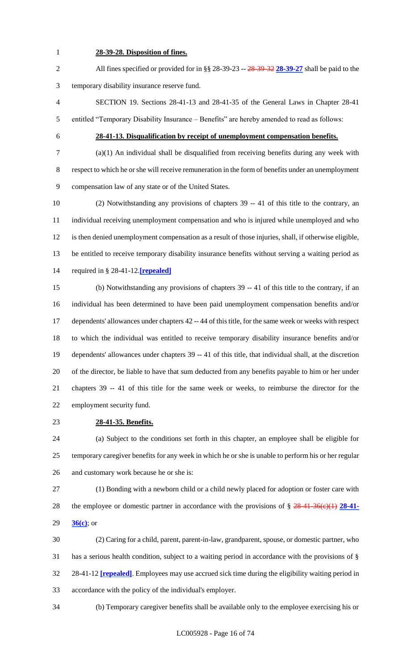### **28-39-28. Disposition of fines.**

 All fines specified or provided for in §§ 28-39-23 -- 28-39-32 **28-39-27** shall be paid to the temporary disability insurance reserve fund.

 SECTION 19. Sections 28-41-13 and 28-41-35 of the General Laws in Chapter 28-41 entitled "Temporary Disability Insurance – Benefits" are hereby amended to read as follows:

### **28-41-13. Disqualification by receipt of unemployment compensation benefits.**

 (a)(1) An individual shall be disqualified from receiving benefits during any week with respect to which he or she will receive remuneration in the form of benefits under an unemployment compensation law of any state or of the United States.

 (2) Notwithstanding any provisions of chapters 39 -- 41 of this title to the contrary, an individual receiving unemployment compensation and who is injured while unemployed and who is then denied unemployment compensation as a result of those injuries, shall, if otherwise eligible, be entitled to receive temporary disability insurance benefits without serving a waiting period as required in § 28-41-12.**[repealed]**

 (b) Notwithstanding any provisions of chapters 39 -- 41 of this title to the contrary, if an individual has been determined to have been paid unemployment compensation benefits and/or dependents' allowances under chapters 42 -- 44 of this title, for the same week or weeks with respect to which the individual was entitled to receive temporary disability insurance benefits and/or dependents' allowances under chapters 39 -- 41 of this title, that individual shall, at the discretion of the director, be liable to have that sum deducted from any benefits payable to him or her under chapters 39 -- 41 of this title for the same week or weeks, to reimburse the director for the employment security fund.

### **28-41-35. Benefits.**

 (a) Subject to the conditions set forth in this chapter, an employee shall be eligible for temporary caregiver benefits for any week in which he or she is unable to perform his or her regular and customary work because he or she is:

 (1) Bonding with a newborn child or a child newly placed for adoption or foster care with the employee or domestic partner in accordance with the provisions of § 28-41-36(c)(1) **28-41- 36(c)**; or

 (2) Caring for a child, parent, parent-in-law, grandparent, spouse, or domestic partner, who has a serious health condition, subject to a waiting period in accordance with the provisions of § 28-41-12 **[repealed]**. Employees may use accrued sick time during the eligibility waiting period in accordance with the policy of the individual's employer.

(b) Temporary caregiver benefits shall be available only to the employee exercising his or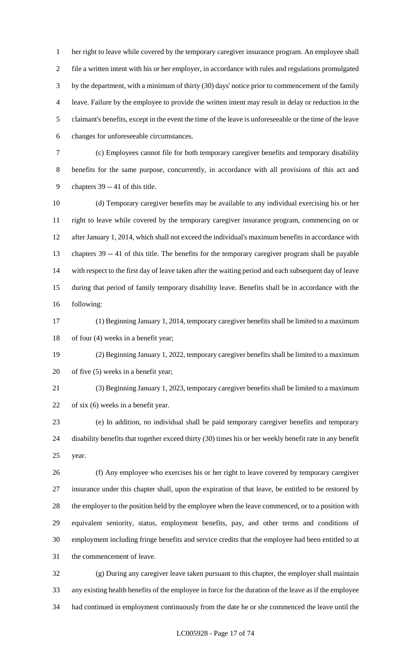her right to leave while covered by the temporary caregiver insurance program. An employee shall file a written intent with his or her employer, in accordance with rules and regulations promulgated by the department, with a minimum of thirty (30) days' notice prior to commencement of the family leave. Failure by the employee to provide the written intent may result in delay or reduction in the claimant's benefits, except in the event the time of the leave is unforeseeable or the time of the leave changes for unforeseeable circumstances.

 (c) Employees cannot file for both temporary caregiver benefits and temporary disability benefits for the same purpose, concurrently, in accordance with all provisions of this act and chapters 39 -- 41 of this title.

 (d) Temporary caregiver benefits may be available to any individual exercising his or her right to leave while covered by the temporary caregiver insurance program, commencing on or after January 1, 2014, which shall not exceed the individual's maximum benefits in accordance with chapters 39 -- 41 of this title. The benefits for the temporary caregiver program shall be payable with respect to the first day of leave taken after the waiting period and each subsequent day of leave during that period of family temporary disability leave. Benefits shall be in accordance with the following:

 (1) Beginning January 1, 2014, temporary caregiver benefits shall be limited to a maximum of four (4) weeks in a benefit year;

 (2) Beginning January 1, 2022, temporary caregiver benefits shall be limited to a maximum of five (5) weeks in a benefit year;

 (3) Beginning January 1, 2023, temporary caregiver benefits shall be limited to a maximum of six (6) weeks in a benefit year.

 (e) In addition, no individual shall be paid temporary caregiver benefits and temporary disability benefits that together exceed thirty (30) times his or her weekly benefit rate in any benefit year.

 (f) Any employee who exercises his or her right to leave covered by temporary caregiver insurance under this chapter shall, upon the expiration of that leave, be entitled to be restored by the employer to the position held by the employee when the leave commenced, or to a position with equivalent seniority, status, employment benefits, pay, and other terms and conditions of employment including fringe benefits and service credits that the employee had been entitled to at the commencement of leave.

 (g) During any caregiver leave taken pursuant to this chapter, the employer shall maintain any existing health benefits of the employee in force for the duration of the leave as if the employee had continued in employment continuously from the date he or she commenced the leave until the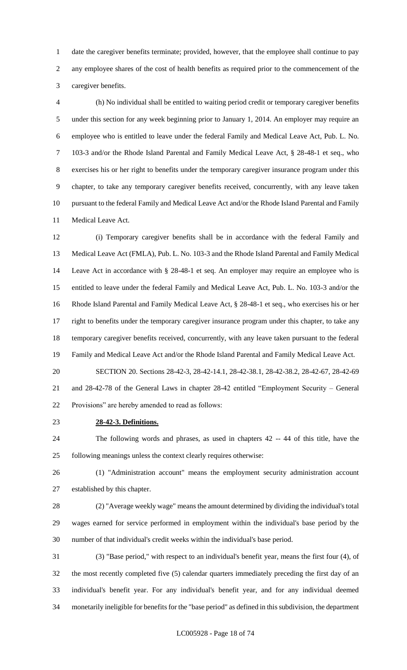date the caregiver benefits terminate; provided, however, that the employee shall continue to pay any employee shares of the cost of health benefits as required prior to the commencement of the caregiver benefits.

 (h) No individual shall be entitled to waiting period credit or temporary caregiver benefits under this section for any week beginning prior to January 1, 2014. An employer may require an employee who is entitled to leave under the federal Family and Medical Leave Act, Pub. L. No. 103-3 and/or the Rhode Island Parental and Family Medical Leave Act, § 28-48-1 et seq., who exercises his or her right to benefits under the temporary caregiver insurance program under this chapter, to take any temporary caregiver benefits received, concurrently, with any leave taken pursuant to the federal Family and Medical Leave Act and/or the Rhode Island Parental and Family Medical Leave Act.

 (i) Temporary caregiver benefits shall be in accordance with the federal Family and Medical Leave Act (FMLA), Pub. L. No. 103-3 and the Rhode Island Parental and Family Medical Leave Act in accordance with § 28-48-1 et seq. An employer may require an employee who is entitled to leave under the federal Family and Medical Leave Act, Pub. L. No. 103-3 and/or the Rhode Island Parental and Family Medical Leave Act, § 28-48-1 et seq., who exercises his or her 17 right to benefits under the temporary caregiver insurance program under this chapter, to take any temporary caregiver benefits received, concurrently, with any leave taken pursuant to the federal Family and Medical Leave Act and/or the Rhode Island Parental and Family Medical Leave Act. SECTION 20. Sections 28-42-3, 28-42-14.1, 28-42-38.1, 28-42-38.2, 28-42-67, 28-42-69

 and 28-42-78 of the General Laws in chapter 28-42 entitled "Employment Security – General Provisions" are hereby amended to read as follows:

**28-42-3. Definitions.**

 The following words and phrases, as used in chapters 42 -- 44 of this title, have the following meanings unless the context clearly requires otherwise:

 (1) "Administration account" means the employment security administration account established by this chapter.

 (2) "Average weekly wage" means the amount determined by dividing the individual's total wages earned for service performed in employment within the individual's base period by the number of that individual's credit weeks within the individual's base period.

 (3) "Base period," with respect to an individual's benefit year, means the first four (4), of the most recently completed five (5) calendar quarters immediately preceding the first day of an individual's benefit year. For any individual's benefit year, and for any individual deemed monetarily ineligible for benefits for the "base period" as defined in this subdivision, the department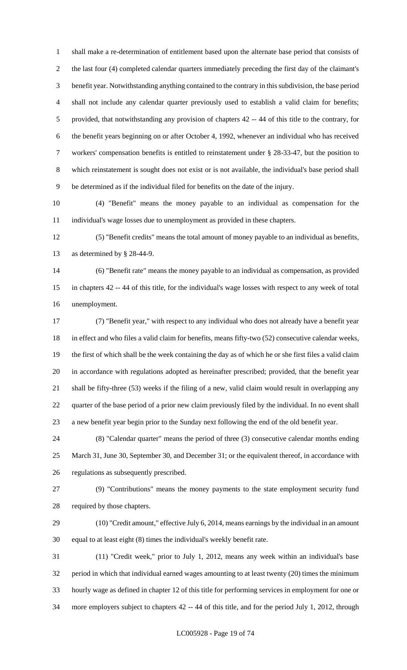shall make a re-determination of entitlement based upon the alternate base period that consists of the last four (4) completed calendar quarters immediately preceding the first day of the claimant's benefit year. Notwithstanding anything contained to the contrary in this subdivision, the base period shall not include any calendar quarter previously used to establish a valid claim for benefits; provided, that notwithstanding any provision of chapters 42 -- 44 of this title to the contrary, for the benefit years beginning on or after October 4, 1992, whenever an individual who has received workers' compensation benefits is entitled to reinstatement under § 28-33-47, but the position to which reinstatement is sought does not exist or is not available, the individual's base period shall be determined as if the individual filed for benefits on the date of the injury.

 (4) "Benefit" means the money payable to an individual as compensation for the individual's wage losses due to unemployment as provided in these chapters.

 (5) "Benefit credits" means the total amount of money payable to an individual as benefits, as determined by § 28-44-9.

 (6) "Benefit rate" means the money payable to an individual as compensation, as provided in chapters 42 -- 44 of this title, for the individual's wage losses with respect to any week of total unemployment.

 (7) "Benefit year," with respect to any individual who does not already have a benefit year in effect and who files a valid claim for benefits, means fifty-two (52) consecutive calendar weeks, the first of which shall be the week containing the day as of which he or she first files a valid claim in accordance with regulations adopted as hereinafter prescribed; provided, that the benefit year shall be fifty-three (53) weeks if the filing of a new, valid claim would result in overlapping any quarter of the base period of a prior new claim previously filed by the individual. In no event shall a new benefit year begin prior to the Sunday next following the end of the old benefit year.

 (8) "Calendar quarter" means the period of three (3) consecutive calendar months ending 25 March 31, June 30, September 30, and December 31; or the equivalent thereof, in accordance with regulations as subsequently prescribed.

 (9) "Contributions" means the money payments to the state employment security fund required by those chapters.

 (10) "Credit amount," effective July 6, 2014, means earnings by the individual in an amount equal to at least eight (8) times the individual's weekly benefit rate.

 (11) "Credit week," prior to July 1, 2012, means any week within an individual's base period in which that individual earned wages amounting to at least twenty (20) times the minimum hourly wage as defined in chapter 12 of this title for performing services in employment for one or more employers subject to chapters 42 -- 44 of this title, and for the period July 1, 2012, through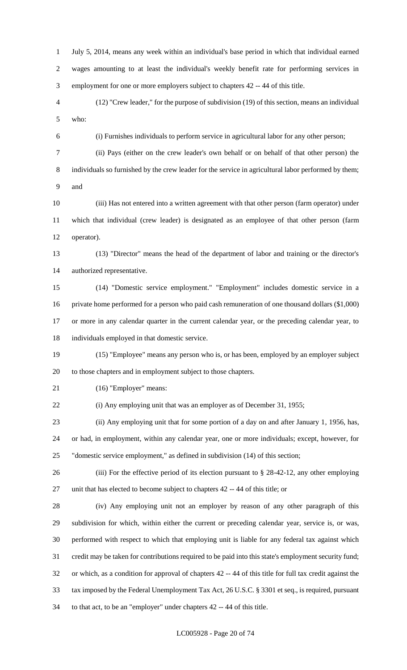July 5, 2014, means any week within an individual's base period in which that individual earned wages amounting to at least the individual's weekly benefit rate for performing services in employment for one or more employers subject to chapters 42 -- 44 of this title. (12) "Crew leader," for the purpose of subdivision (19) of this section, means an individual

who:

(i) Furnishes individuals to perform service in agricultural labor for any other person;

 (ii) Pays (either on the crew leader's own behalf or on behalf of that other person) the individuals so furnished by the crew leader for the service in agricultural labor performed by them; and

 (iii) Has not entered into a written agreement with that other person (farm operator) under which that individual (crew leader) is designated as an employee of that other person (farm operator).

 (13) "Director" means the head of the department of labor and training or the director's authorized representative.

 (14) "Domestic service employment." "Employment" includes domestic service in a private home performed for a person who paid cash remuneration of one thousand dollars (\$1,000) or more in any calendar quarter in the current calendar year, or the preceding calendar year, to individuals employed in that domestic service.

 (15) "Employee" means any person who is, or has been, employed by an employer subject to those chapters and in employment subject to those chapters.

(16) "Employer" means:

(i) Any employing unit that was an employer as of December 31, 1955;

 (ii) Any employing unit that for some portion of a day on and after January 1, 1956, has, or had, in employment, within any calendar year, one or more individuals; except, however, for "domestic service employment," as defined in subdivision (14) of this section;

 (iii) For the effective period of its election pursuant to § 28-42-12, any other employing unit that has elected to become subject to chapters 42 -- 44 of this title; or

 (iv) Any employing unit not an employer by reason of any other paragraph of this subdivision for which, within either the current or preceding calendar year, service is, or was, performed with respect to which that employing unit is liable for any federal tax against which credit may be taken for contributions required to be paid into this state's employment security fund; or which, as a condition for approval of chapters 42 -- 44 of this title for full tax credit against the tax imposed by the Federal Unemployment Tax Act, 26 U.S.C. § 3301 et seq., is required, pursuant to that act, to be an "employer" under chapters 42 -- 44 of this title.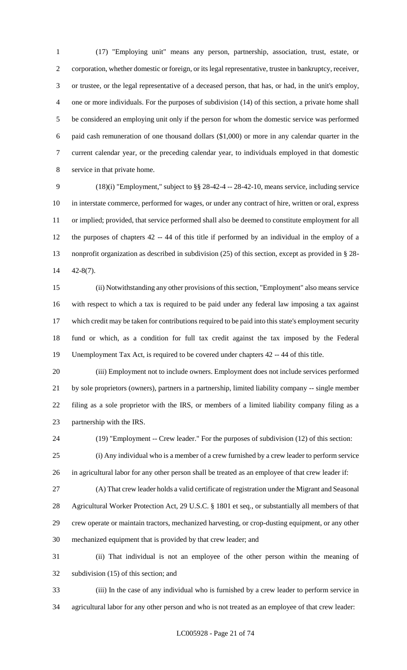(17) "Employing unit" means any person, partnership, association, trust, estate, or corporation, whether domestic or foreign, or its legal representative, trustee in bankruptcy, receiver, or trustee, or the legal representative of a deceased person, that has, or had, in the unit's employ, one or more individuals. For the purposes of subdivision (14) of this section, a private home shall be considered an employing unit only if the person for whom the domestic service was performed paid cash remuneration of one thousand dollars (\$1,000) or more in any calendar quarter in the current calendar year, or the preceding calendar year, to individuals employed in that domestic service in that private home.

 (18)(i) "Employment," subject to §§ 28-42-4 -- 28-42-10, means service, including service in interstate commerce, performed for wages, or under any contract of hire, written or oral, express or implied; provided, that service performed shall also be deemed to constitute employment for all the purposes of chapters 42 -- 44 of this title if performed by an individual in the employ of a nonprofit organization as described in subdivision (25) of this section, except as provided in § 28- 42-8(7).

 (ii) Notwithstanding any other provisions of this section, "Employment" also means service with respect to which a tax is required to be paid under any federal law imposing a tax against which credit may be taken for contributions required to be paid into this state's employment security fund or which, as a condition for full tax credit against the tax imposed by the Federal Unemployment Tax Act, is required to be covered under chapters 42 -- 44 of this title.

 (iii) Employment not to include owners. Employment does not include services performed by sole proprietors (owners), partners in a partnership, limited liability company -- single member filing as a sole proprietor with the IRS, or members of a limited liability company filing as a partnership with the IRS.

(19) "Employment -- Crew leader." For the purposes of subdivision (12) of this section:

 (i) Any individual who is a member of a crew furnished by a crew leader to perform service in agricultural labor for any other person shall be treated as an employee of that crew leader if:

 (A) That crew leader holds a valid certificate of registration under the Migrant and Seasonal Agricultural Worker Protection Act, 29 U.S.C. § 1801 et seq., or substantially all members of that crew operate or maintain tractors, mechanized harvesting, or crop-dusting equipment, or any other mechanized equipment that is provided by that crew leader; and

 (ii) That individual is not an employee of the other person within the meaning of subdivision (15) of this section; and

 (iii) In the case of any individual who is furnished by a crew leader to perform service in agricultural labor for any other person and who is not treated as an employee of that crew leader: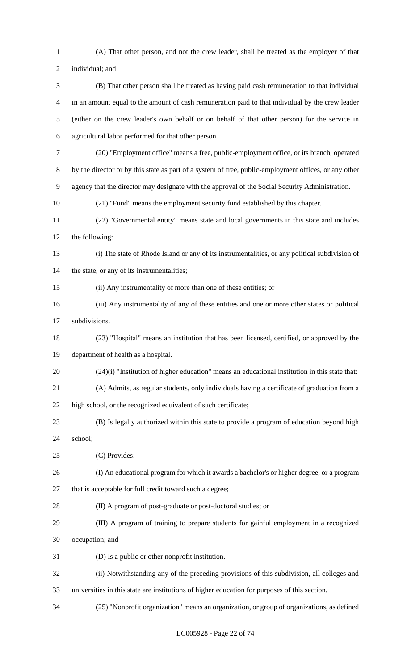(A) That other person, and not the crew leader, shall be treated as the employer of that individual; and (B) That other person shall be treated as having paid cash remuneration to that individual in an amount equal to the amount of cash remuneration paid to that individual by the crew leader (either on the crew leader's own behalf or on behalf of that other person) for the service in agricultural labor performed for that other person. (20) "Employment office" means a free, public-employment office, or its branch, operated by the director or by this state as part of a system of free, public-employment offices, or any other agency that the director may designate with the approval of the Social Security Administration. (21) "Fund" means the employment security fund established by this chapter. (22) "Governmental entity" means state and local governments in this state and includes the following: (i) The state of Rhode Island or any of its instrumentalities, or any political subdivision of 14 the state, or any of its instrumentalities; (ii) Any instrumentality of more than one of these entities; or (iii) Any instrumentality of any of these entities and one or more other states or political subdivisions. (23) "Hospital" means an institution that has been licensed, certified, or approved by the department of health as a hospital. (24)(i) "Institution of higher education" means an educational institution in this state that: (A) Admits, as regular students, only individuals having a certificate of graduation from a high school, or the recognized equivalent of such certificate; (B) Is legally authorized within this state to provide a program of education beyond high school; (C) Provides: (I) An educational program for which it awards a bachelor's or higher degree, or a program that is acceptable for full credit toward such a degree; (II) A program of post-graduate or post-doctoral studies; or (III) A program of training to prepare students for gainful employment in a recognized occupation; and (D) Is a public or other nonprofit institution. (ii) Notwithstanding any of the preceding provisions of this subdivision, all colleges and universities in this state are institutions of higher education for purposes of this section. (25) "Nonprofit organization" means an organization, or group of organizations, as defined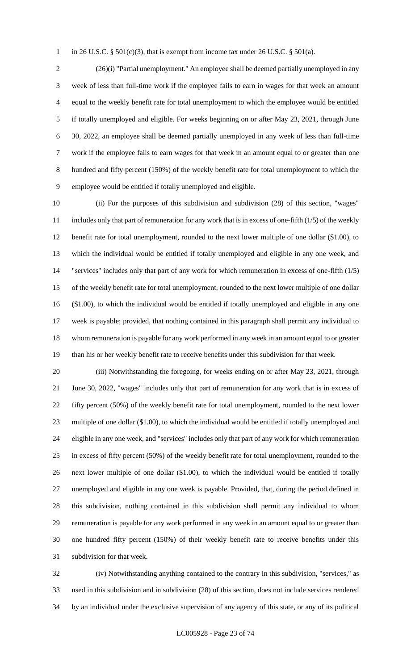1 in 26 U.S.C. §  $501(c)(3)$ , that is exempt from income tax under 26 U.S.C. §  $501(a)$ .

 (26)(i) "Partial unemployment." An employee shall be deemed partially unemployed in any week of less than full-time work if the employee fails to earn in wages for that week an amount equal to the weekly benefit rate for total unemployment to which the employee would be entitled if totally unemployed and eligible. For weeks beginning on or after May 23, 2021, through June 30, 2022, an employee shall be deemed partially unemployed in any week of less than full-time work if the employee fails to earn wages for that week in an amount equal to or greater than one hundred and fifty percent (150%) of the weekly benefit rate for total unemployment to which the employee would be entitled if totally unemployed and eligible.

 (ii) For the purposes of this subdivision and subdivision (28) of this section, "wages" includes only that part of remuneration for any work that is in excess of one-fifth (1/5) of the weekly benefit rate for total unemployment, rounded to the next lower multiple of one dollar (\$1.00), to which the individual would be entitled if totally unemployed and eligible in any one week, and "services" includes only that part of any work for which remuneration in excess of one-fifth (1/5) of the weekly benefit rate for total unemployment, rounded to the next lower multiple of one dollar (\$1.00), to which the individual would be entitled if totally unemployed and eligible in any one week is payable; provided, that nothing contained in this paragraph shall permit any individual to whom remuneration is payable for any work performed in any week in an amount equal to or greater than his or her weekly benefit rate to receive benefits under this subdivision for that week.

 (iii) Notwithstanding the foregoing, for weeks ending on or after May 23, 2021, through June 30, 2022, "wages" includes only that part of remuneration for any work that is in excess of fifty percent (50%) of the weekly benefit rate for total unemployment, rounded to the next lower multiple of one dollar (\$1.00), to which the individual would be entitled if totally unemployed and eligible in any one week, and "services" includes only that part of any work for which remuneration in excess of fifty percent (50%) of the weekly benefit rate for total unemployment, rounded to the next lower multiple of one dollar (\$1.00), to which the individual would be entitled if totally unemployed and eligible in any one week is payable. Provided, that, during the period defined in this subdivision, nothing contained in this subdivision shall permit any individual to whom remuneration is payable for any work performed in any week in an amount equal to or greater than one hundred fifty percent (150%) of their weekly benefit rate to receive benefits under this subdivision for that week.

 (iv) Notwithstanding anything contained to the contrary in this subdivision, "services," as used in this subdivision and in subdivision (28) of this section, does not include services rendered by an individual under the exclusive supervision of any agency of this state, or any of its political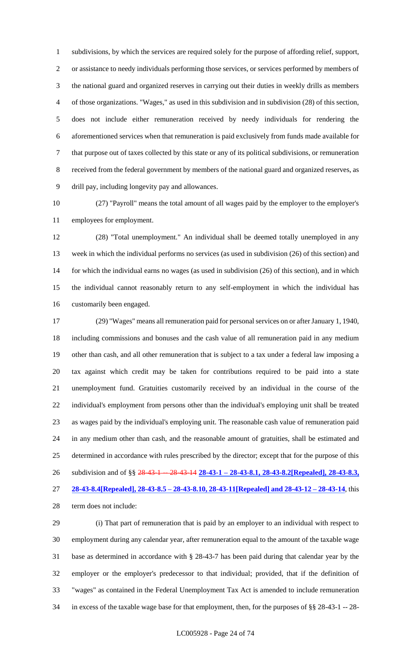subdivisions, by which the services are required solely for the purpose of affording relief, support, or assistance to needy individuals performing those services, or services performed by members of the national guard and organized reserves in carrying out their duties in weekly drills as members of those organizations. "Wages," as used in this subdivision and in subdivision (28) of this section, does not include either remuneration received by needy individuals for rendering the aforementioned services when that remuneration is paid exclusively from funds made available for that purpose out of taxes collected by this state or any of its political subdivisions, or remuneration received from the federal government by members of the national guard and organized reserves, as drill pay, including longevity pay and allowances.

 (27) "Payroll" means the total amount of all wages paid by the employer to the employer's employees for employment.

 (28) "Total unemployment." An individual shall be deemed totally unemployed in any week in which the individual performs no services (as used in subdivision (26) of this section) and for which the individual earns no wages (as used in subdivision (26) of this section), and in which the individual cannot reasonably return to any self-employment in which the individual has customarily been engaged.

 (29) "Wages" means all remuneration paid for personal services on or after January 1, 1940, including commissions and bonuses and the cash value of all remuneration paid in any medium other than cash, and all other remuneration that is subject to a tax under a federal law imposing a tax against which credit may be taken for contributions required to be paid into a state unemployment fund. Gratuities customarily received by an individual in the course of the individual's employment from persons other than the individual's employing unit shall be treated as wages paid by the individual's employing unit. The reasonable cash value of remuneration paid in any medium other than cash, and the reasonable amount of gratuities, shall be estimated and determined in accordance with rules prescribed by the director; except that for the purpose of this subdivision and of §§ 28-43-1 -- 28-43-14 **28-43-1 – 28-43-8.1, 28-43-8.2[Repealed], 28-43-8.3, 28-43-8.4[Repealed], 28-43-8.5 – 28-43-8.10, 28-43-11[Repealed] and 28-43-12 – 28-43-14**, this term does not include:

 (i) That part of remuneration that is paid by an employer to an individual with respect to employment during any calendar year, after remuneration equal to the amount of the taxable wage base as determined in accordance with § 28-43-7 has been paid during that calendar year by the employer or the employer's predecessor to that individual; provided, that if the definition of "wages" as contained in the Federal Unemployment Tax Act is amended to include remuneration in excess of the taxable wage base for that employment, then, for the purposes of §§ 28-43-1 -- 28-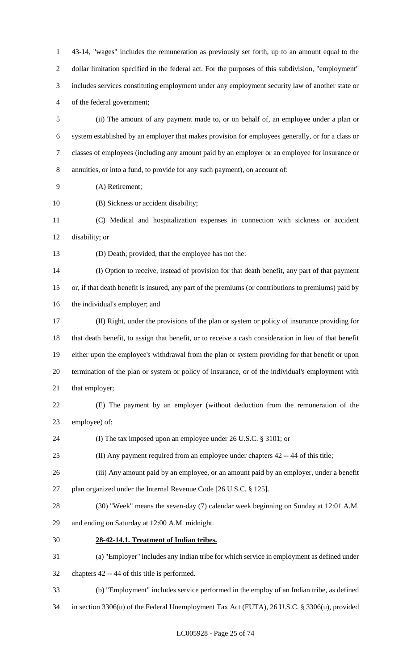43-14, "wages" includes the remuneration as previously set forth, up to an amount equal to the dollar limitation specified in the federal act. For the purposes of this subdivision, "employment" includes services constituting employment under any employment security law of another state or of the federal government; (ii) The amount of any payment made to, or on behalf of, an employee under a plan or system established by an employer that makes provision for employees generally, or for a class or classes of employees (including any amount paid by an employer or an employee for insurance or annuities, or into a fund, to provide for any such payment), on account of:

- (A) Retirement;
- (B) Sickness or accident disability;

 (C) Medical and hospitalization expenses in connection with sickness or accident disability; or

(D) Death; provided, that the employee has not the:

 (I) Option to receive, instead of provision for that death benefit, any part of that payment or, if that death benefit is insured, any part of the premiums (or contributions to premiums) paid by the individual's employer; and

 (II) Right, under the provisions of the plan or system or policy of insurance providing for that death benefit, to assign that benefit, or to receive a cash consideration in lieu of that benefit either upon the employee's withdrawal from the plan or system providing for that benefit or upon termination of the plan or system or policy of insurance, or of the individual's employment with 21 that employer;

 (E) The payment by an employer (without deduction from the remuneration of the employee) of:

(I) The tax imposed upon an employee under 26 U.S.C. § 3101; or

(II) Any payment required from an employee under chapters 42 -- 44 of this title;

(iii) Any amount paid by an employee, or an amount paid by an employer, under a benefit

plan organized under the Internal Revenue Code [26 U.S.C. § 125].

 (30) "Week" means the seven-day (7) calendar week beginning on Sunday at 12:01 A.M. and ending on Saturday at 12:00 A.M. midnight.

**28-42-14.1. Treatment of Indian tribes.**

(a) "Employer" includes any Indian tribe for which service in employment as defined under

chapters 42 -- 44 of this title is performed.

- (b) "Employment" includes service performed in the employ of an Indian tribe, as defined
- in section 3306(u) of the Federal Unemployment Tax Act (FUTA), 26 U.S.C. § 3306(u), provided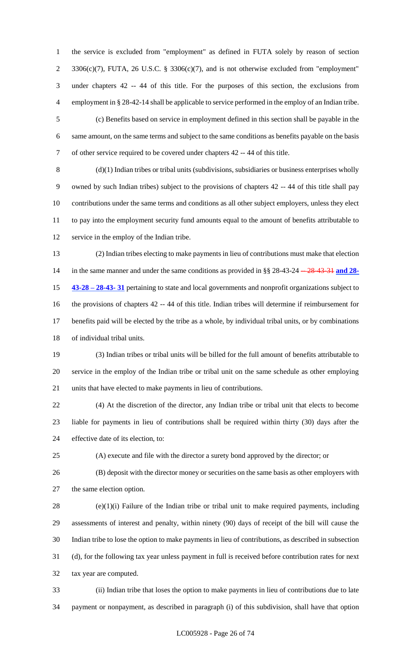the service is excluded from "employment" as defined in FUTA solely by reason of section 3306(c)(7), FUTA, 26 U.S.C. § 3306(c)(7), and is not otherwise excluded from "employment" under chapters 42 -- 44 of this title. For the purposes of this section, the exclusions from employment in § 28-42-14 shall be applicable to service performed in the employ of an Indian tribe.

 (c) Benefits based on service in employment defined in this section shall be payable in the same amount, on the same terms and subject to the same conditions as benefits payable on the basis of other service required to be covered under chapters 42 -- 44 of this title.

 (d)(1) Indian tribes or tribal units (subdivisions, subsidiaries or business enterprises wholly owned by such Indian tribes) subject to the provisions of chapters 42 -- 44 of this title shall pay contributions under the same terms and conditions as all other subject employers, unless they elect to pay into the employment security fund amounts equal to the amount of benefits attributable to service in the employ of the Indian tribe.

 (2) Indian tribes electing to make payments in lieu of contributions must make that election 14 in the same manner and under the same conditions as provided in §§ 28-43-24 -- 28-43-31 and 28- **43-28 – 28-43- 31** pertaining to state and local governments and nonprofit organizations subject to the provisions of chapters 42 -- 44 of this title. Indian tribes will determine if reimbursement for benefits paid will be elected by the tribe as a whole, by individual tribal units, or by combinations of individual tribal units.

 (3) Indian tribes or tribal units will be billed for the full amount of benefits attributable to service in the employ of the Indian tribe or tribal unit on the same schedule as other employing units that have elected to make payments in lieu of contributions.

 (4) At the discretion of the director, any Indian tribe or tribal unit that elects to become liable for payments in lieu of contributions shall be required within thirty (30) days after the effective date of its election, to:

(A) execute and file with the director a surety bond approved by the director; or

 (B) deposit with the director money or securities on the same basis as other employers with the same election option.

 (e)(1)(i) Failure of the Indian tribe or tribal unit to make required payments, including assessments of interest and penalty, within ninety (90) days of receipt of the bill will cause the Indian tribe to lose the option to make payments in lieu of contributions, as described in subsection (d), for the following tax year unless payment in full is received before contribution rates for next tax year are computed.

 (ii) Indian tribe that loses the option to make payments in lieu of contributions due to late payment or nonpayment, as described in paragraph (i) of this subdivision, shall have that option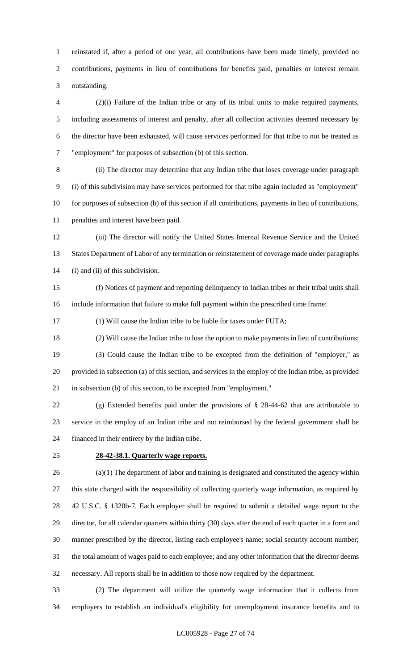reinstated if, after a period of one year, all contributions have been made timely, provided no contributions, payments in lieu of contributions for benefits paid, penalties or interest remain outstanding.

 (2)(i) Failure of the Indian tribe or any of its tribal units to make required payments, including assessments of interest and penalty, after all collection activities deemed necessary by the director have been exhausted, will cause services performed for that tribe to not be treated as "employment" for purposes of subsection (b) of this section.

 (ii) The director may determine that any Indian tribe that loses coverage under paragraph (i) of this subdivision may have services performed for that tribe again included as "employment" for purposes of subsection (b) of this section if all contributions, payments in lieu of contributions, penalties and interest have been paid.

 (iii) The director will notify the United States Internal Revenue Service and the United States Department of Labor of any termination or reinstatement of coverage made under paragraphs (i) and (ii) of this subdivision.

 (f) Notices of payment and reporting delinquency to Indian tribes or their tribal units shall include information that failure to make full payment within the prescribed time frame:

(1) Will cause the Indian tribe to be liable for taxes under FUTA;

 (2) Will cause the Indian tribe to lose the option to make payments in lieu of contributions; (3) Could cause the Indian tribe to be excepted from the definition of "employer," as provided in subsection (a) of this section, and services in the employ of the Indian tribe, as provided in subsection (b) of this section, to be excepted from "employment."

 (g) Extended benefits paid under the provisions of § 28-44-62 that are attributable to service in the employ of an Indian tribe and not reimbursed by the federal government shall be financed in their entirety by the Indian tribe.

#### **28-42-38.1. Quarterly wage reports.**

 (a)(1) The department of labor and training is designated and constituted the agency within this state charged with the responsibility of collecting quarterly wage information, as required by 42 U.S.C. § 1320b-7. Each employer shall be required to submit a detailed wage report to the director, for all calendar quarters within thirty (30) days after the end of each quarter in a form and manner prescribed by the director, listing each employee's name; social security account number; the total amount of wages paid to each employee; and any other information that the director deems necessary. All reports shall be in addition to those now required by the department.

 (2) The department will utilize the quarterly wage information that it collects from employers to establish an individual's eligibility for unemployment insurance benefits and to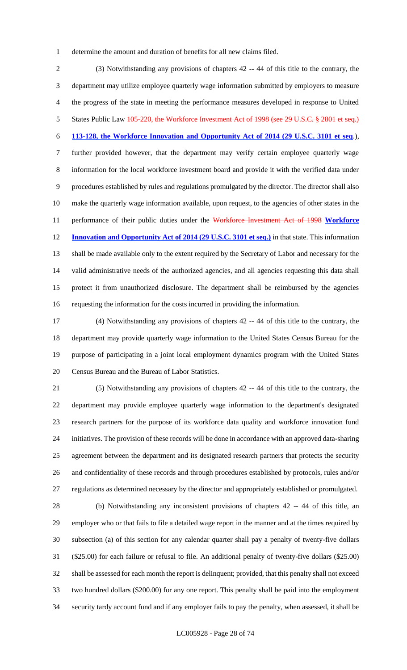determine the amount and duration of benefits for all new claims filed.

 (3) Notwithstanding any provisions of chapters 42 -- 44 of this title to the contrary, the department may utilize employee quarterly wage information submitted by employers to measure the progress of the state in meeting the performance measures developed in response to United 5 States Public Law 105-220, the Workforce Investment Act of 1998 (see 29 U.S.C. § 2801 et seq.) **113-128, the Workforce Innovation and Opportunity Act of 2014 (29 U.S.C. 3101 et seq**.), further provided however, that the department may verify certain employee quarterly wage information for the local workforce investment board and provide it with the verified data under procedures established by rules and regulations promulgated by the director. The director shall also make the quarterly wage information available, upon request, to the agencies of other states in the performance of their public duties under the Workforce Investment Act of 1998 **Workforce Innovation and Opportunity Act of 2014 (29 U.S.C. 3101 et seq.)** in that state. This information shall be made available only to the extent required by the Secretary of Labor and necessary for the valid administrative needs of the authorized agencies, and all agencies requesting this data shall protect it from unauthorized disclosure. The department shall be reimbursed by the agencies requesting the information for the costs incurred in providing the information.

 (4) Notwithstanding any provisions of chapters 42 -- 44 of this title to the contrary, the department may provide quarterly wage information to the United States Census Bureau for the purpose of participating in a joint local employment dynamics program with the United States Census Bureau and the Bureau of Labor Statistics.

 (5) Notwithstanding any provisions of chapters 42 -- 44 of this title to the contrary, the department may provide employee quarterly wage information to the department's designated research partners for the purpose of its workforce data quality and workforce innovation fund initiatives. The provision of these records will be done in accordance with an approved data-sharing agreement between the department and its designated research partners that protects the security and confidentiality of these records and through procedures established by protocols, rules and/or regulations as determined necessary by the director and appropriately established or promulgated.

 (b) Notwithstanding any inconsistent provisions of chapters 42 -- 44 of this title, an employer who or that fails to file a detailed wage report in the manner and at the times required by subsection (a) of this section for any calendar quarter shall pay a penalty of twenty-five dollars (\$25.00) for each failure or refusal to file. An additional penalty of twenty-five dollars (\$25.00) shall be assessed for each month the report is delinquent; provided, that this penalty shall not exceed two hundred dollars (\$200.00) for any one report. This penalty shall be paid into the employment security tardy account fund and if any employer fails to pay the penalty, when assessed, it shall be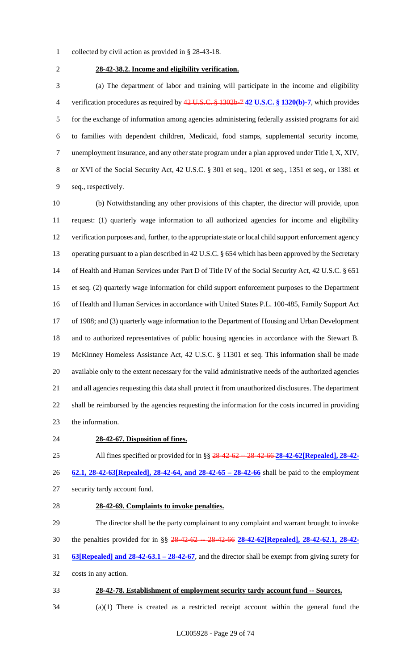- collected by civil action as provided in § 28-43-18.
- 

# **28-42-38.2. Income and eligibility verification.**

 (a) The department of labor and training will participate in the income and eligibility verification procedures as required by 42 U.S.C. § 1302b-7 **42 U.S.C. § 1320(b)-7**, which provides for the exchange of information among agencies administering federally assisted programs for aid to families with dependent children, Medicaid, food stamps, supplemental security income, unemployment insurance, and any other state program under a plan approved under Title I, X, XIV, or XVI of the Social Security Act, 42 U.S.C. § 301 et seq., 1201 et seq., 1351 et seq., or 1381 et seq., respectively.

 (b) Notwithstanding any other provisions of this chapter, the director will provide, upon request: (1) quarterly wage information to all authorized agencies for income and eligibility verification purposes and, further, to the appropriate state or local child support enforcement agency operating pursuant to a plan described in 42 U.S.C. § 654 which has been approved by the Secretary of Health and Human Services under Part D of Title IV of the Social Security Act, 42 U.S.C. § 651 et seq. (2) quarterly wage information for child support enforcement purposes to the Department of Health and Human Services in accordance with United States P.L. 100-485, Family Support Act of 1988; and (3) quarterly wage information to the Department of Housing and Urban Development and to authorized representatives of public housing agencies in accordance with the Stewart B. McKinney Homeless Assistance Act, 42 U.S.C. § 11301 et seq. This information shall be made available only to the extent necessary for the valid administrative needs of the authorized agencies and all agencies requesting this data shall protect it from unauthorized disclosures. The department shall be reimbursed by the agencies requesting the information for the costs incurred in providing the information.

#### **28-42-67. Disposition of fines.**

25 All fines specified or provided for in §§ 28 42 62 -- 28 42 66 28 - 42 - 62 **[Repealed]**, 28 - 42 -

**62.1, 28-42-63[Repealed], 28-42-64, and 28-42-65 – 28-42-66** shall be paid to the employment

- security tardy account fund.
- **28-42-69. Complaints to invoke penalties.**

 The director shall be the party complainant to any complaint and warrant brought to invoke the penalties provided for in §§ 28-42-62 -- 28-42-66 **28-42-62[Repealed], 28-42-62.1, 28-42- 63[Repealed] and 28-42-63.1 – 28-42-67**, and the director shall be exempt from giving surety for costs in any action.

- **28-42-78. Establishment of employment security tardy account fund -- Sources.**
- (a)(1) There is created as a restricted receipt account within the general fund the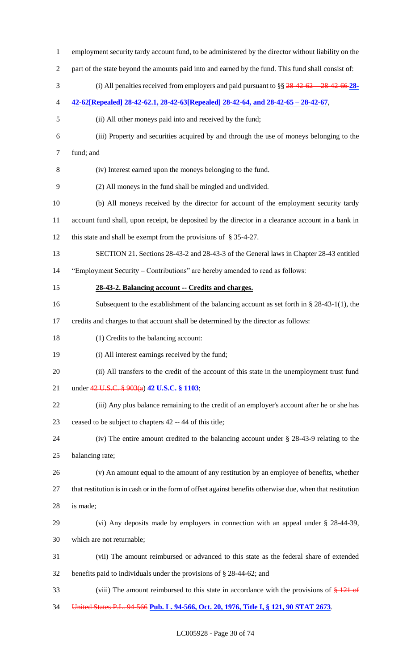employment security tardy account fund, to be administered by the director without liability on the part of the state beyond the amounts paid into and earned by the fund. This fund shall consist of: (i) All penalties received from employers and paid pursuant to §§ 28-42-62 -- 28-42-66 **28- 42-62[Repealed] 28-42-62.1, 28-42-63[Repealed] 28-42-64, and 28-42-65 – 28-42-67**, (ii) All other moneys paid into and received by the fund; (iii) Property and securities acquired by and through the use of moneys belonging to the fund; and (iv) Interest earned upon the moneys belonging to the fund. (2) All moneys in the fund shall be mingled and undivided. (b) All moneys received by the director for account of the employment security tardy account fund shall, upon receipt, be deposited by the director in a clearance account in a bank in this state and shall be exempt from the provisions of § 35-4-27. SECTION 21. Sections 28-43-2 and 28-43-3 of the General laws in Chapter 28-43 entitled "Employment Security – Contributions" are hereby amended to read as follows: **28-43-2. Balancing account -- Credits and charges.** Subsequent to the establishment of the balancing account as set forth in § 28-43-1(1), the credits and charges to that account shall be determined by the director as follows: (1) Credits to the balancing account: (i) All interest earnings received by the fund; (ii) All transfers to the credit of the account of this state in the unemployment trust fund under 42 U.S.C. § 903(a) **42 U.S.C. § 1103**; (iii) Any plus balance remaining to the credit of an employer's account after he or she has ceased to be subject to chapters 42 -- 44 of this title; (iv) The entire amount credited to the balancing account under § 28-43-9 relating to the balancing rate; (v) An amount equal to the amount of any restitution by an employee of benefits, whether that restitution is in cash or in the form of offset against benefits otherwise due, when that restitution is made; (vi) Any deposits made by employers in connection with an appeal under § 28-44-39, which are not returnable; (vii) The amount reimbursed or advanced to this state as the federal share of extended benefits paid to individuals under the provisions of § 28-44-62; and 33 (viii) The amount reimbursed to this state in accordance with the provisions of  $\frac{121}{121}$  of United States P.L. 94-566 **Pub. L. 94-566, Oct. 20, 1976, Title I, § 121, 90 STAT 2673**.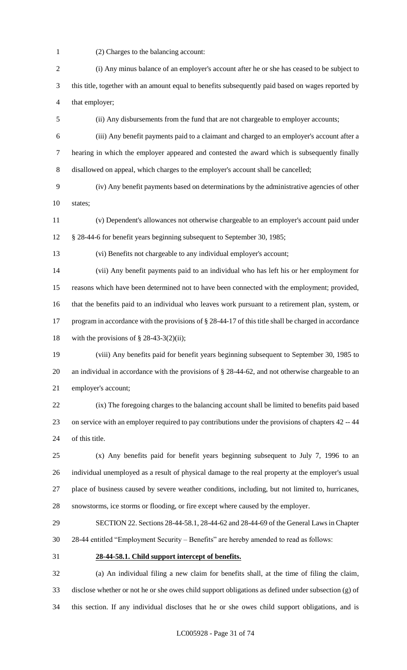- (2) Charges to the balancing account:
- (i) Any minus balance of an employer's account after he or she has ceased to be subject to this title, together with an amount equal to benefits subsequently paid based on wages reported by that employer; (ii) Any disbursements from the fund that are not chargeable to employer accounts; (iii) Any benefit payments paid to a claimant and charged to an employer's account after a hearing in which the employer appeared and contested the award which is subsequently finally disallowed on appeal, which charges to the employer's account shall be cancelled; (iv) Any benefit payments based on determinations by the administrative agencies of other states; (v) Dependent's allowances not otherwise chargeable to an employer's account paid under § 28-44-6 for benefit years beginning subsequent to September 30, 1985; (vi) Benefits not chargeable to any individual employer's account; (vii) Any benefit payments paid to an individual who has left his or her employment for reasons which have been determined not to have been connected with the employment; provided, that the benefits paid to an individual who leaves work pursuant to a retirement plan, system, or program in accordance with the provisions of § 28-44-17 of this title shall be charged in accordance 18 with the provisions of  $\S$  28-43-3(2)(ii); (viii) Any benefits paid for benefit years beginning subsequent to September 30, 1985 to an individual in accordance with the provisions of § 28-44-62, and not otherwise chargeable to an employer's account; (ix) The foregoing charges to the balancing account shall be limited to benefits paid based on service with an employer required to pay contributions under the provisions of chapters 42 -- 44 of this title. (x) Any benefits paid for benefit years beginning subsequent to July 7, 1996 to an individual unemployed as a result of physical damage to the real property at the employer's usual place of business caused by severe weather conditions, including, but not limited to, hurricanes, snowstorms, ice storms or flooding, or fire except where caused by the employer. SECTION 22. Sections 28-44-58.1, 28-44-62 and 28-44-69 of the General Laws in Chapter 28-44 entitled "Employment Security – Benefits" are hereby amended to read as follows: **28-44-58.1. Child support intercept of benefits.** (a) An individual filing a new claim for benefits shall, at the time of filing the claim, disclose whether or not he or she owes child support obligations as defined under subsection (g) of this section. If any individual discloses that he or she owes child support obligations, and is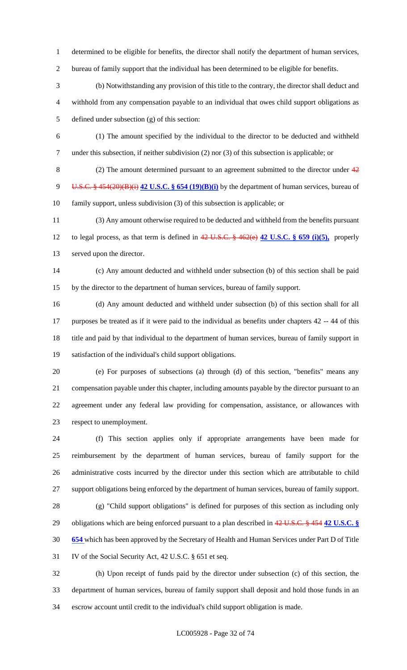- determined to be eligible for benefits, the director shall notify the department of human services,
- bureau of family support that the individual has been determined to be eligible for benefits.
- (b) Notwithstanding any provision of this title to the contrary, the director shall deduct and withhold from any compensation payable to an individual that owes child support obligations as defined under subsection (g) of this section:
- (1) The amount specified by the individual to the director to be deducted and withheld under this subsection, if neither subdivision (2) nor (3) of this subsection is applicable; or
- 8 (2) The amount determined pursuant to an agreement submitted to the director under  $\frac{42}{3}$  U.S.C. § 454(20)(B)(i) **42 U.S.C. § 654 (19)(B)(i)** by the department of human services, bureau of family support, unless subdivision (3) of this subsection is applicable; or
- (3) Any amount otherwise required to be deducted and withheld from the benefits pursuant to legal process, as that term is defined in 42 U.S.C. § 462(e) **42 U.S.C. § 659 (i)(5),** properly served upon the director.
- (c) Any amount deducted and withheld under subsection (b) of this section shall be paid by the director to the department of human services, bureau of family support.
- (d) Any amount deducted and withheld under subsection (b) of this section shall for all purposes be treated as if it were paid to the individual as benefits under chapters 42 -- 44 of this title and paid by that individual to the department of human services, bureau of family support in satisfaction of the individual's child support obligations.
- 

 (e) For purposes of subsections (a) through (d) of this section, "benefits" means any compensation payable under this chapter, including amounts payable by the director pursuant to an agreement under any federal law providing for compensation, assistance, or allowances with respect to unemployment.

 (f) This section applies only if appropriate arrangements have been made for reimbursement by the department of human services, bureau of family support for the administrative costs incurred by the director under this section which are attributable to child support obligations being enforced by the department of human services, bureau of family support.

 (g) "Child support obligations" is defined for purposes of this section as including only obligations which are being enforced pursuant to a plan described in 42 U.S.C. § 454 **42 U.S.C. § 654** which has been approved by the Secretary of Health and Human Services under Part D of Title IV of the Social Security Act, 42 U.S.C. § 651 et seq.

 (h) Upon receipt of funds paid by the director under subsection (c) of this section, the department of human services, bureau of family support shall deposit and hold those funds in an escrow account until credit to the individual's child support obligation is made.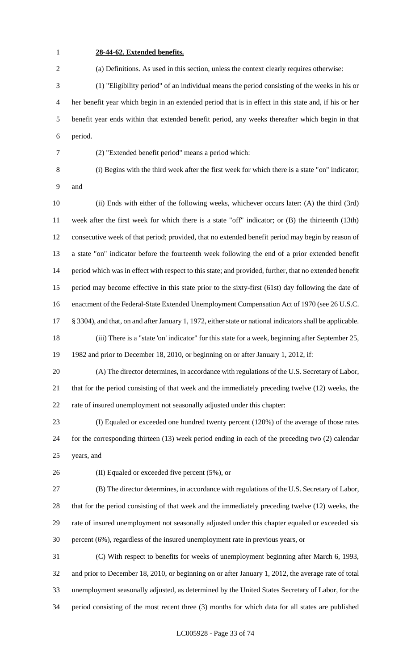# **28-44-62. Extended benefits.**

(a) Definitions. As used in this section, unless the context clearly requires otherwise:

 (1) "Eligibility period" of an individual means the period consisting of the weeks in his or her benefit year which begin in an extended period that is in effect in this state and, if his or her benefit year ends within that extended benefit period, any weeks thereafter which begin in that period.

(2) "Extended benefit period" means a period which:

 (i) Begins with the third week after the first week for which there is a state "on" indicator; and

 (ii) Ends with either of the following weeks, whichever occurs later: (A) the third (3rd) week after the first week for which there is a state "off" indicator; or (B) the thirteenth (13th) consecutive week of that period; provided, that no extended benefit period may begin by reason of a state "on" indicator before the fourteenth week following the end of a prior extended benefit period which was in effect with respect to this state; and provided, further, that no extended benefit period may become effective in this state prior to the sixty-first (61st) day following the date of enactment of the Federal-State Extended Unemployment Compensation Act of 1970 (see 26 U.S.C. § 3304), and that, on and after January 1, 1972, either state or national indicators shall be applicable. (iii) There is a "state 'on' indicator" for this state for a week, beginning after September 25, 1982 and prior to December 18, 2010, or beginning on or after January 1, 2012, if:

 (A) The director determines, in accordance with regulations of the U.S. Secretary of Labor, that for the period consisting of that week and the immediately preceding twelve (12) weeks, the rate of insured unemployment not seasonally adjusted under this chapter:

 (I) Equaled or exceeded one hundred twenty percent (120%) of the average of those rates for the corresponding thirteen (13) week period ending in each of the preceding two (2) calendar years, and

(II) Equaled or exceeded five percent (5%), or

 (B) The director determines, in accordance with regulations of the U.S. Secretary of Labor, that for the period consisting of that week and the immediately preceding twelve (12) weeks, the rate of insured unemployment not seasonally adjusted under this chapter equaled or exceeded six percent (6%), regardless of the insured unemployment rate in previous years, or

 (C) With respect to benefits for weeks of unemployment beginning after March 6, 1993, and prior to December 18, 2010, or beginning on or after January 1, 2012, the average rate of total unemployment seasonally adjusted, as determined by the United States Secretary of Labor, for the period consisting of the most recent three (3) months for which data for all states are published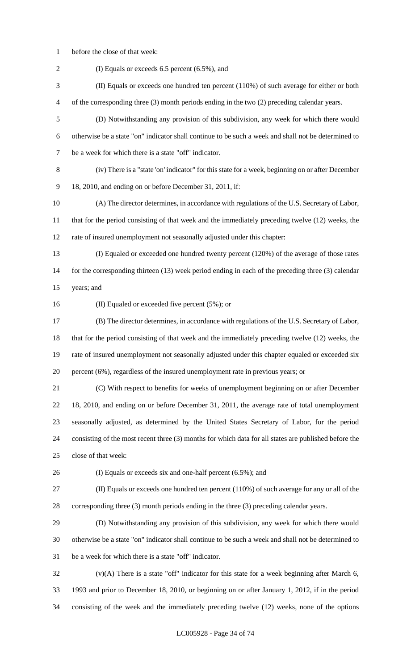before the close of that week:

 (I) Equals or exceeds 6.5 percent (6.5%), and (II) Equals or exceeds one hundred ten percent (110%) of such average for either or both of the corresponding three (3) month periods ending in the two (2) preceding calendar years. (D) Notwithstanding any provision of this subdivision, any week for which there would otherwise be a state "on" indicator shall continue to be such a week and shall not be determined to be a week for which there is a state "off" indicator. (iv) There is a "state 'on' indicator" for this state for a week, beginning on or after December 18, 2010, and ending on or before December 31, 2011, if: (A) The director determines, in accordance with regulations of the U.S. Secretary of Labor, that for the period consisting of that week and the immediately preceding twelve (12) weeks, the rate of insured unemployment not seasonally adjusted under this chapter: (I) Equaled or exceeded one hundred twenty percent (120%) of the average of those rates 14 for the corresponding thirteen (13) week period ending in each of the preceding three (3) calendar years; and (II) Equaled or exceeded five percent (5%); or (B) The director determines, in accordance with regulations of the U.S. Secretary of Labor, that for the period consisting of that week and the immediately preceding twelve (12) weeks, the rate of insured unemployment not seasonally adjusted under this chapter equaled or exceeded six percent (6%), regardless of the insured unemployment rate in previous years; or (C) With respect to benefits for weeks of unemployment beginning on or after December 18, 2010, and ending on or before December 31, 2011, the average rate of total unemployment seasonally adjusted, as determined by the United States Secretary of Labor, for the period consisting of the most recent three (3) months for which data for all states are published before the close of that week: (I) Equals or exceeds six and one-half percent (6.5%); and (II) Equals or exceeds one hundred ten percent (110%) of such average for any or all of the corresponding three (3) month periods ending in the three (3) preceding calendar years. (D) Notwithstanding any provision of this subdivision, any week for which there would otherwise be a state "on" indicator shall continue to be such a week and shall not be determined to be a week for which there is a state "off" indicator. (v)(A) There is a state "off" indicator for this state for a week beginning after March 6, 1993 and prior to December 18, 2010, or beginning on or after January 1, 2012, if in the period

consisting of the week and the immediately preceding twelve (12) weeks, none of the options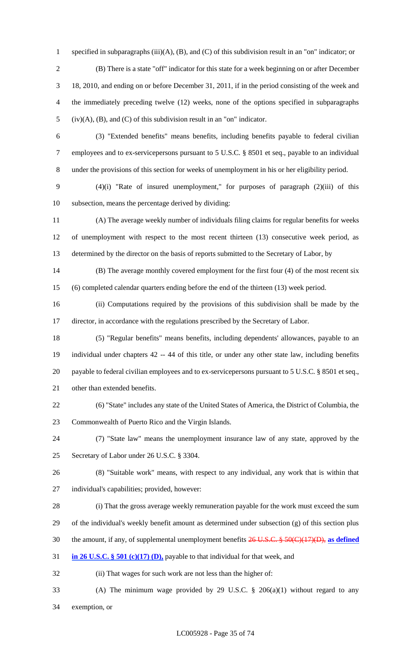specified in subparagraphs (iii)(A), (B), and (C) of this subdivision result in an "on" indicator; or (B) There is a state "off" indicator for this state for a week beginning on or after December 18, 2010, and ending on or before December 31, 2011, if in the period consisting of the week and the immediately preceding twelve (12) weeks, none of the options specified in subparagraphs (iv)(A), (B), and (C) of this subdivision result in an "on" indicator.

 (3) "Extended benefits" means benefits, including benefits payable to federal civilian employees and to ex-servicepersons pursuant to 5 U.S.C. § 8501 et seq., payable to an individual under the provisions of this section for weeks of unemployment in his or her eligibility period.

 (4)(i) "Rate of insured unemployment," for purposes of paragraph (2)(iii) of this subsection, means the percentage derived by dividing:

 (A) The average weekly number of individuals filing claims for regular benefits for weeks of unemployment with respect to the most recent thirteen (13) consecutive week period, as determined by the director on the basis of reports submitted to the Secretary of Labor, by

 (B) The average monthly covered employment for the first four (4) of the most recent six (6) completed calendar quarters ending before the end of the thirteen (13) week period.

 (ii) Computations required by the provisions of this subdivision shall be made by the director, in accordance with the regulations prescribed by the Secretary of Labor.

 (5) "Regular benefits" means benefits, including dependents' allowances, payable to an individual under chapters 42 -- 44 of this title, or under any other state law, including benefits payable to federal civilian employees and to ex-servicepersons pursuant to 5 U.S.C. § 8501 et seq., other than extended benefits.

 (6) "State" includes any state of the United States of America, the District of Columbia, the Commonwealth of Puerto Rico and the Virgin Islands.

 (7) "State law" means the unemployment insurance law of any state, approved by the Secretary of Labor under 26 U.S.C. § 3304.

 (8) "Suitable work" means, with respect to any individual, any work that is within that individual's capabilities; provided, however:

(i) That the gross average weekly remuneration payable for the work must exceed the sum

of the individual's weekly benefit amount as determined under subsection (g) of this section plus

the amount, if any, of supplemental unemployment benefits 26 U.S.C. § 50(C)(17)(D), **as defined** 

**in 26 U.S.C. § 501 (c)(17) (D),** payable to that individual for that week, and

(ii) That wages for such work are not less than the higher of:

 (A) The minimum wage provided by 29 U.S.C. § 206(a)(1) without regard to any exemption, or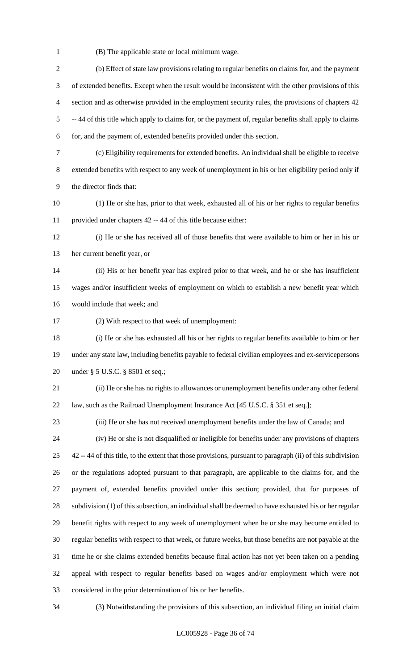(B) The applicable state or local minimum wage.

 (b) Effect of state law provisions relating to regular benefits on claims for, and the payment of extended benefits. Except when the result would be inconsistent with the other provisions of this section and as otherwise provided in the employment security rules, the provisions of chapters 42 -- 44 of this title which apply to claims for, or the payment of, regular benefits shall apply to claims for, and the payment of, extended benefits provided under this section. (c) Eligibility requirements for extended benefits. An individual shall be eligible to receive extended benefits with respect to any week of unemployment in his or her eligibility period only if the director finds that: (1) He or she has, prior to that week, exhausted all of his or her rights to regular benefits provided under chapters 42 -- 44 of this title because either: (i) He or she has received all of those benefits that were available to him or her in his or her current benefit year, or (ii) His or her benefit year has expired prior to that week, and he or she has insufficient wages and/or insufficient weeks of employment on which to establish a new benefit year which would include that week; and (2) With respect to that week of unemployment: (i) He or she has exhausted all his or her rights to regular benefits available to him or her under any state law, including benefits payable to federal civilian employees and ex-servicepersons under § 5 U.S.C. § 8501 et seq.; (ii) He or she has no rights to allowances or unemployment benefits under any other federal 22 law, such as the Railroad Unemployment Insurance Act [45 U.S.C. § 351 et seq.]; (iii) He or she has not received unemployment benefits under the law of Canada; and (iv) He or she is not disqualified or ineligible for benefits under any provisions of chapters 42 -- 44 of this title, to the extent that those provisions, pursuant to paragraph (ii) of this subdivision or the regulations adopted pursuant to that paragraph, are applicable to the claims for, and the payment of, extended benefits provided under this section; provided, that for purposes of 28 subdivision (1) of this subsection, an individual shall be deemed to have exhausted his or her regular benefit rights with respect to any week of unemployment when he or she may become entitled to regular benefits with respect to that week, or future weeks, but those benefits are not payable at the time he or she claims extended benefits because final action has not yet been taken on a pending appeal with respect to regular benefits based on wages and/or employment which were not considered in the prior determination of his or her benefits.

(3) Notwithstanding the provisions of this subsection, an individual filing an initial claim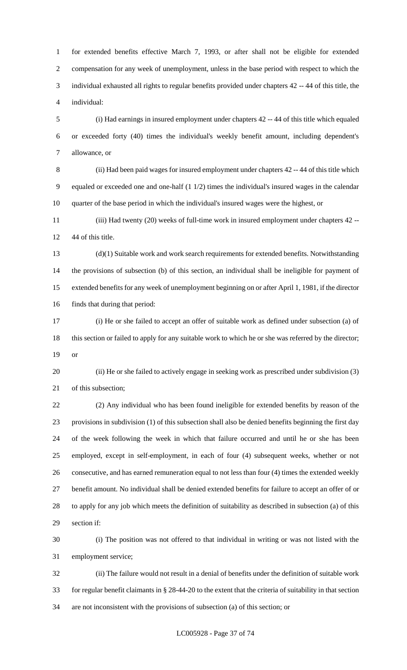for extended benefits effective March 7, 1993, or after shall not be eligible for extended compensation for any week of unemployment, unless in the base period with respect to which the individual exhausted all rights to regular benefits provided under chapters 42 -- 44 of this title, the individual:

 (i) Had earnings in insured employment under chapters 42 -- 44 of this title which equaled or exceeded forty (40) times the individual's weekly benefit amount, including dependent's allowance, or

 (ii) Had been paid wages for insured employment under chapters 42 -- 44 of this title which equaled or exceeded one and one-half (1 1/2) times the individual's insured wages in the calendar quarter of the base period in which the individual's insured wages were the highest, or

 (iii) Had twenty (20) weeks of full-time work in insured employment under chapters 42 -- 44 of this title.

 (d)(1) Suitable work and work search requirements for extended benefits. Notwithstanding the provisions of subsection (b) of this section, an individual shall be ineligible for payment of extended benefits for any week of unemployment beginning on or after April 1, 1981, if the director finds that during that period:

 (i) He or she failed to accept an offer of suitable work as defined under subsection (a) of 18 this section or failed to apply for any suitable work to which he or she was referred by the director; or

 (ii) He or she failed to actively engage in seeking work as prescribed under subdivision (3) of this subsection;

 (2) Any individual who has been found ineligible for extended benefits by reason of the provisions in subdivision (1) of this subsection shall also be denied benefits beginning the first day of the week following the week in which that failure occurred and until he or she has been employed, except in self-employment, in each of four (4) subsequent weeks, whether or not consecutive, and has earned remuneration equal to not less than four (4) times the extended weekly benefit amount. No individual shall be denied extended benefits for failure to accept an offer of or to apply for any job which meets the definition of suitability as described in subsection (a) of this section if:

 (i) The position was not offered to that individual in writing or was not listed with the employment service;

 (ii) The failure would not result in a denial of benefits under the definition of suitable work for regular benefit claimants in § 28-44-20 to the extent that the criteria of suitability in that section are not inconsistent with the provisions of subsection (a) of this section; or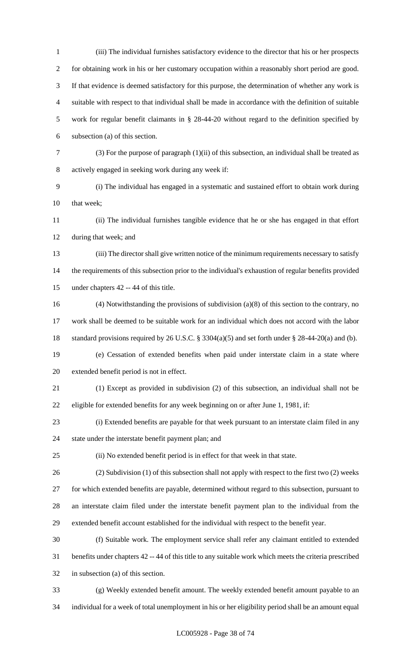(iii) The individual furnishes satisfactory evidence to the director that his or her prospects for obtaining work in his or her customary occupation within a reasonably short period are good. If that evidence is deemed satisfactory for this purpose, the determination of whether any work is suitable with respect to that individual shall be made in accordance with the definition of suitable work for regular benefit claimants in § 28-44-20 without regard to the definition specified by subsection (a) of this section. (3) For the purpose of paragraph (1)(ii) of this subsection, an individual shall be treated as actively engaged in seeking work during any week if: (i) The individual has engaged in a systematic and sustained effort to obtain work during 10 that week; (ii) The individual furnishes tangible evidence that he or she has engaged in that effort during that week; and (iii) The director shall give written notice of the minimum requirements necessary to satisfy the requirements of this subsection prior to the individual's exhaustion of regular benefits provided under chapters 42 -- 44 of this title. (4) Notwithstanding the provisions of subdivision (a)(8) of this section to the contrary, no work shall be deemed to be suitable work for an individual which does not accord with the labor standard provisions required by 26 U.S.C. § 3304(a)(5) and set forth under § 28-44-20(a) and (b). (e) Cessation of extended benefits when paid under interstate claim in a state where extended benefit period is not in effect. (1) Except as provided in subdivision (2) of this subsection, an individual shall not be eligible for extended benefits for any week beginning on or after June 1, 1981, if: (i) Extended benefits are payable for that week pursuant to an interstate claim filed in any state under the interstate benefit payment plan; and (ii) No extended benefit period is in effect for that week in that state. (2) Subdivision (1) of this subsection shall not apply with respect to the first two (2) weeks for which extended benefits are payable, determined without regard to this subsection, pursuant to an interstate claim filed under the interstate benefit payment plan to the individual from the extended benefit account established for the individual with respect to the benefit year. (f) Suitable work. The employment service shall refer any claimant entitled to extended benefits under chapters 42 -- 44 of this title to any suitable work which meets the criteria prescribed in subsection (a) of this section. (g) Weekly extended benefit amount. The weekly extended benefit amount payable to an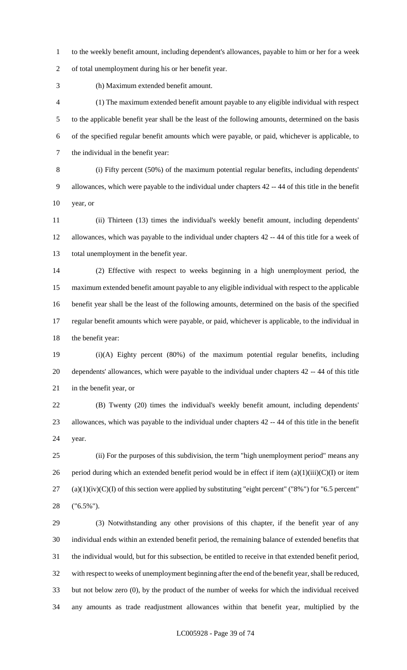to the weekly benefit amount, including dependent's allowances, payable to him or her for a week of total unemployment during his or her benefit year.

(h) Maximum extended benefit amount.

 (1) The maximum extended benefit amount payable to any eligible individual with respect to the applicable benefit year shall be the least of the following amounts, determined on the basis of the specified regular benefit amounts which were payable, or paid, whichever is applicable, to the individual in the benefit year:

 (i) Fifty percent (50%) of the maximum potential regular benefits, including dependents' allowances, which were payable to the individual under chapters 42 -- 44 of this title in the benefit year, or

 (ii) Thirteen (13) times the individual's weekly benefit amount, including dependents' allowances, which was payable to the individual under chapters 42 -- 44 of this title for a week of total unemployment in the benefit year.

 (2) Effective with respect to weeks beginning in a high unemployment period, the maximum extended benefit amount payable to any eligible individual with respect to the applicable benefit year shall be the least of the following amounts, determined on the basis of the specified regular benefit amounts which were payable, or paid, whichever is applicable, to the individual in the benefit year:

 (i)(A) Eighty percent (80%) of the maximum potential regular benefits, including dependents' allowances, which were payable to the individual under chapters 42 -- 44 of this title in the benefit year, or

 (B) Twenty (20) times the individual's weekly benefit amount, including dependents' allowances, which was payable to the individual under chapters 42 -- 44 of this title in the benefit year.

 (ii) For the purposes of this subdivision, the term "high unemployment period" means any 26 period during which an extended benefit period would be in effect if item  $(a)(1)(iii)(C)(I)$  or item (a)(1)(iv)(C)(I) of this section were applied by substituting "eight percent" ("8%") for "6.5 percent" ("6.5%").

 (3) Notwithstanding any other provisions of this chapter, if the benefit year of any individual ends within an extended benefit period, the remaining balance of extended benefits that the individual would, but for this subsection, be entitled to receive in that extended benefit period, with respect to weeks of unemployment beginning after the end of the benefit year, shall be reduced, but not below zero (0), by the product of the number of weeks for which the individual received any amounts as trade readjustment allowances within that benefit year, multiplied by the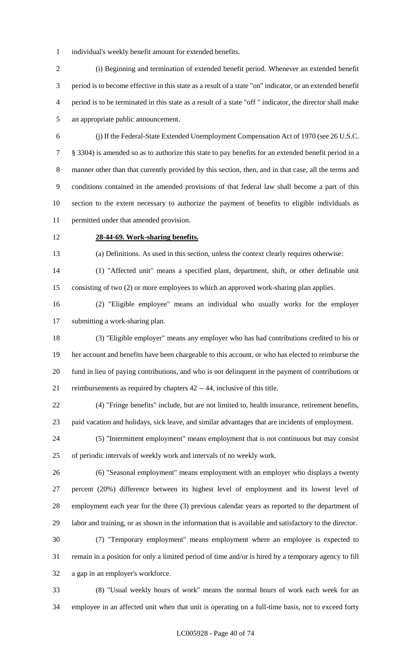individual's weekly benefit amount for extended benefits.

 (i) Beginning and termination of extended benefit period. Whenever an extended benefit period is to become effective in this state as a result of a state "on" indicator, or an extended benefit period is to be terminated in this state as a result of a state "off " indicator, the director shall make an appropriate public announcement.

 (j) If the Federal-State Extended Unemployment Compensation Act of 1970 (see 26 U.S.C. § 3304) is amended so as to authorize this state to pay benefits for an extended benefit period in a manner other than that currently provided by this section, then, and in that case, all the terms and conditions contained in the amended provisions of that federal law shall become a part of this section to the extent necessary to authorize the payment of benefits to eligible individuals as permitted under that amended provision.

## **28-44-69. Work-sharing benefits.**

(a) Definitions. As used in this section, unless the context clearly requires otherwise:

 (1) "Affected unit" means a specified plant, department, shift, or other definable unit consisting of two (2) or more employees to which an approved work-sharing plan applies.

 (2) "Eligible employee" means an individual who usually works for the employer submitting a work-sharing plan.

 (3) "Eligible employer" means any employer who has had contributions credited to his or her account and benefits have been chargeable to this account, or who has elected to reimburse the fund in lieu of paying contributions, and who is not delinquent in the payment of contributions or reimbursements as required by chapters 42 -- 44, inclusive of this title.

 (4) "Fringe benefits" include, but are not limited to, health insurance, retirement benefits, paid vacation and holidays, sick leave, and similar advantages that are incidents of employment.

 (5) "Intermittent employment" means employment that is not continuous but may consist of periodic intervals of weekly work and intervals of no weekly work.

 (6) "Seasonal employment" means employment with an employer who displays a twenty percent (20%) difference between its highest level of employment and its lowest level of employment each year for the three (3) previous calendar years as reported to the department of labor and training, or as shown in the information that is available and satisfactory to the director.

 (7) "Temporary employment" means employment where an employee is expected to remain in a position for only a limited period of time and/or is hired by a temporary agency to fill a gap in an employer's workforce.

 (8) "Usual weekly hours of work" means the normal hours of work each week for an employee in an affected unit when that unit is operating on a full-time basis, not to exceed forty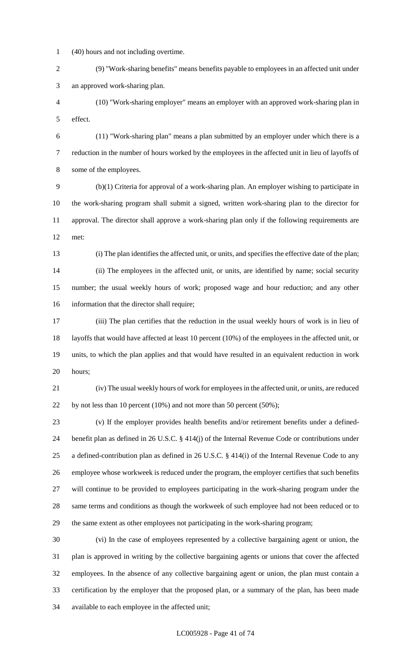(40) hours and not including overtime.

 (9) "Work-sharing benefits" means benefits payable to employees in an affected unit under an approved work-sharing plan.

 (10) "Work-sharing employer" means an employer with an approved work-sharing plan in effect.

 (11) "Work-sharing plan" means a plan submitted by an employer under which there is a reduction in the number of hours worked by the employees in the affected unit in lieu of layoffs of some of the employees.

 (b)(1) Criteria for approval of a work-sharing plan. An employer wishing to participate in the work-sharing program shall submit a signed, written work-sharing plan to the director for approval. The director shall approve a work-sharing plan only if the following requirements are met:

 (i) The plan identifies the affected unit, or units, and specifies the effective date of the plan; (ii) The employees in the affected unit, or units, are identified by name; social security number; the usual weekly hours of work; proposed wage and hour reduction; and any other information that the director shall require;

 (iii) The plan certifies that the reduction in the usual weekly hours of work is in lieu of layoffs that would have affected at least 10 percent (10%) of the employees in the affected unit, or units, to which the plan applies and that would have resulted in an equivalent reduction in work hours;

 (iv) The usual weekly hours of work for employees in the affected unit, or units, are reduced 22 by not less than 10 percent (10%) and not more than 50 percent (50%);

 (v) If the employer provides health benefits and/or retirement benefits under a defined- benefit plan as defined in 26 U.S.C. § 414(j) of the Internal Revenue Code or contributions under a defined-contribution plan as defined in 26 U.S.C. § 414(i) of the Internal Revenue Code to any employee whose workweek is reduced under the program, the employer certifies that such benefits will continue to be provided to employees participating in the work-sharing program under the same terms and conditions as though the workweek of such employee had not been reduced or to the same extent as other employees not participating in the work-sharing program;

 (vi) In the case of employees represented by a collective bargaining agent or union, the plan is approved in writing by the collective bargaining agents or unions that cover the affected employees. In the absence of any collective bargaining agent or union, the plan must contain a certification by the employer that the proposed plan, or a summary of the plan, has been made available to each employee in the affected unit;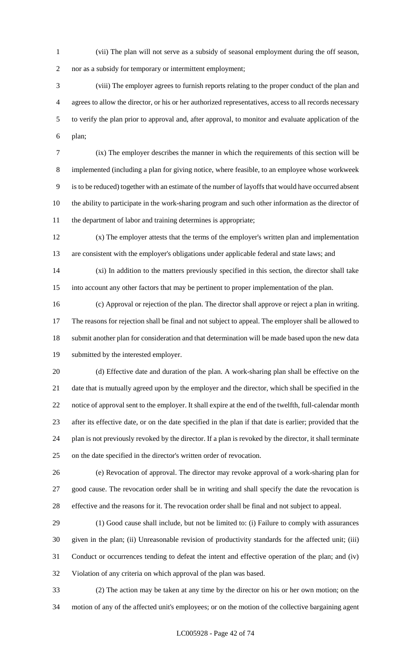(vii) The plan will not serve as a subsidy of seasonal employment during the off season,

nor as a subsidy for temporary or intermittent employment;

 (viii) The employer agrees to furnish reports relating to the proper conduct of the plan and agrees to allow the director, or his or her authorized representatives, access to all records necessary to verify the plan prior to approval and, after approval, to monitor and evaluate application of the plan;

 (ix) The employer describes the manner in which the requirements of this section will be implemented (including a plan for giving notice, where feasible, to an employee whose workweek is to be reduced) together with an estimate of the number of layoffs that would have occurred absent the ability to participate in the work-sharing program and such other information as the director of the department of labor and training determines is appropriate;

 (x) The employer attests that the terms of the employer's written plan and implementation are consistent with the employer's obligations under applicable federal and state laws; and

 (xi) In addition to the matters previously specified in this section, the director shall take into account any other factors that may be pertinent to proper implementation of the plan.

 (c) Approval or rejection of the plan. The director shall approve or reject a plan in writing. The reasons for rejection shall be final and not subject to appeal. The employer shall be allowed to submit another plan for consideration and that determination will be made based upon the new data submitted by the interested employer.

 (d) Effective date and duration of the plan. A work-sharing plan shall be effective on the date that is mutually agreed upon by the employer and the director, which shall be specified in the notice of approval sent to the employer. It shall expire at the end of the twelfth, full-calendar month after its effective date, or on the date specified in the plan if that date is earlier; provided that the plan is not previously revoked by the director. If a plan is revoked by the director, it shall terminate on the date specified in the director's written order of revocation.

 (e) Revocation of approval. The director may revoke approval of a work-sharing plan for good cause. The revocation order shall be in writing and shall specify the date the revocation is effective and the reasons for it. The revocation order shall be final and not subject to appeal.

 (1) Good cause shall include, but not be limited to: (i) Failure to comply with assurances given in the plan; (ii) Unreasonable revision of productivity standards for the affected unit; (iii) Conduct or occurrences tending to defeat the intent and effective operation of the plan; and (iv) Violation of any criteria on which approval of the plan was based.

 (2) The action may be taken at any time by the director on his or her own motion; on the motion of any of the affected unit's employees; or on the motion of the collective bargaining agent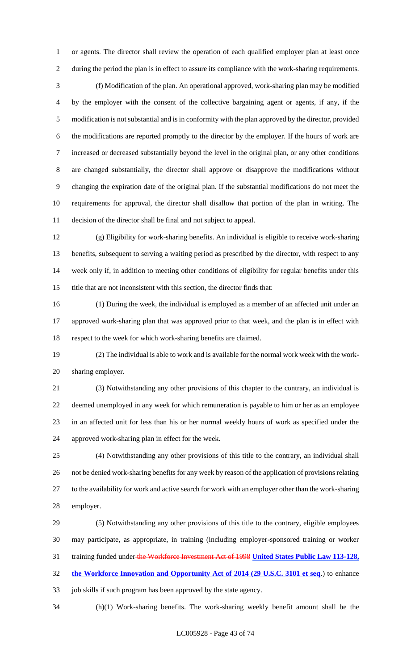or agents. The director shall review the operation of each qualified employer plan at least once during the period the plan is in effect to assure its compliance with the work-sharing requirements.

 (f) Modification of the plan. An operational approved, work-sharing plan may be modified by the employer with the consent of the collective bargaining agent or agents, if any, if the modification is not substantial and is in conformity with the plan approved by the director, provided the modifications are reported promptly to the director by the employer. If the hours of work are increased or decreased substantially beyond the level in the original plan, or any other conditions are changed substantially, the director shall approve or disapprove the modifications without changing the expiration date of the original plan. If the substantial modifications do not meet the requirements for approval, the director shall disallow that portion of the plan in writing. The decision of the director shall be final and not subject to appeal.

 (g) Eligibility for work-sharing benefits. An individual is eligible to receive work-sharing benefits, subsequent to serving a waiting period as prescribed by the director, with respect to any week only if, in addition to meeting other conditions of eligibility for regular benefits under this title that are not inconsistent with this section, the director finds that:

 (1) During the week, the individual is employed as a member of an affected unit under an approved work-sharing plan that was approved prior to that week, and the plan is in effect with respect to the week for which work-sharing benefits are claimed.

 (2) The individual is able to work and is available for the normal work week with the work-sharing employer.

 (3) Notwithstanding any other provisions of this chapter to the contrary, an individual is deemed unemployed in any week for which remuneration is payable to him or her as an employee in an affected unit for less than his or her normal weekly hours of work as specified under the approved work-sharing plan in effect for the week.

 (4) Notwithstanding any other provisions of this title to the contrary, an individual shall not be denied work-sharing benefits for any week by reason of the application of provisions relating to the availability for work and active search for work with an employer other than the work-sharing employer.

 (5) Notwithstanding any other provisions of this title to the contrary, eligible employees may participate, as appropriate, in training (including employer-sponsored training or worker training funded under the Workforce Investment Act of 1998 **United States Public Law 113-128, the Workforce Innovation and Opportunity Act of 2014 (29 U.S.C. 3101 et seq**.) to enhance job skills if such program has been approved by the state agency.

(h)(1) Work-sharing benefits. The work-sharing weekly benefit amount shall be the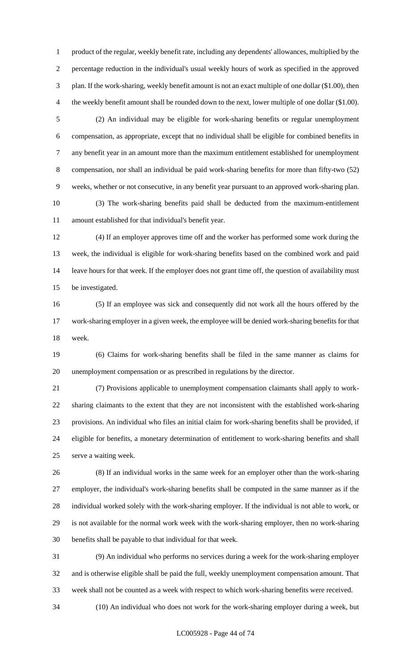product of the regular, weekly benefit rate, including any dependents' allowances, multiplied by the percentage reduction in the individual's usual weekly hours of work as specified in the approved plan. If the work-sharing, weekly benefit amount is not an exact multiple of one dollar (\$1.00), then 4 the weekly benefit amount shall be rounded down to the next, lower multiple of one dollar (\$1.00).

 (2) An individual may be eligible for work-sharing benefits or regular unemployment compensation, as appropriate, except that no individual shall be eligible for combined benefits in any benefit year in an amount more than the maximum entitlement established for unemployment compensation, nor shall an individual be paid work-sharing benefits for more than fifty-two (52) weeks, whether or not consecutive, in any benefit year pursuant to an approved work-sharing plan. (3) The work-sharing benefits paid shall be deducted from the maximum-entitlement

amount established for that individual's benefit year.

 (4) If an employer approves time off and the worker has performed some work during the week, the individual is eligible for work-sharing benefits based on the combined work and paid leave hours for that week. If the employer does not grant time off, the question of availability must be investigated.

 (5) If an employee was sick and consequently did not work all the hours offered by the work-sharing employer in a given week, the employee will be denied work-sharing benefits for that week.

 (6) Claims for work-sharing benefits shall be filed in the same manner as claims for unemployment compensation or as prescribed in regulations by the director.

 (7) Provisions applicable to unemployment compensation claimants shall apply to work- sharing claimants to the extent that they are not inconsistent with the established work-sharing provisions. An individual who files an initial claim for work-sharing benefits shall be provided, if eligible for benefits, a monetary determination of entitlement to work-sharing benefits and shall serve a waiting week.

 (8) If an individual works in the same week for an employer other than the work-sharing employer, the individual's work-sharing benefits shall be computed in the same manner as if the individual worked solely with the work-sharing employer. If the individual is not able to work, or is not available for the normal work week with the work-sharing employer, then no work-sharing benefits shall be payable to that individual for that week.

 (9) An individual who performs no services during a week for the work-sharing employer and is otherwise eligible shall be paid the full, weekly unemployment compensation amount. That week shall not be counted as a week with respect to which work-sharing benefits were received.

(10) An individual who does not work for the work-sharing employer during a week, but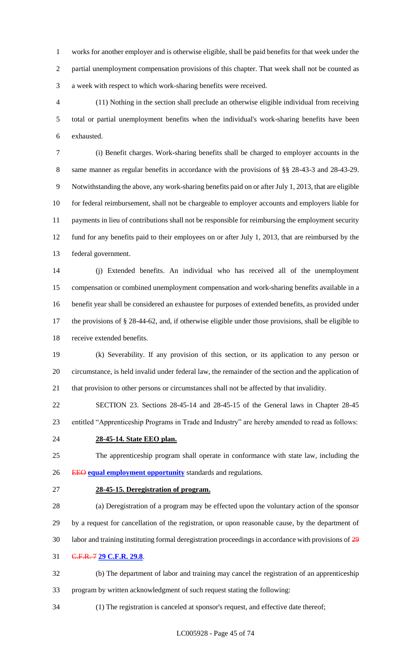works for another employer and is otherwise eligible, shall be paid benefits for that week under the partial unemployment compensation provisions of this chapter. That week shall not be counted as a week with respect to which work-sharing benefits were received.

 (11) Nothing in the section shall preclude an otherwise eligible individual from receiving total or partial unemployment benefits when the individual's work-sharing benefits have been exhausted.

 (i) Benefit charges. Work-sharing benefits shall be charged to employer accounts in the same manner as regular benefits in accordance with the provisions of §§ 28-43-3 and 28-43-29. Notwithstanding the above, any work-sharing benefits paid on or after July 1, 2013, that are eligible for federal reimbursement, shall not be chargeable to employer accounts and employers liable for payments in lieu of contributions shall not be responsible for reimbursing the employment security fund for any benefits paid to their employees on or after July 1, 2013, that are reimbursed by the federal government.

 (j) Extended benefits. An individual who has received all of the unemployment compensation or combined unemployment compensation and work-sharing benefits available in a benefit year shall be considered an exhaustee for purposes of extended benefits, as provided under the provisions of § 28-44-62, and, if otherwise eligible under those provisions, shall be eligible to receive extended benefits.

 (k) Severability. If any provision of this section, or its application to any person or circumstance, is held invalid under federal law, the remainder of the section and the application of that provision to other persons or circumstances shall not be affected by that invalidity.

 SECTION 23. Sections 28-45-14 and 28-45-15 of the General laws in Chapter 28-45 entitled "Apprenticeship Programs in Trade and Industry" are hereby amended to read as follows:

**28-45-14. State EEO plan.**

 The apprenticeship program shall operate in conformance with state law, including the EEO **equal employment opportunity** standards and regulations.

## **28-45-15. Deregistration of program.**

 (a) Deregistration of a program may be effected upon the voluntary action of the sponsor by a request for cancellation of the registration, or upon reasonable cause, by the department of labor and training instituting formal deregistration proceedings in accordance with provisions of 29 C.F.R. 7 **29 C.F.R. 29.8**.

 (b) The department of labor and training may cancel the registration of an apprenticeship program by written acknowledgment of such request stating the following:

(1) The registration is canceled at sponsor's request, and effective date thereof;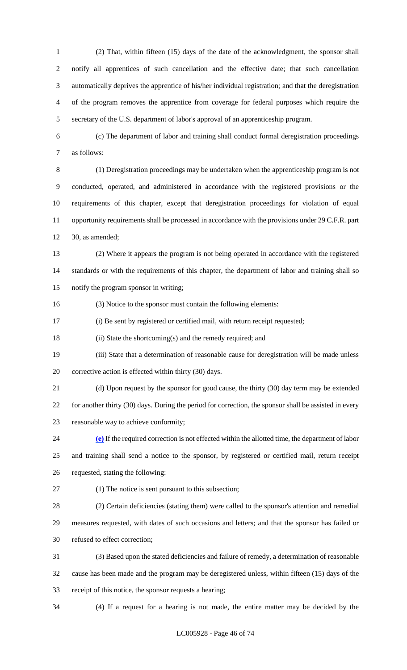(2) That, within fifteen (15) days of the date of the acknowledgment, the sponsor shall notify all apprentices of such cancellation and the effective date; that such cancellation automatically deprives the apprentice of his/her individual registration; and that the deregistration of the program removes the apprentice from coverage for federal purposes which require the secretary of the U.S. department of labor's approval of an apprenticeship program.

 (c) The department of labor and training shall conduct formal deregistration proceedings as follows:

 (1) Deregistration proceedings may be undertaken when the apprenticeship program is not conducted, operated, and administered in accordance with the registered provisions or the requirements of this chapter, except that deregistration proceedings for violation of equal opportunity requirements shall be processed in accordance with the provisions under 29 C.F.R. part 30, as amended;

 (2) Where it appears the program is not being operated in accordance with the registered standards or with the requirements of this chapter, the department of labor and training shall so notify the program sponsor in writing;

(3) Notice to the sponsor must contain the following elements:

(i) Be sent by registered or certified mail, with return receipt requested;

(ii) State the shortcoming(s) and the remedy required; and

 (iii) State that a determination of reasonable cause for deregistration will be made unless corrective action is effected within thirty (30) days.

(d) Upon request by the sponsor for good cause, the thirty (30) day term may be extended

 for another thirty (30) days. During the period for correction, the sponsor shall be assisted in every reasonable way to achieve conformity;

 **(e)** If the required correction is not effected within the allotted time, the department of labor and training shall send a notice to the sponsor, by registered or certified mail, return receipt requested, stating the following:

(1) The notice is sent pursuant to this subsection;

 (2) Certain deficiencies (stating them) were called to the sponsor's attention and remedial measures requested, with dates of such occasions and letters; and that the sponsor has failed or refused to effect correction;

 (3) Based upon the stated deficiencies and failure of remedy, a determination of reasonable cause has been made and the program may be deregistered unless, within fifteen (15) days of the receipt of this notice, the sponsor requests a hearing;

(4) If a request for a hearing is not made, the entire matter may be decided by the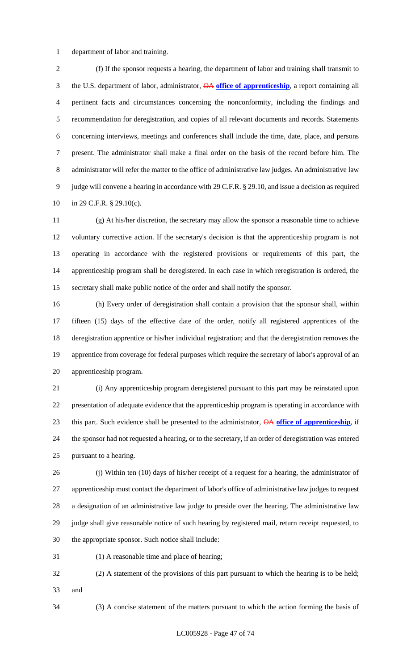department of labor and training.

 (f) If the sponsor requests a hearing, the department of labor and training shall transmit to the U.S. department of labor, administrator, OA **office of apprenticeship**, a report containing all pertinent facts and circumstances concerning the nonconformity, including the findings and recommendation for deregistration, and copies of all relevant documents and records. Statements concerning interviews, meetings and conferences shall include the time, date, place, and persons present. The administrator shall make a final order on the basis of the record before him. The administrator will refer the matter to the office of administrative law judges. An administrative law judge will convene a hearing in accordance with 29 C.F.R. § 29.10, and issue a decision as required in 29 C.F.R. § 29.10(c).

 (g) At his/her discretion, the secretary may allow the sponsor a reasonable time to achieve voluntary corrective action. If the secretary's decision is that the apprenticeship program is not operating in accordance with the registered provisions or requirements of this part, the apprenticeship program shall be deregistered. In each case in which reregistration is ordered, the secretary shall make public notice of the order and shall notify the sponsor.

 (h) Every order of deregistration shall contain a provision that the sponsor shall, within fifteen (15) days of the effective date of the order, notify all registered apprentices of the deregistration apprentice or his/her individual registration; and that the deregistration removes the apprentice from coverage for federal purposes which require the secretary of labor's approval of an apprenticeship program.

 (i) Any apprenticeship program deregistered pursuant to this part may be reinstated upon presentation of adequate evidence that the apprenticeship program is operating in accordance with this part. Such evidence shall be presented to the administrator, OA **office of apprenticeship**, if the sponsor had not requested a hearing, or to the secretary, if an order of deregistration was entered pursuant to a hearing.

 (j) Within ten (10) days of his/her receipt of a request for a hearing, the administrator of apprenticeship must contact the department of labor's office of administrative law judges to request a designation of an administrative law judge to preside over the hearing. The administrative law judge shall give reasonable notice of such hearing by registered mail, return receipt requested, to the appropriate sponsor. Such notice shall include:

(1) A reasonable time and place of hearing;

 (2) A statement of the provisions of this part pursuant to which the hearing is to be held; and

(3) A concise statement of the matters pursuant to which the action forming the basis of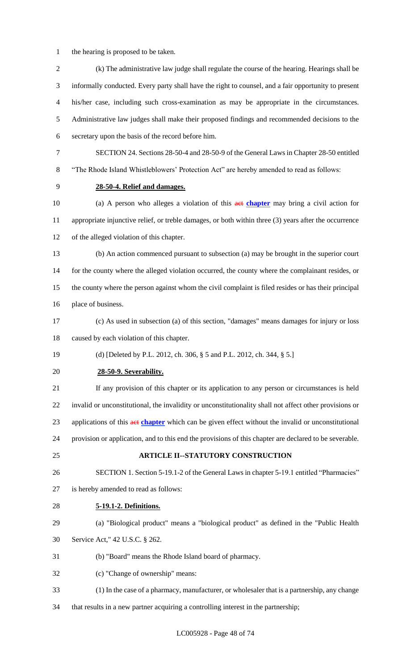- the hearing is proposed to be taken.
- (k) The administrative law judge shall regulate the course of the hearing. Hearings shall be informally conducted. Every party shall have the right to counsel, and a fair opportunity to present his/her case, including such cross-examination as may be appropriate in the circumstances. Administrative law judges shall make their proposed findings and recommended decisions to the secretary upon the basis of the record before him. SECTION 24. Sections 28-50-4 and 28-50-9 of the General Laws in Chapter 28-50 entitled "The Rhode Island Whistleblowers' Protection Act" are hereby amended to read as follows: **28-50-4. Relief and damages.** (a) A person who alleges a violation of this act **chapter** may bring a civil action for appropriate injunctive relief, or treble damages, or both within three (3) years after the occurrence of the alleged violation of this chapter. (b) An action commenced pursuant to subsection (a) may be brought in the superior court 14 for the county where the alleged violation occurred, the county where the complainant resides, or the county where the person against whom the civil complaint is filed resides or has their principal place of business. (c) As used in subsection (a) of this section, "damages" means damages for injury or loss caused by each violation of this chapter. (d) [Deleted by P.L. 2012, ch. 306, § 5 and P.L. 2012, ch. 344, § 5.] **28-50-9. Severability.** If any provision of this chapter or its application to any person or circumstances is held invalid or unconstitutional, the invalidity or unconstitutionality shall not affect other provisions or applications of this act **chapter** which can be given effect without the invalid or unconstitutional provision or application, and to this end the provisions of this chapter are declared to be severable. **ARTICLE II--STATUTORY CONSTRUCTION** SECTION 1. Section 5-19.1-2 of the General Laws in chapter 5-19.1 entitled "Pharmacies" is hereby amended to read as follows: **5-19.1-2. Definitions.** (a) "Biological product" means a "biological product" as defined in the "Public Health Service Act," 42 U.S.C. § 262. (b) "Board" means the Rhode Island board of pharmacy. (c) "Change of ownership" means: (1) In the case of a pharmacy, manufacturer, or wholesaler that is a partnership, any change
- that results in a new partner acquiring a controlling interest in the partnership;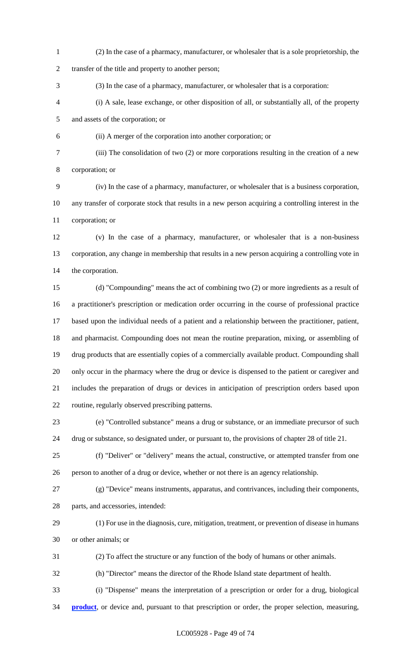(2) In the case of a pharmacy, manufacturer, or wholesaler that is a sole proprietorship, the

transfer of the title and property to another person;

- (3) In the case of a pharmacy, manufacturer, or wholesaler that is a corporation:
- (i) A sale, lease exchange, or other disposition of all, or substantially all, of the property and assets of the corporation; or
- 
- (ii) A merger of the corporation into another corporation; or
	- (iii) The consolidation of two (2) or more corporations resulting in the creation of a new

corporation; or

 (iv) In the case of a pharmacy, manufacturer, or wholesaler that is a business corporation, any transfer of corporate stock that results in a new person acquiring a controlling interest in the corporation; or

 (v) In the case of a pharmacy, manufacturer, or wholesaler that is a non-business corporation, any change in membership that results in a new person acquiring a controlling vote in the corporation.

 (d) "Compounding" means the act of combining two (2) or more ingredients as a result of a practitioner's prescription or medication order occurring in the course of professional practice based upon the individual needs of a patient and a relationship between the practitioner, patient, and pharmacist. Compounding does not mean the routine preparation, mixing, or assembling of drug products that are essentially copies of a commercially available product. Compounding shall only occur in the pharmacy where the drug or device is dispensed to the patient or caregiver and includes the preparation of drugs or devices in anticipation of prescription orders based upon routine, regularly observed prescribing patterns.

 (e) "Controlled substance" means a drug or substance, or an immediate precursor of such drug or substance, so designated under, or pursuant to, the provisions of chapter 28 of title 21.

 (f) "Deliver" or "delivery" means the actual, constructive, or attempted transfer from one person to another of a drug or device, whether or not there is an agency relationship.

 (g) "Device" means instruments, apparatus, and contrivances, including their components, parts, and accessories, intended:

- (1) For use in the diagnosis, cure, mitigation, treatment, or prevention of disease in humans or other animals; or
- (2) To affect the structure or any function of the body of humans or other animals.
- (h) "Director" means the director of the Rhode Island state department of health.
- (i) "Dispense" means the interpretation of a prescription or order for a drug, biological
- **product**, or device and, pursuant to that prescription or order, the proper selection, measuring,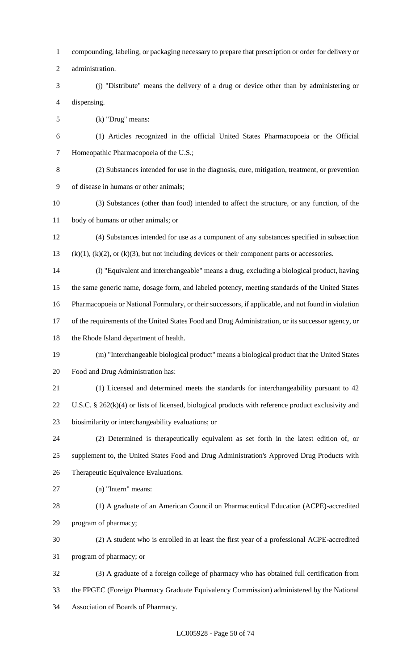- compounding, labeling, or packaging necessary to prepare that prescription or order for delivery or
- administration.
- (j) "Distribute" means the delivery of a drug or device other than by administering or dispensing.
- (k) "Drug" means:
- (1) Articles recognized in the official United States Pharmacopoeia or the Official Homeopathic Pharmacopoeia of the U.S.;
- 

 (2) Substances intended for use in the diagnosis, cure, mitigation, treatment, or prevention of disease in humans or other animals;

- (3) Substances (other than food) intended to affect the structure, or any function, of the body of humans or other animals; or
- (4) Substances intended for use as a component of any substances specified in subsection (k)(1), (k)(2), or (k)(3), but not including devices or their component parts or accessories.
- (l) "Equivalent and interchangeable" means a drug, excluding a biological product, having the same generic name, dosage form, and labeled potency, meeting standards of the United States
- Pharmacopoeia or National Formulary, or their successors, if applicable, and not found in violation
- of the requirements of the United States Food and Drug Administration, or its successor agency, or
- the Rhode Island department of health.
- (m) "Interchangeable biological product" means a biological product that the United States Food and Drug Administration has:
- (1) Licensed and determined meets the standards for interchangeability pursuant to 42
- U.S.C. § 262(k)(4) or lists of licensed, biological products with reference product exclusivity and biosimilarity or interchangeability evaluations; or
- (2) Determined is therapeutically equivalent as set forth in the latest edition of, or supplement to, the United States Food and Drug Administration's Approved Drug Products with Therapeutic Equivalence Evaluations.
- (n) "Intern" means:
- (1) A graduate of an American Council on Pharmaceutical Education (ACPE)-accredited program of pharmacy;
- (2) A student who is enrolled in at least the first year of a professional ACPE-accredited program of pharmacy; or
- (3) A graduate of a foreign college of pharmacy who has obtained full certification from the FPGEC (Foreign Pharmacy Graduate Equivalency Commission) administered by the National Association of Boards of Pharmacy.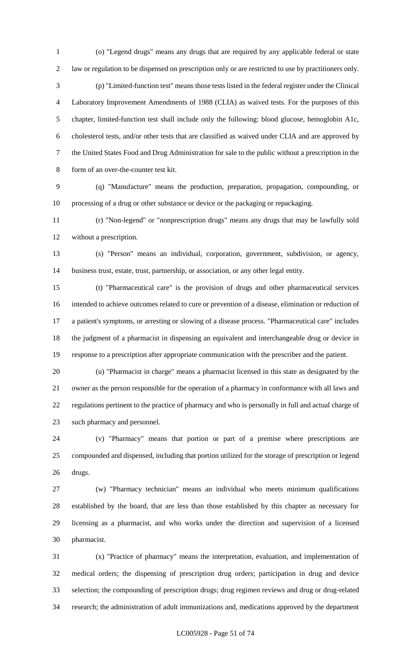(o) "Legend drugs" means any drugs that are required by any applicable federal or state law or regulation to be dispensed on prescription only or are restricted to use by practitioners only. (p) "Limited-function test" means those tests listed in the federal register under the Clinical Laboratory Improvement Amendments of 1988 (CLIA) as waived tests. For the purposes of this chapter, limited-function test shall include only the following: blood glucose, hemoglobin A1c, cholesterol tests, and/or other tests that are classified as waived under CLIA and are approved by the United States Food and Drug Administration for sale to the public without a prescription in the form of an over-the-counter test kit.

 (q) "Manufacture" means the production, preparation, propagation, compounding, or processing of a drug or other substance or device or the packaging or repackaging.

 (r) "Non-legend" or "nonprescription drugs" means any drugs that may be lawfully sold without a prescription.

 (s) "Person" means an individual, corporation, government, subdivision, or agency, business trust, estate, trust, partnership, or association, or any other legal entity.

 (t) "Pharmaceutical care" is the provision of drugs and other pharmaceutical services intended to achieve outcomes related to cure or prevention of a disease, elimination or reduction of a patient's symptoms, or arresting or slowing of a disease process. "Pharmaceutical care" includes the judgment of a pharmacist in dispensing an equivalent and interchangeable drug or device in response to a prescription after appropriate communication with the prescriber and the patient.

 (u) "Pharmacist in charge" means a pharmacist licensed in this state as designated by the owner as the person responsible for the operation of a pharmacy in conformance with all laws and regulations pertinent to the practice of pharmacy and who is personally in full and actual charge of such pharmacy and personnel.

 (v) "Pharmacy" means that portion or part of a premise where prescriptions are compounded and dispensed, including that portion utilized for the storage of prescription or legend drugs.

 (w) "Pharmacy technician" means an individual who meets minimum qualifications established by the board, that are less than those established by this chapter as necessary for licensing as a pharmacist, and who works under the direction and supervision of a licensed pharmacist.

 (x) "Practice of pharmacy" means the interpretation, evaluation, and implementation of medical orders; the dispensing of prescription drug orders; participation in drug and device selection; the compounding of prescription drugs; drug regimen reviews and drug or drug-related research; the administration of adult immunizations and, medications approved by the department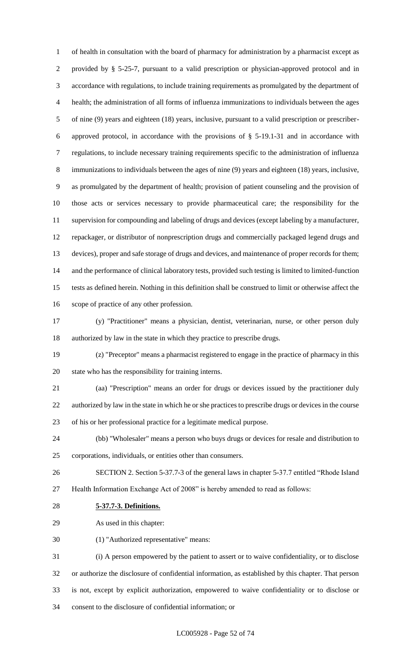of health in consultation with the board of pharmacy for administration by a pharmacist except as provided by § 5-25-7, pursuant to a valid prescription or physician-approved protocol and in accordance with regulations, to include training requirements as promulgated by the department of health; the administration of all forms of influenza immunizations to individuals between the ages of nine (9) years and eighteen (18) years, inclusive, pursuant to a valid prescription or prescriber- approved protocol, in accordance with the provisions of § 5-19.1-31 and in accordance with regulations, to include necessary training requirements specific to the administration of influenza immunizations to individuals between the ages of nine (9) years and eighteen (18) years, inclusive, as promulgated by the department of health; provision of patient counseling and the provision of those acts or services necessary to provide pharmaceutical care; the responsibility for the supervision for compounding and labeling of drugs and devices (except labeling by a manufacturer, repackager, or distributor of nonprescription drugs and commercially packaged legend drugs and devices), proper and safe storage of drugs and devices, and maintenance of proper records for them; and the performance of clinical laboratory tests, provided such testing is limited to limited-function tests as defined herein. Nothing in this definition shall be construed to limit or otherwise affect the scope of practice of any other profession.

 (y) "Practitioner" means a physician, dentist, veterinarian, nurse, or other person duly authorized by law in the state in which they practice to prescribe drugs.

 (z) "Preceptor" means a pharmacist registered to engage in the practice of pharmacy in this state who has the responsibility for training interns.

 (aa) "Prescription" means an order for drugs or devices issued by the practitioner duly authorized by law in the state in which he or she practices to prescribe drugs or devices in the course of his or her professional practice for a legitimate medical purpose.

 (bb) "Wholesaler" means a person who buys drugs or devices for resale and distribution to corporations, individuals, or entities other than consumers.

 SECTION 2. Section 5-37.7-3 of the general laws in chapter 5-37.7 entitled "Rhode Island Health Information Exchange Act of 2008" is hereby amended to read as follows:

**5-37.7-3. Definitions.**

As used in this chapter:

(1) "Authorized representative" means:

 (i) A person empowered by the patient to assert or to waive confidentiality, or to disclose or authorize the disclosure of confidential information, as established by this chapter. That person is not, except by explicit authorization, empowered to waive confidentiality or to disclose or consent to the disclosure of confidential information; or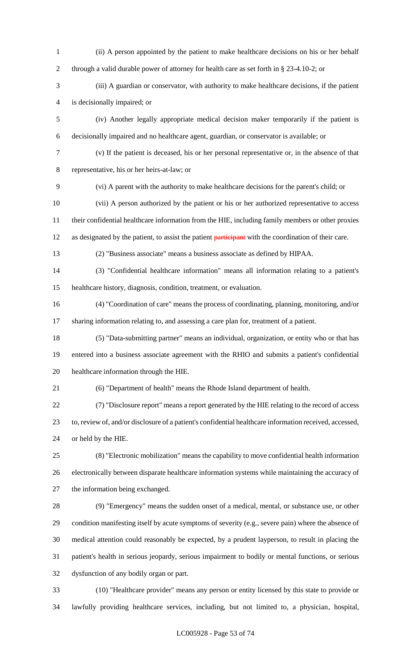(ii) A person appointed by the patient to make healthcare decisions on his or her behalf through a valid durable power of attorney for health care as set forth in § 23-4.10-2; or (iii) A guardian or conservator, with authority to make healthcare decisions, if the patient is decisionally impaired; or (iv) Another legally appropriate medical decision maker temporarily if the patient is decisionally impaired and no healthcare agent, guardian, or conservator is available; or (v) If the patient is deceased, his or her personal representative or, in the absence of that representative, his or her heirs-at-law; or (vi) A parent with the authority to make healthcare decisions for the parent's child; or (vii) A person authorized by the patient or his or her authorized representative to access their confidential healthcare information from the HIE, including family members or other proxies 12 as designated by the patient, to assist the patient participant with the coordination of their care. (2) "Business associate" means a business associate as defined by HIPAA. (3) "Confidential healthcare information" means all information relating to a patient's healthcare history, diagnosis, condition, treatment, or evaluation. (4) "Coordination of care" means the process of coordinating, planning, monitoring, and/or sharing information relating to, and assessing a care plan for, treatment of a patient. (5) "Data-submitting partner" means an individual, organization, or entity who or that has entered into a business associate agreement with the RHIO and submits a patient's confidential healthcare information through the HIE. (6) "Department of health" means the Rhode Island department of health. (7) "Disclosure report" means a report generated by the HIE relating to the record of access to, review of, and/or disclosure of a patient's confidential healthcare information received, accessed, or held by the HIE. (8) "Electronic mobilization" means the capability to move confidential health information electronically between disparate healthcare information systems while maintaining the accuracy of the information being exchanged. (9) "Emergency" means the sudden onset of a medical, mental, or substance use, or other condition manifesting itself by acute symptoms of severity (e.g., severe pain) where the absence of medical attention could reasonably be expected, by a prudent layperson, to result in placing the patient's health in serious jeopardy, serious impairment to bodily or mental functions, or serious dysfunction of any bodily organ or part. (10) "Healthcare provider" means any person or entity licensed by this state to provide or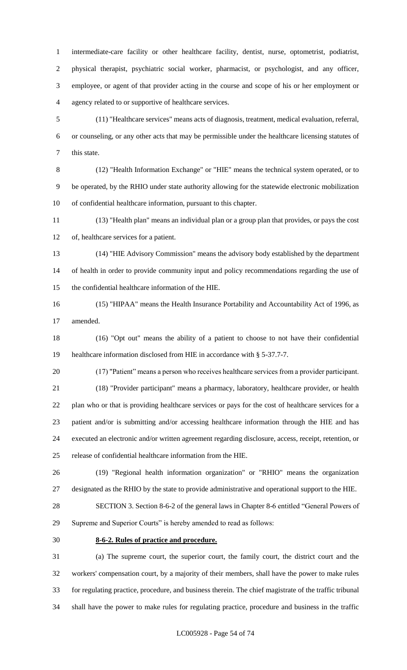intermediate-care facility or other healthcare facility, dentist, nurse, optometrist, podiatrist, physical therapist, psychiatric social worker, pharmacist, or psychologist, and any officer, employee, or agent of that provider acting in the course and scope of his or her employment or agency related to or supportive of healthcare services.

 (11) "Healthcare services" means acts of diagnosis, treatment, medical evaluation, referral, or counseling, or any other acts that may be permissible under the healthcare licensing statutes of this state.

 (12) "Health Information Exchange" or "HIE" means the technical system operated, or to be operated, by the RHIO under state authority allowing for the statewide electronic mobilization of confidential healthcare information, pursuant to this chapter.

 (13) "Health plan" means an individual plan or a group plan that provides, or pays the cost of, healthcare services for a patient.

- (14) "HIE Advisory Commission" means the advisory body established by the department of health in order to provide community input and policy recommendations regarding the use of the confidential healthcare information of the HIE.
- (15) "HIPAA" means the Health Insurance Portability and Accountability Act of 1996, as amended.

 (16) "Opt out" means the ability of a patient to choose to not have their confidential healthcare information disclosed from HIE in accordance with § 5-37.7-7.

(17) "Patient" means a person who receives healthcare services from a provider participant.

21 (18) "Provider participant" means a pharmacy, laboratory, healthcare provider, or health plan who or that is providing healthcare services or pays for the cost of healthcare services for a patient and/or is submitting and/or accessing healthcare information through the HIE and has executed an electronic and/or written agreement regarding disclosure, access, receipt, retention, or release of confidential healthcare information from the HIE.

 (19) "Regional health information organization" or "RHIO" means the organization designated as the RHIO by the state to provide administrative and operational support to the HIE.

 SECTION 3. Section 8-6-2 of the general laws in Chapter 8-6 entitled "General Powers of Supreme and Superior Courts" is hereby amended to read as follows:

# **8-6-2. Rules of practice and procedure.**

 (a) The supreme court, the superior court, the family court, the district court and the workers' compensation court, by a majority of their members, shall have the power to make rules for regulating practice, procedure, and business therein. The chief magistrate of the traffic tribunal shall have the power to make rules for regulating practice, procedure and business in the traffic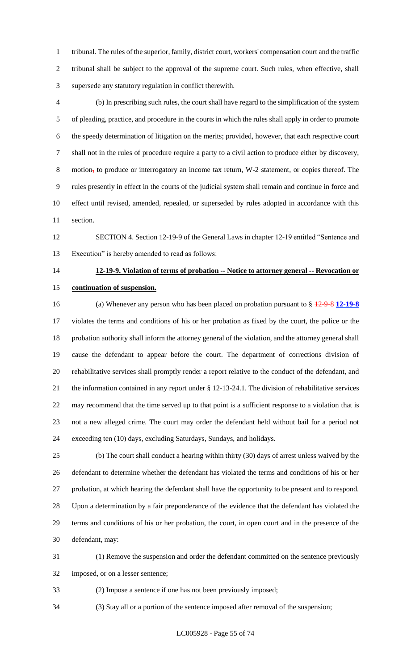tribunal. The rules of the superior, family, district court, workers' compensation court and the traffic tribunal shall be subject to the approval of the supreme court. Such rules, when effective, shall supersede any statutory regulation in conflict therewith.

 (b) In prescribing such rules, the court shall have regard to the simplification of the system of pleading, practice, and procedure in the courts in which the rules shall apply in order to promote the speedy determination of litigation on the merits; provided, however, that each respective court shall not in the rules of procedure require a party to a civil action to produce either by discovery, 8 motion, to produce or interrogatory an income tax return, W-2 statement, or copies thereof. The rules presently in effect in the courts of the judicial system shall remain and continue in force and effect until revised, amended, repealed, or superseded by rules adopted in accordance with this section.

 SECTION 4. Section 12-19-9 of the General Laws in chapter 12-19 entitled "Sentence and Execution" is hereby amended to read as follows:

# **12-19-9. Violation of terms of probation -- Notice to attorney general -- Revocation or continuation of suspension.**

 (a) Whenever any person who has been placed on probation pursuant to § 12-9-8 **12-19-8** violates the terms and conditions of his or her probation as fixed by the court, the police or the probation authority shall inform the attorney general of the violation, and the attorney general shall cause the defendant to appear before the court. The department of corrections division of rehabilitative services shall promptly render a report relative to the conduct of the defendant, and the information contained in any report under § 12-13-24.1. The division of rehabilitative services may recommend that the time served up to that point is a sufficient response to a violation that is not a new alleged crime. The court may order the defendant held without bail for a period not exceeding ten (10) days, excluding Saturdays, Sundays, and holidays.

 (b) The court shall conduct a hearing within thirty (30) days of arrest unless waived by the defendant to determine whether the defendant has violated the terms and conditions of his or her probation, at which hearing the defendant shall have the opportunity to be present and to respond. Upon a determination by a fair preponderance of the evidence that the defendant has violated the terms and conditions of his or her probation, the court, in open court and in the presence of the defendant, may:

 (1) Remove the suspension and order the defendant committed on the sentence previously imposed, or on a lesser sentence;

(2) Impose a sentence if one has not been previously imposed;

(3) Stay all or a portion of the sentence imposed after removal of the suspension;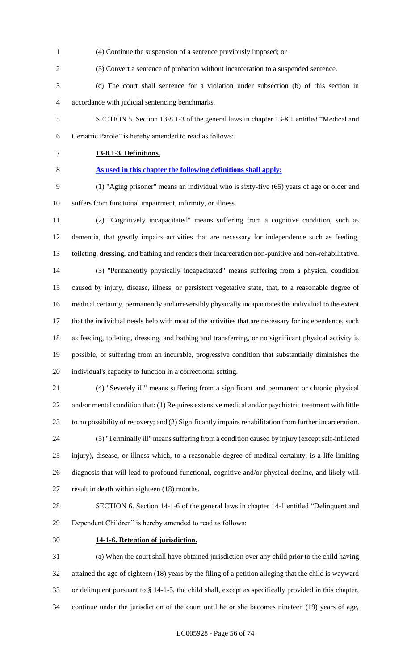- (4) Continue the suspension of a sentence previously imposed; or
- (5) Convert a sentence of probation without incarceration to a suspended sentence.
- (c) The court shall sentence for a violation under subsection (b) of this section in accordance with judicial sentencing benchmarks.
- SECTION 5. Section 13-8.1-3 of the general laws in chapter 13-8.1 entitled "Medical and Geriatric Parole" is hereby amended to read as follows:
- 

#### **13-8.1-3. Definitions.**

## **As used in this chapter the following definitions shall apply:**

- (1) "Aging prisoner" means an individual who is sixty-five (65) years of age or older and suffers from functional impairment, infirmity, or illness.
- (2) "Cognitively incapacitated" means suffering from a cognitive condition, such as dementia, that greatly impairs activities that are necessary for independence such as feeding, toileting, dressing, and bathing and renders their incarceration non-punitive and non-rehabilitative. (3) "Permanently physically incapacitated" means suffering from a physical condition caused by injury, disease, illness, or persistent vegetative state, that, to a reasonable degree of medical certainty, permanently and irreversibly physically incapacitates the individual to the extent 17 that the individual needs help with most of the activities that are necessary for independence, such as feeding, toileting, dressing, and bathing and transferring, or no significant physical activity is
- possible, or suffering from an incurable, progressive condition that substantially diminishes the individual's capacity to function in a correctional setting.
- (4) "Severely ill" means suffering from a significant and permanent or chronic physical and/or mental condition that: (1) Requires extensive medical and/or psychiatric treatment with little to no possibility of recovery; and (2) Significantly impairs rehabilitation from further incarceration. (5) "Terminally ill" means suffering from a condition caused by injury (except self-inflicted injury), disease, or illness which, to a reasonable degree of medical certainty, is a life-limiting diagnosis that will lead to profound functional, cognitive and/or physical decline, and likely will
- result in death within eighteen (18) months.
- SECTION 6. Section 14-1-6 of the general laws in chapter 14-1 entitled "Delinquent and Dependent Children" is hereby amended to read as follows:
- 

## **14-1-6. Retention of jurisdiction.**

 (a) When the court shall have obtained jurisdiction over any child prior to the child having attained the age of eighteen (18) years by the filing of a petition alleging that the child is wayward or delinquent pursuant to § 14-1-5, the child shall, except as specifically provided in this chapter, continue under the jurisdiction of the court until he or she becomes nineteen (19) years of age,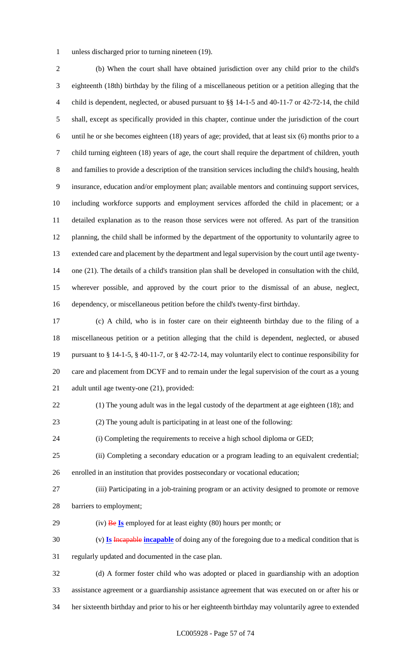unless discharged prior to turning nineteen (19).

 (b) When the court shall have obtained jurisdiction over any child prior to the child's eighteenth (18th) birthday by the filing of a miscellaneous petition or a petition alleging that the child is dependent, neglected, or abused pursuant to §§ 14-1-5 and 40-11-7 or 42-72-14, the child shall, except as specifically provided in this chapter, continue under the jurisdiction of the court until he or she becomes eighteen (18) years of age; provided, that at least six (6) months prior to a child turning eighteen (18) years of age, the court shall require the department of children, youth and families to provide a description of the transition services including the child's housing, health insurance, education and/or employment plan; available mentors and continuing support services, including workforce supports and employment services afforded the child in placement; or a detailed explanation as to the reason those services were not offered. As part of the transition planning, the child shall be informed by the department of the opportunity to voluntarily agree to extended care and placement by the department and legal supervision by the court until age twenty- one (21). The details of a child's transition plan shall be developed in consultation with the child, wherever possible, and approved by the court prior to the dismissal of an abuse, neglect, dependency, or miscellaneous petition before the child's twenty-first birthday.

 (c) A child, who is in foster care on their eighteenth birthday due to the filing of a miscellaneous petition or a petition alleging that the child is dependent, neglected, or abused pursuant to § 14-1-5, § 40-11-7, or § 42-72-14, may voluntarily elect to continue responsibility for care and placement from DCYF and to remain under the legal supervision of the court as a young adult until age twenty-one (21), provided:

- (1) The young adult was in the legal custody of the department at age eighteen (18); and
- (2) The young adult is participating in at least one of the following:

(i) Completing the requirements to receive a high school diploma or GED;

- (ii) Completing a secondary education or a program leading to an equivalent credential; enrolled in an institution that provides postsecondary or vocational education;
- 
- (iii) Participating in a job-training program or an activity designed to promote or remove barriers to employment;
- (iv) Be **Is** employed for at least eighty (80) hours per month; or

 (v) **Is** Incapable **incapable** of doing any of the foregoing due to a medical condition that is regularly updated and documented in the case plan.

 (d) A former foster child who was adopted or placed in guardianship with an adoption assistance agreement or a guardianship assistance agreement that was executed on or after his or her sixteenth birthday and prior to his or her eighteenth birthday may voluntarily agree to extended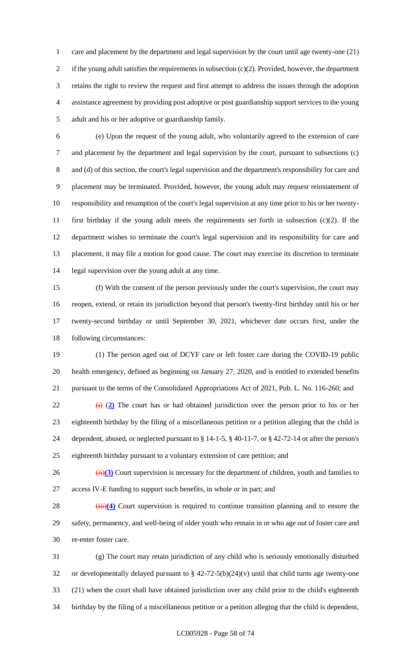care and placement by the department and legal supervision by the court until age twenty-one (21) if the young adult satisfies the requirements in subsection (c)(2). Provided, however, the department retains the right to review the request and first attempt to address the issues through the adoption assistance agreement by providing post adoptive or post guardianship support services to the young adult and his or her adoptive or guardianship family.

 (e) Upon the request of the young adult, who voluntarily agreed to the extension of care and placement by the department and legal supervision by the court, pursuant to subsections (c) and (d) of this section, the court's legal supervision and the department's responsibility for care and placement may be terminated. Provided, however, the young adult may request reinstatement of responsibility and resumption of the court's legal supervision at any time prior to his or her twenty- first birthday if the young adult meets the requirements set forth in subsection (c)(2). If the department wishes to terminate the court's legal supervision and its responsibility for care and placement, it may file a motion for good cause. The court may exercise its discretion to terminate legal supervision over the young adult at any time.

 (f) With the consent of the person previously under the court's supervision, the court may reopen, extend, or retain its jurisdiction beyond that person's twenty-first birthday until his or her twenty-second birthday or until September 30, 2021, whichever date occurs first, under the following circumstances:

 (1) The person aged out of DCYF care or left foster care during the COVID-19 public health emergency, defined as beginning on January 27, 2020, and is entitled to extended benefits pursuant to the terms of the Consolidated Appropriations Act of 2021, Pub. L. No. 116-260; and

 (i) (**2)** The court has or had obtained jurisdiction over the person prior to his or her eighteenth birthday by the filing of a miscellaneous petition or a petition alleging that the child is dependent, abused, or neglected pursuant to § 14-1-5, § 40-11-7, or § 42-72-14 or after the person's eighteenth birthday pursuant to a voluntary extension of care petition; and

26 (ii)(3) Court supervision is necessary for the department of children, youth and families to access IV-E funding to support such benefits, in whole or in part; and

28 (iii)(4) Court supervision is required to continue transition planning and to ensure the safety, permanency, and well-being of older youth who remain in or who age out of foster care and re-enter foster care.

 (g) The court may retain jurisdiction of any child who is seriously emotionally disturbed or developmentally delayed pursuant to § 42-72-5(b)(24)(v) until that child turns age twenty-one (21) when the court shall have obtained jurisdiction over any child prior to the child's eighteenth birthday by the filing of a miscellaneous petition or a petition alleging that the child is dependent,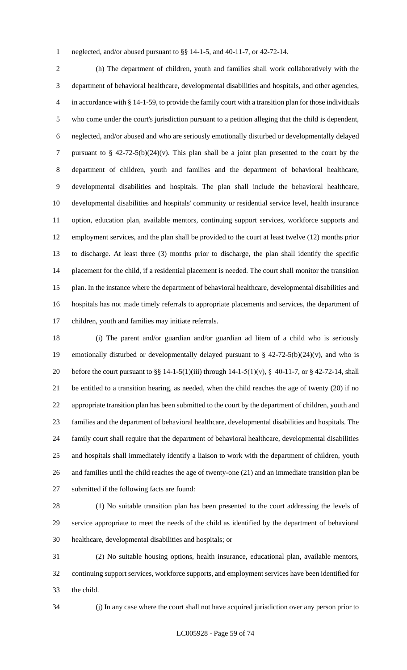neglected, and/or abused pursuant to §§ 14-1-5, and 40-11-7, or 42-72-14.

 (h) The department of children, youth and families shall work collaboratively with the department of behavioral healthcare, developmental disabilities and hospitals, and other agencies, in accordance with § 14-1-59, to provide the family court with a transition plan for those individuals who come under the court's jurisdiction pursuant to a petition alleging that the child is dependent, neglected, and/or abused and who are seriously emotionally disturbed or developmentally delayed pursuant to § 42-72-5(b)(24)(v). This plan shall be a joint plan presented to the court by the department of children, youth and families and the department of behavioral healthcare, developmental disabilities and hospitals. The plan shall include the behavioral healthcare, developmental disabilities and hospitals' community or residential service level, health insurance option, education plan, available mentors, continuing support services, workforce supports and employment services, and the plan shall be provided to the court at least twelve (12) months prior to discharge. At least three (3) months prior to discharge, the plan shall identify the specific placement for the child, if a residential placement is needed. The court shall monitor the transition plan. In the instance where the department of behavioral healthcare, developmental disabilities and hospitals has not made timely referrals to appropriate placements and services, the department of children, youth and families may initiate referrals.

 (i) The parent and/or guardian and/or guardian ad litem of a child who is seriously 19 emotionally disturbed or developmentally delayed pursuant to  $\S$  42-72-5(b)(24)(v), and who is 20 before the court pursuant to  $\S$  14-1-5(1)(iii) through 14-1-5(1)(v),  $\S$  40-11-7, or  $\S$  42-72-14, shall be entitled to a transition hearing, as needed, when the child reaches the age of twenty (20) if no appropriate transition plan has been submitted to the court by the department of children, youth and families and the department of behavioral healthcare, developmental disabilities and hospitals. The family court shall require that the department of behavioral healthcare, developmental disabilities and hospitals shall immediately identify a liaison to work with the department of children, youth and families until the child reaches the age of twenty-one (21) and an immediate transition plan be submitted if the following facts are found:

 (1) No suitable transition plan has been presented to the court addressing the levels of service appropriate to meet the needs of the child as identified by the department of behavioral healthcare, developmental disabilities and hospitals; or

 (2) No suitable housing options, health insurance, educational plan, available mentors, continuing support services, workforce supports, and employment services have been identified for the child.

(j) In any case where the court shall not have acquired jurisdiction over any person prior to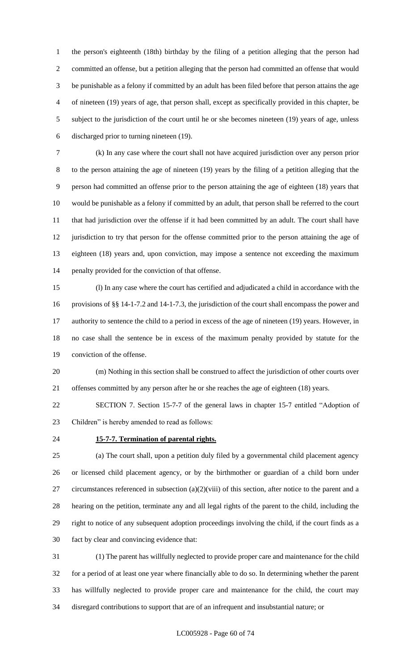the person's eighteenth (18th) birthday by the filing of a petition alleging that the person had committed an offense, but a petition alleging that the person had committed an offense that would be punishable as a felony if committed by an adult has been filed before that person attains the age of nineteen (19) years of age, that person shall, except as specifically provided in this chapter, be subject to the jurisdiction of the court until he or she becomes nineteen (19) years of age, unless discharged prior to turning nineteen (19).

 (k) In any case where the court shall not have acquired jurisdiction over any person prior to the person attaining the age of nineteen (19) years by the filing of a petition alleging that the person had committed an offense prior to the person attaining the age of eighteen (18) years that would be punishable as a felony if committed by an adult, that person shall be referred to the court that had jurisdiction over the offense if it had been committed by an adult. The court shall have jurisdiction to try that person for the offense committed prior to the person attaining the age of eighteen (18) years and, upon conviction, may impose a sentence not exceeding the maximum penalty provided for the conviction of that offense.

 (l) In any case where the court has certified and adjudicated a child in accordance with the provisions of §§ 14-1-7.2 and 14-1-7.3, the jurisdiction of the court shall encompass the power and authority to sentence the child to a period in excess of the age of nineteen (19) years. However, in no case shall the sentence be in excess of the maximum penalty provided by statute for the conviction of the offense.

 (m) Nothing in this section shall be construed to affect the jurisdiction of other courts over offenses committed by any person after he or she reaches the age of eighteen (18) years.

 SECTION 7. Section 15-7-7 of the general laws in chapter 15-7 entitled "Adoption of Children" is hereby amended to read as follows:

## **15-7-7. Termination of parental rights.**

 (a) The court shall, upon a petition duly filed by a governmental child placement agency or licensed child placement agency, or by the birthmother or guardian of a child born under circumstances referenced in subsection (a)(2)(viii) of this section, after notice to the parent and a hearing on the petition, terminate any and all legal rights of the parent to the child, including the right to notice of any subsequent adoption proceedings involving the child, if the court finds as a fact by clear and convincing evidence that:

 (1) The parent has willfully neglected to provide proper care and maintenance for the child for a period of at least one year where financially able to do so. In determining whether the parent has willfully neglected to provide proper care and maintenance for the child, the court may disregard contributions to support that are of an infrequent and insubstantial nature; or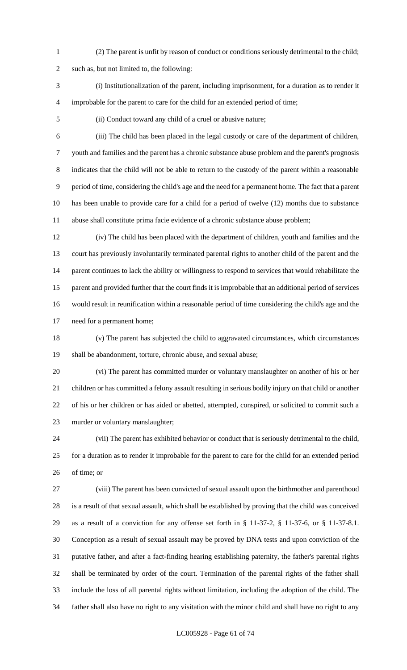(2) The parent is unfit by reason of conduct or conditions seriously detrimental to the child;

such as, but not limited to, the following:

- (i) Institutionalization of the parent, including imprisonment, for a duration as to render it improbable for the parent to care for the child for an extended period of time;
- 

(ii) Conduct toward any child of a cruel or abusive nature;

 (iii) The child has been placed in the legal custody or care of the department of children, youth and families and the parent has a chronic substance abuse problem and the parent's prognosis indicates that the child will not be able to return to the custody of the parent within a reasonable period of time, considering the child's age and the need for a permanent home. The fact that a parent has been unable to provide care for a child for a period of twelve (12) months due to substance abuse shall constitute prima facie evidence of a chronic substance abuse problem;

 (iv) The child has been placed with the department of children, youth and families and the court has previously involuntarily terminated parental rights to another child of the parent and the parent continues to lack the ability or willingness to respond to services that would rehabilitate the parent and provided further that the court finds it is improbable that an additional period of services would result in reunification within a reasonable period of time considering the child's age and the need for a permanent home;

 (v) The parent has subjected the child to aggravated circumstances, which circumstances shall be abandonment, torture, chronic abuse, and sexual abuse;

 (vi) The parent has committed murder or voluntary manslaughter on another of his or her children or has committed a felony assault resulting in serious bodily injury on that child or another of his or her children or has aided or abetted, attempted, conspired, or solicited to commit such a murder or voluntary manslaughter;

 (vii) The parent has exhibited behavior or conduct that is seriously detrimental to the child, for a duration as to render it improbable for the parent to care for the child for an extended period of time; or

 (viii) The parent has been convicted of sexual assault upon the birthmother and parenthood is a result of that sexual assault, which shall be established by proving that the child was conceived as a result of a conviction for any offense set forth in § 11-37-2, § 11-37-6, or § 11-37-8.1. Conception as a result of sexual assault may be proved by DNA tests and upon conviction of the putative father, and after a fact-finding hearing establishing paternity, the father's parental rights shall be terminated by order of the court. Termination of the parental rights of the father shall include the loss of all parental rights without limitation, including the adoption of the child. The father shall also have no right to any visitation with the minor child and shall have no right to any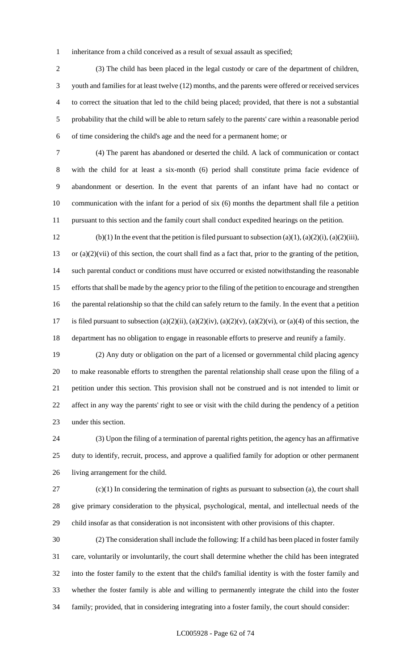inheritance from a child conceived as a result of sexual assault as specified;

 (3) The child has been placed in the legal custody or care of the department of children, youth and families for at least twelve (12) months, and the parents were offered or received services to correct the situation that led to the child being placed; provided, that there is not a substantial probability that the child will be able to return safely to the parents' care within a reasonable period of time considering the child's age and the need for a permanent home; or

 (4) The parent has abandoned or deserted the child. A lack of communication or contact with the child for at least a six-month (6) period shall constitute prima facie evidence of abandonment or desertion. In the event that parents of an infant have had no contact or communication with the infant for a period of six (6) months the department shall file a petition pursuant to this section and the family court shall conduct expedited hearings on the petition.

12 (b)(1) In the event that the petition is filed pursuant to subsection (a)(1), (a)(2)(i), (a)(2)(iii), or (a)(2)(vii) of this section, the court shall find as a fact that, prior to the granting of the petition, such parental conduct or conditions must have occurred or existed notwithstanding the reasonable efforts that shall be made by the agency prior to the filing of the petition to encourage and strengthen the parental relationship so that the child can safely return to the family. In the event that a petition 17 is filed pursuant to subsection (a)(2)(ii), (a)(2)(iv), (a)(2)(v), (a)(2)(vi), or (a)(4) of this section, the department has no obligation to engage in reasonable efforts to preserve and reunify a family.

 (2) Any duty or obligation on the part of a licensed or governmental child placing agency to make reasonable efforts to strengthen the parental relationship shall cease upon the filing of a petition under this section. This provision shall not be construed and is not intended to limit or affect in any way the parents' right to see or visit with the child during the pendency of a petition under this section.

 (3) Upon the filing of a termination of parental rights petition, the agency has an affirmative duty to identify, recruit, process, and approve a qualified family for adoption or other permanent living arrangement for the child.

 (c)(1) In considering the termination of rights as pursuant to subsection (a), the court shall give primary consideration to the physical, psychological, mental, and intellectual needs of the child insofar as that consideration is not inconsistent with other provisions of this chapter.

 (2) The consideration shall include the following: If a child has been placed in foster family care, voluntarily or involuntarily, the court shall determine whether the child has been integrated into the foster family to the extent that the child's familial identity is with the foster family and whether the foster family is able and willing to permanently integrate the child into the foster family; provided, that in considering integrating into a foster family, the court should consider: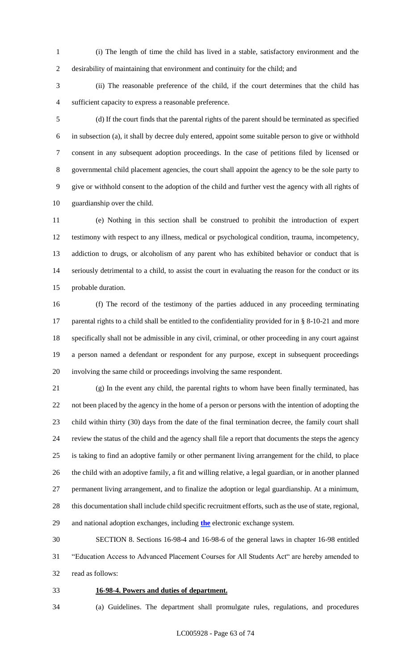(i) The length of time the child has lived in a stable, satisfactory environment and the desirability of maintaining that environment and continuity for the child; and

 (ii) The reasonable preference of the child, if the court determines that the child has sufficient capacity to express a reasonable preference.

 (d) If the court finds that the parental rights of the parent should be terminated as specified in subsection (a), it shall by decree duly entered, appoint some suitable person to give or withhold consent in any subsequent adoption proceedings. In the case of petitions filed by licensed or governmental child placement agencies, the court shall appoint the agency to be the sole party to give or withhold consent to the adoption of the child and further vest the agency with all rights of guardianship over the child.

 (e) Nothing in this section shall be construed to prohibit the introduction of expert testimony with respect to any illness, medical or psychological condition, trauma, incompetency, addiction to drugs, or alcoholism of any parent who has exhibited behavior or conduct that is seriously detrimental to a child, to assist the court in evaluating the reason for the conduct or its probable duration.

 (f) The record of the testimony of the parties adduced in any proceeding terminating 17 parental rights to a child shall be entitled to the confidentiality provided for in § 8-10-21 and more specifically shall not be admissible in any civil, criminal, or other proceeding in any court against a person named a defendant or respondent for any purpose, except in subsequent proceedings involving the same child or proceedings involving the same respondent.

 (g) In the event any child, the parental rights to whom have been finally terminated, has not been placed by the agency in the home of a person or persons with the intention of adopting the child within thirty (30) days from the date of the final termination decree, the family court shall review the status of the child and the agency shall file a report that documents the steps the agency is taking to find an adoptive family or other permanent living arrangement for the child, to place the child with an adoptive family, a fit and willing relative, a legal guardian, or in another planned permanent living arrangement, and to finalize the adoption or legal guardianship. At a minimum, this documentation shall include child specific recruitment efforts, such as the use of state, regional, and national adoption exchanges, including **the** electronic exchange system.

 SECTION 8. Sections 16-98-4 and 16-98-6 of the general laws in chapter 16-98 entitled "Education Access to Advanced Placement Courses for All Students Act" are hereby amended to read as follows:

- **16-98-4. Powers and duties of department.**
- (a) Guidelines. The department shall promulgate rules, regulations, and procedures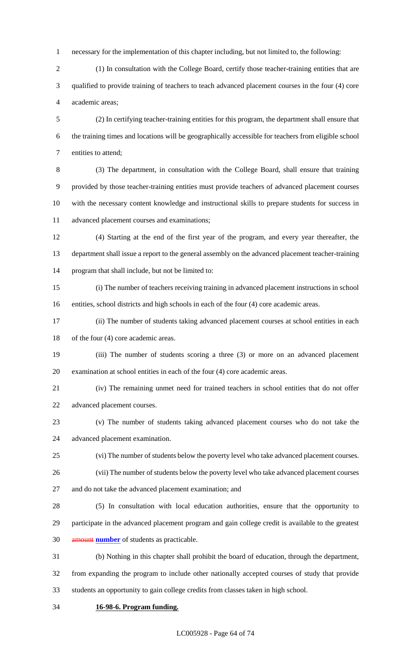necessary for the implementation of this chapter including, but not limited to, the following:

 (1) In consultation with the College Board, certify those teacher-training entities that are qualified to provide training of teachers to teach advanced placement courses in the four (4) core academic areas;

 (2) In certifying teacher-training entities for this program, the department shall ensure that the training times and locations will be geographically accessible for teachers from eligible school entities to attend;

 (3) The department, in consultation with the College Board, shall ensure that training provided by those teacher-training entities must provide teachers of advanced placement courses with the necessary content knowledge and instructional skills to prepare students for success in advanced placement courses and examinations;

 (4) Starting at the end of the first year of the program, and every year thereafter, the department shall issue a report to the general assembly on the advanced placement teacher-training program that shall include, but not be limited to:

 (i) The number of teachers receiving training in advanced placement instructions in school entities, school districts and high schools in each of the four (4) core academic areas.

 (ii) The number of students taking advanced placement courses at school entities in each 18 of the four (4) core academic areas.

 (iii) The number of students scoring a three (3) or more on an advanced placement examination at school entities in each of the four (4) core academic areas.

 (iv) The remaining unmet need for trained teachers in school entities that do not offer advanced placement courses.

 (v) The number of students taking advanced placement courses who do not take the advanced placement examination.

(vi) The number of students below the poverty level who take advanced placement courses.

 (vii) The number of students below the poverty level who take advanced placement courses and do not take the advanced placement examination; and

 (5) In consultation with local education authorities, ensure that the opportunity to participate in the advanced placement program and gain college credit is available to the greatest amount **number** of students as practicable.

 (b) Nothing in this chapter shall prohibit the board of education, through the department, from expanding the program to include other nationally accepted courses of study that provide students an opportunity to gain college credits from classes taken in high school.

**16-98-6. Program funding.**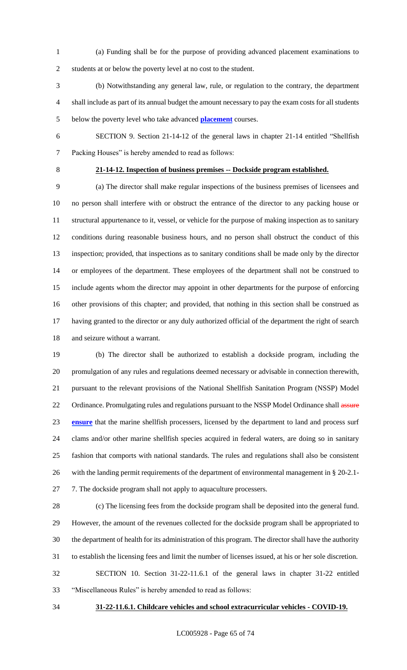(a) Funding shall be for the purpose of providing advanced placement examinations to students at or below the poverty level at no cost to the student.

 (b) Notwithstanding any general law, rule, or regulation to the contrary, the department shall include as part of its annual budget the amount necessary to pay the exam costs for all students below the poverty level who take advanced **placement** courses.

SECTION 9. Section 21-14-12 of the general laws in chapter 21-14 entitled "Shellfish

Packing Houses" is hereby amended to read as follows:

# **21-14-12. Inspection of business premises -- Dockside program established.**

 (a) The director shall make regular inspections of the business premises of licensees and no person shall interfere with or obstruct the entrance of the director to any packing house or structural appurtenance to it, vessel, or vehicle for the purpose of making inspection as to sanitary conditions during reasonable business hours, and no person shall obstruct the conduct of this inspection; provided, that inspections as to sanitary conditions shall be made only by the director or employees of the department. These employees of the department shall not be construed to include agents whom the director may appoint in other departments for the purpose of enforcing other provisions of this chapter; and provided, that nothing in this section shall be construed as having granted to the director or any duly authorized official of the department the right of search and seizure without a warrant.

 (b) The director shall be authorized to establish a dockside program, including the promulgation of any rules and regulations deemed necessary or advisable in connection therewith, pursuant to the relevant provisions of the National Shellfish Sanitation Program (NSSP) Model 22 Ordinance. Promulgating rules and regulations pursuant to the NSSP Model Ordinance shall assure **ensure** that the marine shellfish processers, licensed by the department to land and process surf clams and/or other marine shellfish species acquired in federal waters, are doing so in sanitary fashion that comports with national standards. The rules and regulations shall also be consistent with the landing permit requirements of the department of environmental management in § 20-2.1- 27 7. The dockside program shall not apply to aquaculture processers.

 (c) The licensing fees from the dockside program shall be deposited into the general fund. However, the amount of the revenues collected for the dockside program shall be appropriated to the department of health for its administration of this program. The director shall have the authority to establish the licensing fees and limit the number of licenses issued, at his or her sole discretion. SECTION 10. Section 31-22-11.6.1 of the general laws in chapter 31-22 entitled "Miscellaneous Rules" is hereby amended to read as follows:

#### **31-22-11.6.1. Childcare vehicles and school extracurricular vehicles - COVID-19.**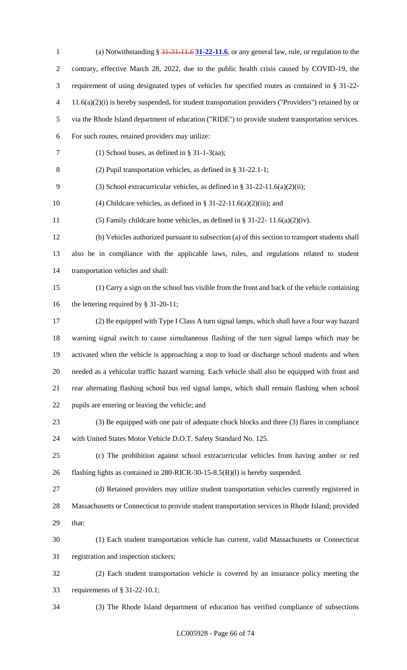(a) Notwithstanding § 31-31-11.6 **31-22-11.6**, or any general law, rule, or regulation to the contrary, effective March 28, 2022, due to the public health crisis caused by COVID-19, the requirement of using designated types of vehicles for specified routes as contained in § 31-22- 4 11.6(a)(2)(i) is hereby suspended, for student transportation providers ("Providers") retained by or via the Rhode Island department of education ("RIDE") to provide student transportation services. For such routes, retained providers may utilize: 7 (1) School buses, as defined in  $\S 31-1-3(aa)$ ; (2) Pupil transportation vehicles, as defined in § 31-22.1-1; (3) School extracurricular vehicles, as defined in § 31-22-11.6(a)(2)(ii); 10 (4) Childcare vehicles, as defined in § 31-22-11.6(a)(2)(iii); and (5) Family childcare home vehicles, as defined in § 31-22- 11.6(a)(2)(iv). (b) Vehicles authorized pursuant to subsection (a) of this section to transport students shall also be in compliance with the applicable laws, rules, and regulations related to student transportation vehicles and shall: (1) Carry a sign on the school bus visible from the front and back of the vehicle containing 16 the lettering required by § 31-20-11; (2) Be equipped with Type I Class A turn signal lamps, which shall have a four way hazard warning signal switch to cause simultaneous flashing of the turn signal lamps which may be activated when the vehicle is approaching a stop to load or discharge school students and when needed as a vehicular traffic hazard warning. Each vehicle shall also be equipped with front and rear alternating flashing school bus red signal lamps, which shall remain flashing when school pupils are entering or leaving the vehicle; and (3) Be equipped with one pair of adequate chock blocks and three (3) flares in compliance with United States Motor Vehicle D.O.T. Safety Standard No. 125. (c) The prohibition against school extracurricular vehicles from having amber or red flashing lights as contained in 280-RICR-30-15-8.5(B)(l) is hereby suspended. (d) Retained providers may utilize student transportation vehicles currently registered in Massachusetts or Connecticut to provide student transportation services in Rhode Island; provided that: (1) Each student transportation vehicle has current, valid Massachusetts or Connecticut registration and inspection stickers; (2) Each student transportation vehicle is covered by an insurance policy meeting the requirements of § 31-22-10.1; (3) The Rhode Island department of education has verified compliance of subsections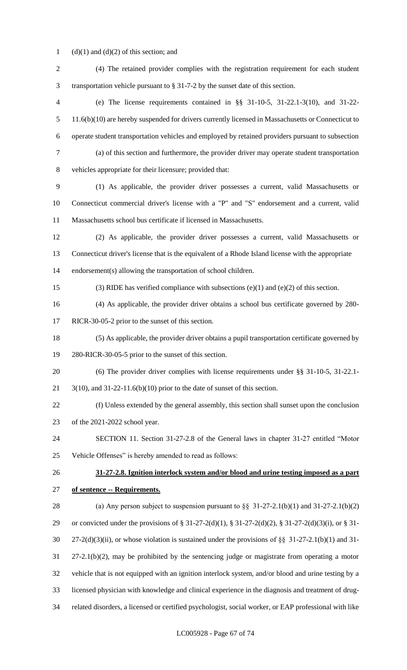1 (d)(1) and (d)(2) of this section; and

| $\mathfrak{2}$           | (4) The retained provider complies with the registration requirement for each student                 |
|--------------------------|-------------------------------------------------------------------------------------------------------|
| 3                        | transportation vehicle pursuant to $\S 31-7-2$ by the sunset date of this section.                    |
| $\overline{\mathcal{A}}$ | (e) The license requirements contained in §§ $31-10-5$ , $31-22.1-3(10)$ , and $31-22$ -              |
| 5                        | 11.6(b)(10) are hereby suspended for drivers currently licensed in Massachusetts or Connecticut to    |
| 6                        | operate student transportation vehicles and employed by retained providers pursuant to subsection     |
| $\tau$                   | (a) of this section and furthermore, the provider driver may operate student transportation           |
| $8\,$                    | vehicles appropriate for their licensure; provided that:                                              |
| 9                        | (1) As applicable, the provider driver possesses a current, valid Massachusetts or                    |
| 10                       | Connecticut commercial driver's license with a "P" and "S" endorsement and a current, valid           |
| 11                       | Massachusetts school bus certificate if licensed in Massachusetts.                                    |
| 12                       | (2) As applicable, the provider driver possesses a current, valid Massachusetts or                    |
| 13                       | Connecticut driver's license that is the equivalent of a Rhode Island license with the appropriate    |
| 14                       | endorsement(s) allowing the transportation of school children.                                        |
| 15                       | (3) RIDE has verified compliance with subsections (e)(1) and (e)(2) of this section.                  |
| 16                       | (4) As applicable, the provider driver obtains a school bus certificate governed by 280-              |
| 17                       | RICR-30-05-2 prior to the sunset of this section.                                                     |
| 18                       | (5) As applicable, the provider driver obtains a pupil transportation certificate governed by         |
| 19                       | 280-RICR-30-05-5 prior to the sunset of this section.                                                 |
| 20                       | (6) The provider driver complies with license requirements under $\S$ 31-10-5, 31-22.1-               |
| 21                       | $3(10)$ , and $31-22-11.6(b)(10)$ prior to the date of sunset of this section.                        |
| 22                       | (f) Unless extended by the general assembly, this section shall sunset upon the conclusion            |
| 23                       | of the 2021-2022 school year.                                                                         |
| 24                       | SECTION 11. Section 31-27-2.8 of the General laws in chapter 31-27 entitled "Motor                    |
| 25                       | Vehicle Offenses" is hereby amended to read as follows:                                               |
| 26                       | 31-27-2.8. Ignition interlock system and/or blood and urine testing imposed as a part                 |
| 27                       | of sentence -- Requirements.                                                                          |
| 28                       | (a) Any person subject to suspension pursuant to $\S$ 31-27-2.1(b)(1) and 31-27-2.1(b)(2)             |
| 29                       | or convicted under the provisions of § 31-27-2(d)(1), § 31-27-2(d)(2), § 31-27-2(d)(3)(i), or § 31-   |
| 30                       | $27-2(d)(3)(ii)$ , or whose violation is sustained under the provisions of §§ 31-27-2.1(b)(1) and 31- |
| 31                       | $27-2.1(b)(2)$ , may be prohibited by the sentencing judge or magistrate from operating a motor       |
| 32                       | vehicle that is not equipped with an ignition interlock system, and/or blood and urine testing by a   |
| 33                       | licensed physician with knowledge and clinical experience in the diagnosis and treatment of drug-     |
| 34                       | related disorders, a licensed or certified psychologist, social worker, or EAP professional with like |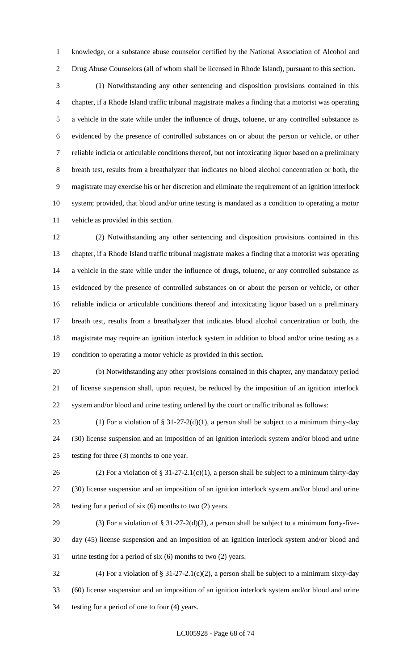knowledge, or a substance abuse counselor certified by the National Association of Alcohol and Drug Abuse Counselors (all of whom shall be licensed in Rhode Island), pursuant to this section.

 (1) Notwithstanding any other sentencing and disposition provisions contained in this chapter, if a Rhode Island traffic tribunal magistrate makes a finding that a motorist was operating a vehicle in the state while under the influence of drugs, toluene, or any controlled substance as evidenced by the presence of controlled substances on or about the person or vehicle, or other reliable indicia or articulable conditions thereof, but not intoxicating liquor based on a preliminary breath test, results from a breathalyzer that indicates no blood alcohol concentration or both, the magistrate may exercise his or her discretion and eliminate the requirement of an ignition interlock system; provided, that blood and/or urine testing is mandated as a condition to operating a motor vehicle as provided in this section.

 (2) Notwithstanding any other sentencing and disposition provisions contained in this chapter, if a Rhode Island traffic tribunal magistrate makes a finding that a motorist was operating a vehicle in the state while under the influence of drugs, toluene, or any controlled substance as evidenced by the presence of controlled substances on or about the person or vehicle, or other reliable indicia or articulable conditions thereof and intoxicating liquor based on a preliminary breath test, results from a breathalyzer that indicates blood alcohol concentration or both, the magistrate may require an ignition interlock system in addition to blood and/or urine testing as a condition to operating a motor vehicle as provided in this section.

 (b) Notwithstanding any other provisions contained in this chapter, any mandatory period of license suspension shall, upon request, be reduced by the imposition of an ignition interlock system and/or blood and urine testing ordered by the court or traffic tribunal as follows:

23 (1) For a violation of  $\S 31-27-2(d)(1)$ , a person shall be subject to a minimum thirty-day (30) license suspension and an imposition of an ignition interlock system and/or blood and urine testing for three (3) months to one year.

26 (2) For a violation of § 31-27-2.1(c)(1), a person shall be subject to a minimum thirty-day (30) license suspension and an imposition of an ignition interlock system and/or blood and urine testing for a period of six (6) months to two (2) years.

29 (3) For a violation of  $\S 31-27-2(d)(2)$ , a person shall be subject to a minimum forty-five- day (45) license suspension and an imposition of an ignition interlock system and/or blood and urine testing for a period of six (6) months to two (2) years.

 (4) For a violation of § 31-27-2.1(c)(2), a person shall be subject to a minimum sixty-day (60) license suspension and an imposition of an ignition interlock system and/or blood and urine testing for a period of one to four (4) years.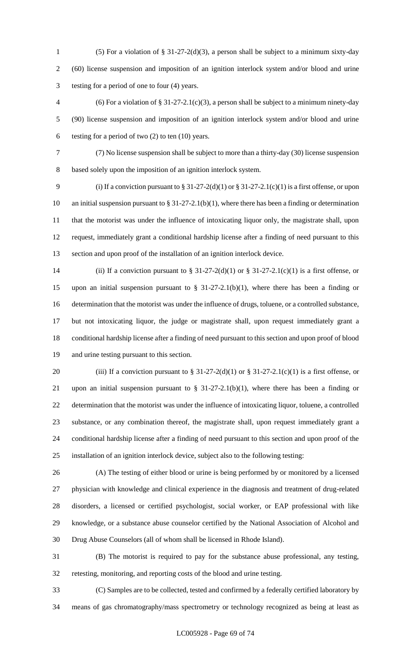- (5) For a violation of § 31-27-2(d)(3), a person shall be subject to a minimum sixty-day (60) license suspension and imposition of an ignition interlock system and/or blood and urine testing for a period of one to four (4) years.
- 4 (6) For a violation of  $\S 31-27-2.1(c)(3)$ , a person shall be subject to a minimum ninety-day (90) license suspension and imposition of an ignition interlock system and/or blood and urine 6 testing for a period of two  $(2)$  to ten  $(10)$  years.
- (7) No license suspension shall be subject to more than a thirty-day (30) license suspension

based solely upon the imposition of an ignition interlock system.

9 (i) If a conviction pursuant to  $§ 31-27-2(d)(1)$  or  $§ 31-27-2.1(c)(1)$  is a first offense, or upon an initial suspension pursuant to § 31-27-2.1(b)(1), where there has been a finding or determination that the motorist was under the influence of intoxicating liquor only, the magistrate shall, upon request, immediately grant a conditional hardship license after a finding of need pursuant to this section and upon proof of the installation of an ignition interlock device.

14 (ii) If a conviction pursuant to  $\S 31-27-2(d)(1)$  or  $\S 31-27-2.1(c)(1)$  is a first offense, or 15 upon an initial suspension pursuant to  $\S$  31-27-2.1(b)(1), where there has been a finding or determination that the motorist was under the influence of drugs, toluene, or a controlled substance, but not intoxicating liquor, the judge or magistrate shall, upon request immediately grant a conditional hardship license after a finding of need pursuant to this section and upon proof of blood and urine testing pursuant to this section.

20 (iii) If a conviction pursuant to §  $31-27-2(d)(1)$  or §  $31-27-2.1(c)(1)$  is a first offense, or 21 upon an initial suspension pursuant to  $\S$  31-27-2.1(b)(1), where there has been a finding or determination that the motorist was under the influence of intoxicating liquor, toluene, a controlled substance, or any combination thereof, the magistrate shall, upon request immediately grant a conditional hardship license after a finding of need pursuant to this section and upon proof of the installation of an ignition interlock device, subject also to the following testing:

 (A) The testing of either blood or urine is being performed by or monitored by a licensed physician with knowledge and clinical experience in the diagnosis and treatment of drug-related disorders, a licensed or certified psychologist, social worker, or EAP professional with like knowledge, or a substance abuse counselor certified by the National Association of Alcohol and Drug Abuse Counselors (all of whom shall be licensed in Rhode Island).

 (B) The motorist is required to pay for the substance abuse professional, any testing, retesting, monitoring, and reporting costs of the blood and urine testing.

 (C) Samples are to be collected, tested and confirmed by a federally certified laboratory by means of gas chromatography/mass spectrometry or technology recognized as being at least as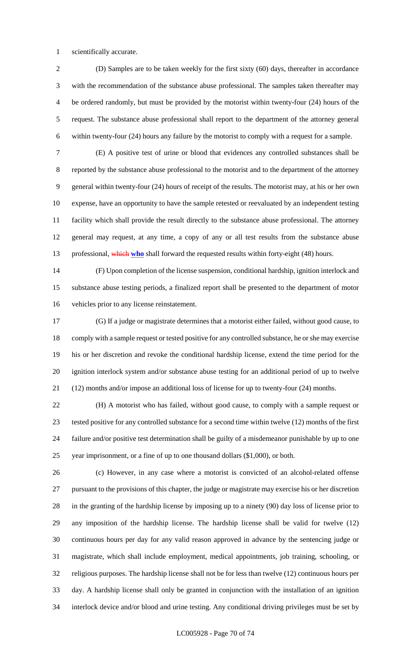scientifically accurate.

 (D) Samples are to be taken weekly for the first sixty (60) days, thereafter in accordance with the recommendation of the substance abuse professional. The samples taken thereafter may be ordered randomly, but must be provided by the motorist within twenty-four (24) hours of the request. The substance abuse professional shall report to the department of the attorney general within twenty-four (24) hours any failure by the motorist to comply with a request for a sample.

 (E) A positive test of urine or blood that evidences any controlled substances shall be reported by the substance abuse professional to the motorist and to the department of the attorney general within twenty-four (24) hours of receipt of the results. The motorist may, at his or her own expense, have an opportunity to have the sample retested or reevaluated by an independent testing facility which shall provide the result directly to the substance abuse professional. The attorney general may request, at any time, a copy of any or all test results from the substance abuse 13 professional, which who shall forward the requested results within forty-eight (48) hours.

 (F) Upon completion of the license suspension, conditional hardship, ignition interlock and substance abuse testing periods, a finalized report shall be presented to the department of motor vehicles prior to any license reinstatement.

 (G) If a judge or magistrate determines that a motorist either failed, without good cause, to comply with a sample request or tested positive for any controlled substance, he or she may exercise his or her discretion and revoke the conditional hardship license, extend the time period for the ignition interlock system and/or substance abuse testing for an additional period of up to twelve (12) months and/or impose an additional loss of license for up to twenty-four (24) months.

 (H) A motorist who has failed, without good cause, to comply with a sample request or tested positive for any controlled substance for a second time within twelve (12) months of the first failure and/or positive test determination shall be guilty of a misdemeanor punishable by up to one year imprisonment, or a fine of up to one thousand dollars (\$1,000), or both.

 (c) However, in any case where a motorist is convicted of an alcohol-related offense pursuant to the provisions of this chapter, the judge or magistrate may exercise his or her discretion in the granting of the hardship license by imposing up to a ninety (90) day loss of license prior to any imposition of the hardship license. The hardship license shall be valid for twelve (12) continuous hours per day for any valid reason approved in advance by the sentencing judge or magistrate, which shall include employment, medical appointments, job training, schooling, or religious purposes. The hardship license shall not be for less than twelve (12) continuous hours per day. A hardship license shall only be granted in conjunction with the installation of an ignition interlock device and/or blood and urine testing. Any conditional driving privileges must be set by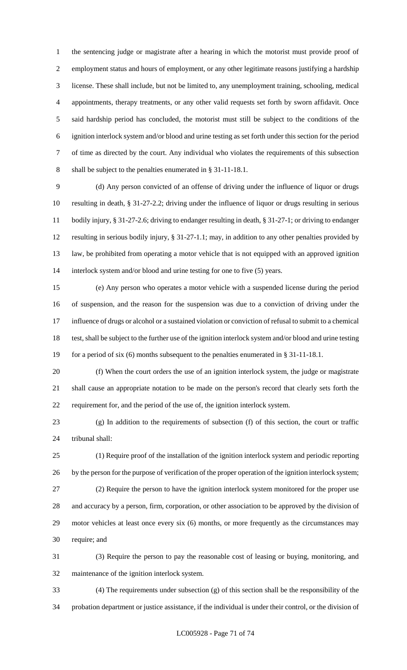the sentencing judge or magistrate after a hearing in which the motorist must provide proof of employment status and hours of employment, or any other legitimate reasons justifying a hardship license. These shall include, but not be limited to, any unemployment training, schooling, medical appointments, therapy treatments, or any other valid requests set forth by sworn affidavit. Once said hardship period has concluded, the motorist must still be subject to the conditions of the ignition interlock system and/or blood and urine testing as set forth under this section for the period of time as directed by the court. Any individual who violates the requirements of this subsection shall be subject to the penalties enumerated in § 31-11-18.1.

 (d) Any person convicted of an offense of driving under the influence of liquor or drugs resulting in death, § 31-27-2.2; driving under the influence of liquor or drugs resulting in serious bodily injury, § 31-27-2.6; driving to endanger resulting in death, § 31-27-1; or driving to endanger resulting in serious bodily injury, § 31-27-1.1; may, in addition to any other penalties provided by law, be prohibited from operating a motor vehicle that is not equipped with an approved ignition 14 interlock system and/or blood and urine testing for one to five (5) years.

 (e) Any person who operates a motor vehicle with a suspended license during the period of suspension, and the reason for the suspension was due to a conviction of driving under the influence of drugs or alcohol or a sustained violation or conviction of refusal to submit to a chemical test, shall be subject to the further use of the ignition interlock system and/or blood and urine testing 19 for a period of six (6) months subsequent to the penalties enumerated in § 31-11-18.1.

 (f) When the court orders the use of an ignition interlock system, the judge or magistrate shall cause an appropriate notation to be made on the person's record that clearly sets forth the requirement for, and the period of the use of, the ignition interlock system.

 (g) In addition to the requirements of subsection (f) of this section, the court or traffic tribunal shall:

 (1) Require proof of the installation of the ignition interlock system and periodic reporting 26 by the person for the purpose of verification of the proper operation of the ignition interlock system; (2) Require the person to have the ignition interlock system monitored for the proper use and accuracy by a person, firm, corporation, or other association to be approved by the division of motor vehicles at least once every six (6) months, or more frequently as the circumstances may require; and

 (3) Require the person to pay the reasonable cost of leasing or buying, monitoring, and maintenance of the ignition interlock system.

 (4) The requirements under subsection (g) of this section shall be the responsibility of the probation department or justice assistance, if the individual is under their control, or the division of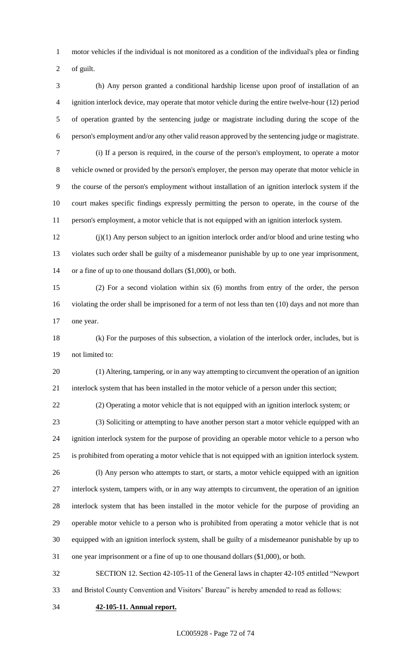motor vehicles if the individual is not monitored as a condition of the individual's plea or finding

of guilt.

 (h) Any person granted a conditional hardship license upon proof of installation of an ignition interlock device, may operate that motor vehicle during the entire twelve-hour (12) period of operation granted by the sentencing judge or magistrate including during the scope of the person's employment and/or any other valid reason approved by the sentencing judge or magistrate. (i) If a person is required, in the course of the person's employment, to operate a motor vehicle owned or provided by the person's employer, the person may operate that motor vehicle in the course of the person's employment without installation of an ignition interlock system if the court makes specific findings expressly permitting the person to operate, in the course of the person's employment, a motor vehicle that is not equipped with an ignition interlock system.

 (j)(1) Any person subject to an ignition interlock order and/or blood and urine testing who violates such order shall be guilty of a misdemeanor punishable by up to one year imprisonment, or a fine of up to one thousand dollars (\$1,000), or both.

 (2) For a second violation within six (6) months from entry of the order, the person violating the order shall be imprisoned for a term of not less than ten (10) days and not more than one year.

 (k) For the purposes of this subsection, a violation of the interlock order, includes, but is not limited to:

 (1) Altering, tampering, or in any way attempting to circumvent the operation of an ignition interlock system that has been installed in the motor vehicle of a person under this section;

(2) Operating a motor vehicle that is not equipped with an ignition interlock system; or

 (3) Soliciting or attempting to have another person start a motor vehicle equipped with an ignition interlock system for the purpose of providing an operable motor vehicle to a person who is prohibited from operating a motor vehicle that is not equipped with an ignition interlock system.

 (l) Any person who attempts to start, or starts, a motor vehicle equipped with an ignition interlock system, tampers with, or in any way attempts to circumvent, the operation of an ignition interlock system that has been installed in the motor vehicle for the purpose of providing an operable motor vehicle to a person who is prohibited from operating a motor vehicle that is not equipped with an ignition interlock system, shall be guilty of a misdemeanor punishable by up to one year imprisonment or a fine of up to one thousand dollars (\$1,000), or both.

 SECTION 12. Section 42-105-11 of the General laws in chapter 42-105 entitled "Newport and Bristol County Convention and Visitors' Bureau" is hereby amended to read as follows:

**42-105-11. Annual report.**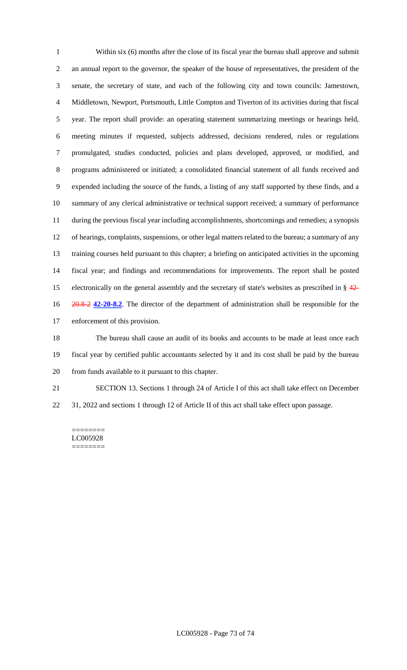Within six (6) months after the close of its fiscal year the bureau shall approve and submit an annual report to the governor, the speaker of the house of representatives, the president of the senate, the secretary of state, and each of the following city and town councils: Jamestown, Middletown, Newport, Portsmouth, Little Compton and Tiverton of its activities during that fiscal year. The report shall provide: an operating statement summarizing meetings or hearings held, meeting minutes if requested, subjects addressed, decisions rendered, rules or regulations promulgated, studies conducted, policies and plans developed, approved, or modified, and programs administered or initiated; a consolidated financial statement of all funds received and expended including the source of the funds, a listing of any staff supported by these finds, and a summary of any clerical administrative or technical support received; a summary of performance during the previous fiscal year including accomplishments, shortcomings and remedies; a synopsis of hearings, complaints, suspensions, or other legal matters related to the bureau; a summary of any training courses held pursuant to this chapter; a briefing on anticipated activities in the upcoming fiscal year; and findings and recommendations for improvements. The report shall be posted electronically on the general assembly and the secretary of state's websites as prescribed in § 42- 20.8-2 **42-20-8.2**. The director of the department of administration shall be responsible for the enforcement of this provision.

 The bureau shall cause an audit of its books and accounts to be made at least once each fiscal year by certified public accountants selected by it and its cost shall be paid by the bureau from funds available to it pursuant to this chapter.

SECTION 13. Sections 1 through 24 of Article I of this act shall take effect on December

31, 2022 and sections 1 through 12 of Article II of this act shall take effect upon passage.

======== LC005928 ========